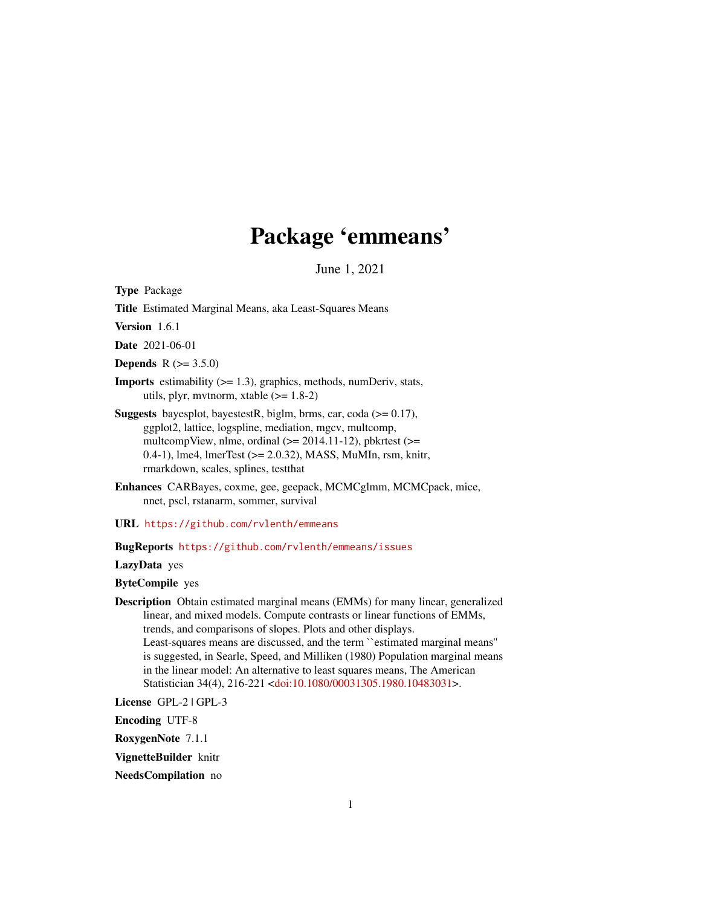# Package 'emmeans'

June 1, 2021

<span id="page-0-0"></span>Type Package

Title Estimated Marginal Means, aka Least-Squares Means

Version 1.6.1

Date 2021-06-01

**Depends** R  $(>= 3.5.0)$ 

**Imports** estimability  $(>= 1.3)$ , graphics, methods, numDeriv, stats, utils, plyr, mvtnorm, xtable  $(>= 1.8-2)$ 

- **Suggests** bayesplot, bayestestR, biglm, brms, car, coda ( $> = 0.17$ ), ggplot2, lattice, logspline, mediation, mgcv, multcomp, multcompView, nlme, ordinal  $(>= 2014.11-12)$ , pbkrtest  $(>=$ 0.4-1), lme4, lmerTest (>= 2.0.32), MASS, MuMIn, rsm, knitr, rmarkdown, scales, splines, testthat
- Enhances CARBayes, coxme, gee, geepack, MCMCglmm, MCMCpack, mice, nnet, pscl, rstanarm, sommer, survival

URL <https://github.com/rvlenth/emmeans>

# BugReports <https://github.com/rvlenth/emmeans/issues>

LazyData yes

ByteCompile yes

Description Obtain estimated marginal means (EMMs) for many linear, generalized linear, and mixed models. Compute contrasts or linear functions of EMMs, trends, and comparisons of slopes. Plots and other displays. Least-squares means are discussed, and the term ``estimated marginal means'' is suggested, in Searle, Speed, and Milliken (1980) Population marginal means in the linear model: An alternative to least squares means, The American Statistician 34(4), 216-221 [<doi:10.1080/00031305.1980.10483031>](https://doi.org/10.1080/00031305.1980.10483031).

License GPL-2 | GPL-3

Encoding UTF-8

RoxygenNote 7.1.1

VignetteBuilder knitr

NeedsCompilation no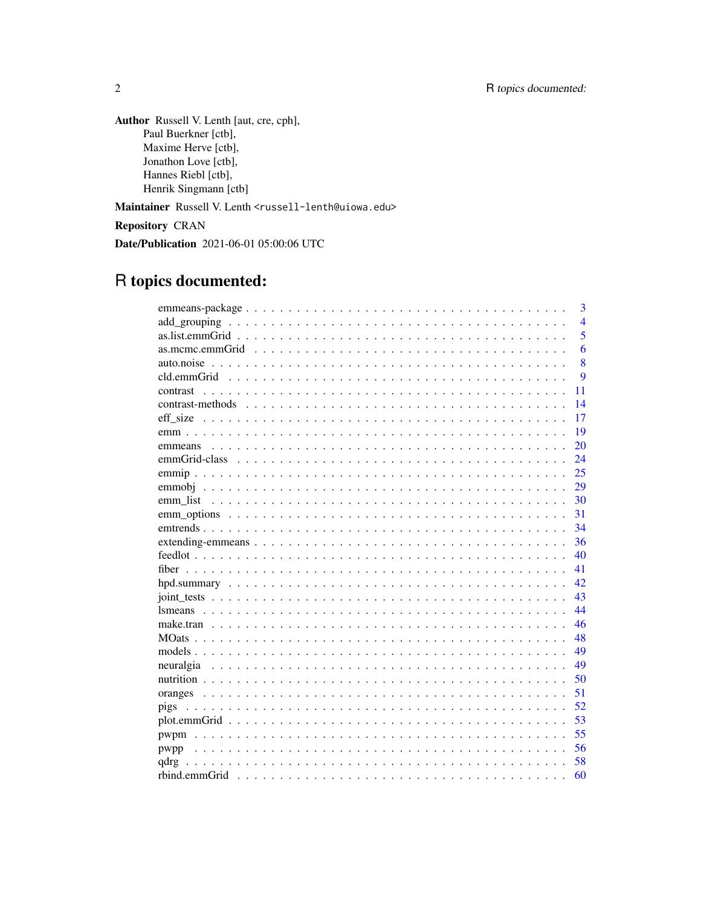Author Russell V. Lenth [aut, cre, cph], Paul Buerkner [ctb], Maxime Herve [ctb], Jonathon Love [ctb], Hannes Riebl [ctb], Henrik Singmann [ctb]

Maintainer Russell V. Lenth <russell-lenth@uiowa.edu>

Repository CRAN

Date/Publication 2021-06-01 05:00:06 UTC

# R topics documented:

|      | 3              |
|------|----------------|
|      | $\overline{4}$ |
|      | $\overline{5}$ |
|      | 6              |
|      | 8              |
|      | 9              |
|      | 11             |
|      | 14             |
|      | 17             |
|      | 19             |
|      | 20             |
|      | 24             |
|      | 25             |
|      | 29             |
|      | 30             |
|      | 31             |
|      | 34             |
|      | 36             |
|      | 40             |
|      | 41             |
|      | 42             |
|      | 43             |
|      | 44             |
|      | 46             |
|      | 48             |
|      | 49             |
|      | 49             |
|      | 50             |
|      | 51             |
|      | 52             |
|      | 53             |
|      | 55             |
| pwpp | 56             |
| qdrg | 58             |
|      | 60             |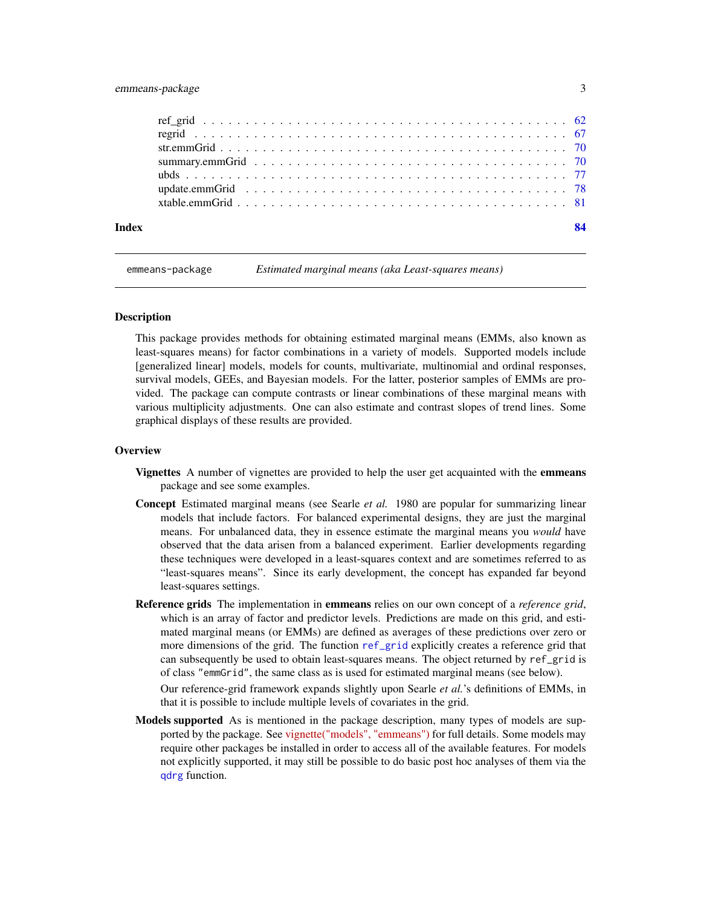# <span id="page-2-0"></span>emmeans-package 3

| Index | 84 |
|-------|----|
|       |    |
|       |    |
|       |    |
|       |    |
|       |    |
|       |    |
|       |    |

emmeans-package *Estimated marginal means (aka Least-squares means)*

# Description

This package provides methods for obtaining estimated marginal means (EMMs, also known as least-squares means) for factor combinations in a variety of models. Supported models include [generalized linear] models, models for counts, multivariate, multinomial and ordinal responses, survival models, GEEs, and Bayesian models. For the latter, posterior samples of EMMs are provided. The package can compute contrasts or linear combinations of these marginal means with various multiplicity adjustments. One can also estimate and contrast slopes of trend lines. Some graphical displays of these results are provided.

#### **Overview**

- Vignettes A number of vignettes are provided to help the user get acquainted with the emmeans package and see some examples.
- Concept Estimated marginal means (see Searle *et al.* 1980 are popular for summarizing linear models that include factors. For balanced experimental designs, they are just the marginal means. For unbalanced data, they in essence estimate the marginal means you *would* have observed that the data arisen from a balanced experiment. Earlier developments regarding these techniques were developed in a least-squares context and are sometimes referred to as "least-squares means". Since its early development, the concept has expanded far beyond least-squares settings.
- Reference grids The implementation in emmeans relies on our own concept of a *reference grid*, which is an array of factor and predictor levels. Predictions are made on this grid, and estimated marginal means (or EMMs) are defined as averages of these predictions over zero or more dimensions of the grid. The function [ref\\_grid](#page-61-1) explicitly creates a reference grid that can subsequently be used to obtain least-squares means. The object returned by ref\_grid is of class "emmGrid", the same class as is used for estimated marginal means (see below).

Our reference-grid framework expands slightly upon Searle *et al.*'s definitions of EMMs, in that it is possible to include multiple levels of covariates in the grid.

Models supported As is mentioned in the package description, many types of models are supported by the package. See [vignette\("models", "emmeans"\)](../doc/models.html) for full details. Some models may require other packages be installed in order to access all of the available features. For models not explicitly supported, it may still be possible to do basic post hoc analyses of them via the [qdrg](#page-57-1) function.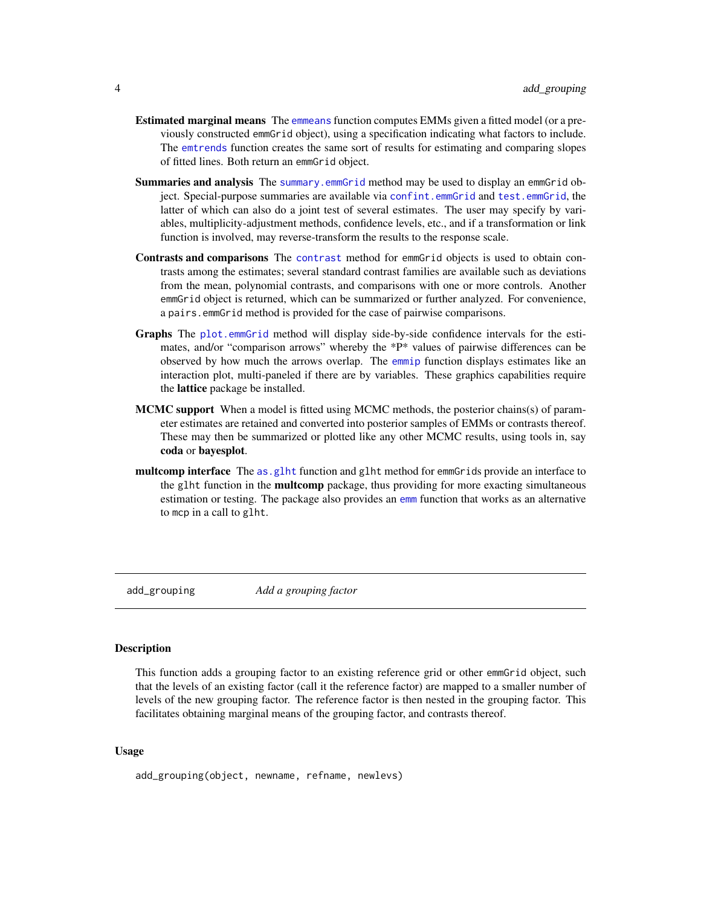- <span id="page-3-0"></span>Estimated marginal means The [emmeans](#page-19-1) function computes EMMs given a fitted model (or a previously constructed emmGrid object), using a specification indicating what factors to include. The [emtrends](#page-33-1) function creates the same sort of results for estimating and comparing slopes of fitted lines. Both return an emmGrid object.
- Summaries and analysis The [summary.emmGrid](#page-69-1) method may be used to display an emmGrid object. Special-purpose summaries are available via [confint.emmGrid](#page-69-2) and [test.emmGrid](#page-69-2), the latter of which can also do a joint test of several estimates. The user may specify by variables, multiplicity-adjustment methods, confidence levels, etc., and if a transformation or link function is involved, may reverse-transform the results to the response scale.
- Contrasts and comparisons The [contrast](#page-10-1) method for emmGrid objects is used to obtain contrasts among the estimates; several standard contrast families are available such as deviations from the mean, polynomial contrasts, and comparisons with one or more controls. Another emmGrid object is returned, which can be summarized or further analyzed. For convenience, a pairs.emmGrid method is provided for the case of pairwise comparisons.
- Graphs The [plot.emmGrid](#page-52-1) method will display side-by-side confidence intervals for the estimates, and/or "comparison arrows" whereby the \*P\* values of pairwise differences can be observed by how much the arrows overlap. The [emmip](#page-24-1) function displays estimates like an interaction plot, multi-paneled if there are by variables. These graphics capabilities require the lattice package be installed.
- **MCMC support** When a model is fitted using MCMC methods, the posterior chains(s) of parameter estimates are retained and converted into posterior samples of EMMs or contrasts thereof. These may then be summarized or plotted like any other MCMC results, using tools in, say coda or bayesplot.
- multcomp interface The [as.glht](#page-18-1) function and glht method for emmGrids provide an interface to the glht function in the **multcomp** package, thus providing for more exacting simultaneous estimation or testing. The package also provides an [emm](#page-18-2) function that works as an alternative to mcp in a call to glht.

add\_grouping *Add a grouping factor*

# Description

This function adds a grouping factor to an existing reference grid or other emmGrid object, such that the levels of an existing factor (call it the reference factor) are mapped to a smaller number of levels of the new grouping factor. The reference factor is then nested in the grouping factor. This facilitates obtaining marginal means of the grouping factor, and contrasts thereof.

#### Usage

add\_grouping(object, newname, refname, newlevs)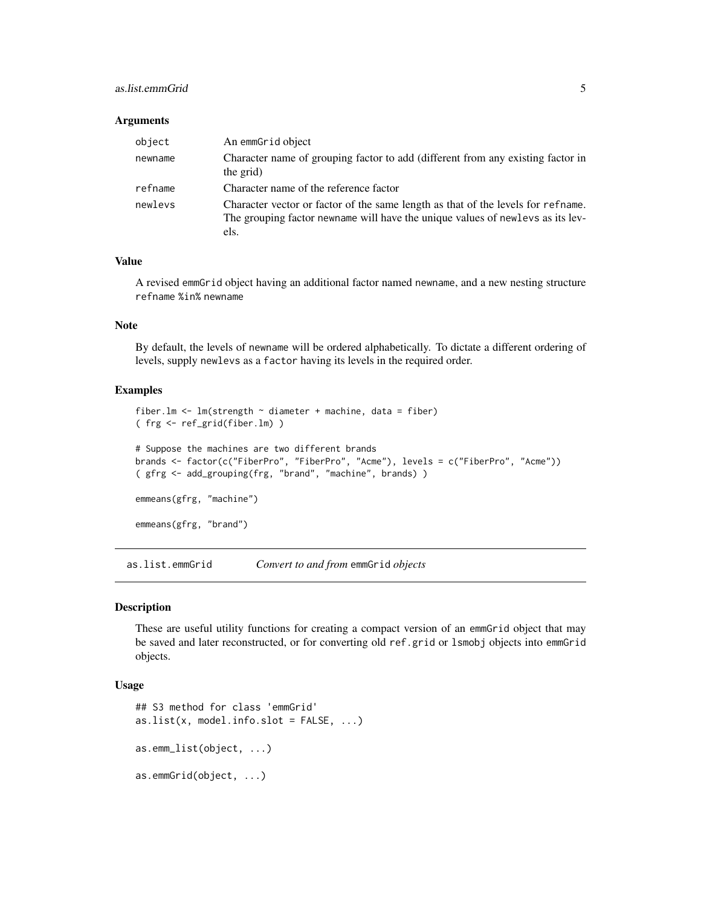# <span id="page-4-0"></span>as.list.emmGrid 5

#### **Arguments**

| object  | An emmGrid object                                                                                                                                                          |
|---------|----------------------------------------------------------------------------------------------------------------------------------------------------------------------------|
| newname | Character name of grouping factor to add (different from any existing factor in<br>the grid)                                                                               |
| refname | Character name of the reference factor                                                                                                                                     |
| newlevs | Character vector or factor of the same length as that of the levels for refname.<br>The grouping factor newname will have the unique values of newlevs as its lev-<br>els. |

# Value

A revised emmGrid object having an additional factor named newname, and a new nesting structure refname %in% newname

# Note

By default, the levels of newname will be ordered alphabetically. To dictate a different ordering of levels, supply newlevs as a factor having its levels in the required order.

# Examples

```
fiber.lm <- lm(strength \sim diameter + machine, data = fiber)
( frg <- ref_grid(fiber.lm) )
# Suppose the machines are two different brands
brands <- factor(c("FiberPro", "FiberPro", "Acme"), levels = c("FiberPro", "Acme"))
( gfrg <- add_grouping(frg, "brand", "machine", brands) )
emmeans(gfrg, "machine")
emmeans(gfrg, "brand")
```
as.list.emmGrid *Convert to and from* emmGrid *objects*

#### Description

These are useful utility functions for creating a compact version of an emmGrid object that may be saved and later reconstructed, or for converting old ref.grid or lsmobj objects into emmGrid objects.

# Usage

```
## S3 method for class 'emmGrid'
as.list(x, model.info.slot = FALSE, ...)as.emm_list(object, ...)
as.emmGrid(object, ...)
```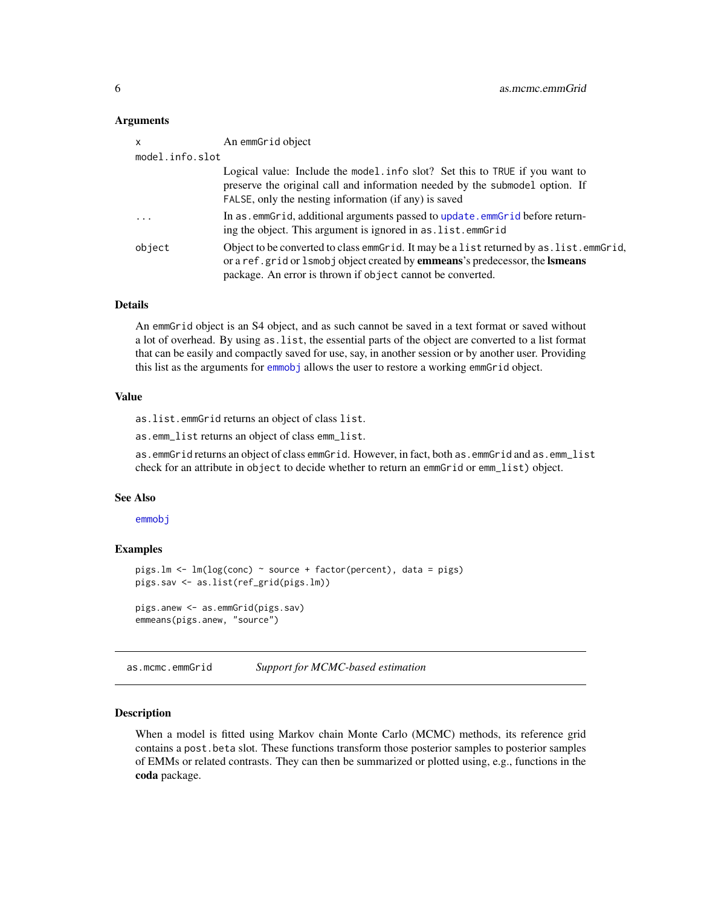#### <span id="page-5-0"></span>**Arguments**

| x               | An emmGrid object                                                                                                                                                                                                                                       |
|-----------------|---------------------------------------------------------------------------------------------------------------------------------------------------------------------------------------------------------------------------------------------------------|
| model.info.slot |                                                                                                                                                                                                                                                         |
|                 | Logical value: Include the model info slot? Set this to TRUE if you want to<br>preserve the original call and information needed by the submodel option. If<br>FALSE, only the nesting information (if any) is saved                                    |
| .               | In as . emmGrid, additional arguments passed to update. emmGrid before return-<br>ing the object. This argument is ignored in as. list. emmGrid                                                                                                         |
| object          | Object to be converted to class emmetrid. It may be a list returned by as list emmetrid,<br>or a ref. grid or 1 smobj object created by <b>emmeans</b> 's predecessor, the <b>Ismeans</b><br>package. An error is thrown if object cannot be converted. |

#### Details

An emmGrid object is an S4 object, and as such cannot be saved in a text format or saved without a lot of overhead. By using as.list, the essential parts of the object are converted to a list format that can be easily and compactly saved for use, say, in another session or by another user. Providing this list as the arguments for [emmobj](#page-28-1) allows the user to restore a working emmGrid object.

# Value

as.list.emmGrid returns an object of class list.

as.emm\_list returns an object of class emm\_list.

as.emmGrid returns an object of class emmGrid. However, in fact, both as.emmGrid and as.emm\_list check for an attribute in object to decide whether to return an emmGrid or emm\_list) object.

#### See Also

[emmobj](#page-28-1)

# Examples

```
pigs.lm <- lm(log(conc) ~ source + factor(percent), data = pigs)
pigs.sav <- as.list(ref_grid(pigs.lm))
pigs.anew <- as.emmGrid(pigs.sav)
emmeans(pigs.anew, "source")
```
<span id="page-5-1"></span>as.mcmc.emmGrid *Support for MCMC-based estimation*

#### <span id="page-5-2"></span>Description

When a model is fitted using Markov chain Monte Carlo (MCMC) methods, its reference grid contains a post.beta slot. These functions transform those posterior samples to posterior samples of EMMs or related contrasts. They can then be summarized or plotted using, e.g., functions in the coda package.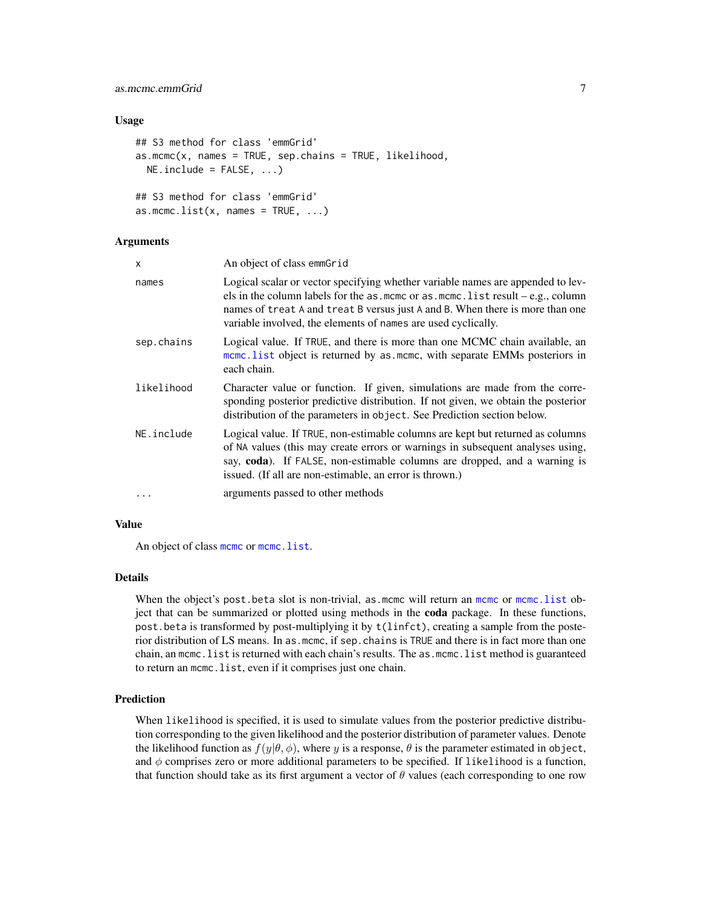# as.mcmc.emmGrid 7

# Usage

```
## S3 method for class 'emmGrid'
as.mcmc(x, names = TRUE, sep.chains = TRUE, likelihood,NE.include = FALSE, ...)## S3 method for class 'emmGrid'
as.mcmc.list(x, names = TRUE, ...)
```
# Arguments

| x          | An object of class emmGrid                                                                                                                                                                                                                                                                                             |
|------------|------------------------------------------------------------------------------------------------------------------------------------------------------------------------------------------------------------------------------------------------------------------------------------------------------------------------|
| names      | Logical scalar or vector specifying whether variable names are appended to lev-<br>els in the column labels for the as .mcmc or as .mcmc.list result $-e.g.,$ column<br>names of treat A and treat B versus just A and B. When there is more than one<br>variable involved, the elements of names are used cyclically. |
| sep.chains | Logical value. If TRUE, and there is more than one MCMC chain available, an<br>mome. List object is returned by as mome, with separate EMMs posteriors in<br>each chain.                                                                                                                                               |
| likelihood | Character value or function. If given, simulations are made from the corre-<br>sponding posterior predictive distribution. If not given, we obtain the posterior<br>distribution of the parameters in object. See Prediction section below.                                                                            |
| NE.include | Logical value. If TRUE, non-estimable columns are kept but returned as columns<br>of NA values (this may create errors or warnings in subsequent analyses using,<br>say, coda). If FALSE, non-estimable columns are dropped, and a warning is<br>issued. (If all are non-estimable, an error is thrown.)               |
| $\ddots$   | arguments passed to other methods                                                                                                                                                                                                                                                                                      |

# Value

An object of class [mcmc](#page-0-0) or [mcmc.list](#page-0-0).

#### Details

When the object's post.beta slot is non-trivial, as [mcmc](#page-0-0) will return an mcmc or [mcmc.list](#page-0-0) object that can be summarized or plotted using methods in the coda package. In these functions, post.beta is transformed by post-multiplying it by t(linfct), creating a sample from the posterior distribution of LS means. In as.mcmc, if sep.chains is TRUE and there is in fact more than one chain, an mcmc.list is returned with each chain's results. The as.mcmc.list method is guaranteed to return an mcmc.list, even if it comprises just one chain.

# Prediction

When likelihood is specified, it is used to simulate values from the posterior predictive distribution corresponding to the given likelihood and the posterior distribution of parameter values. Denote the likelihood function as  $f(y|\theta, \phi)$ , where y is a response,  $\theta$  is the parameter estimated in object, and  $\phi$  comprises zero or more additional parameters to be specified. If likelihood is a function, that function should take as its first argument a vector of  $\theta$  values (each corresponding to one row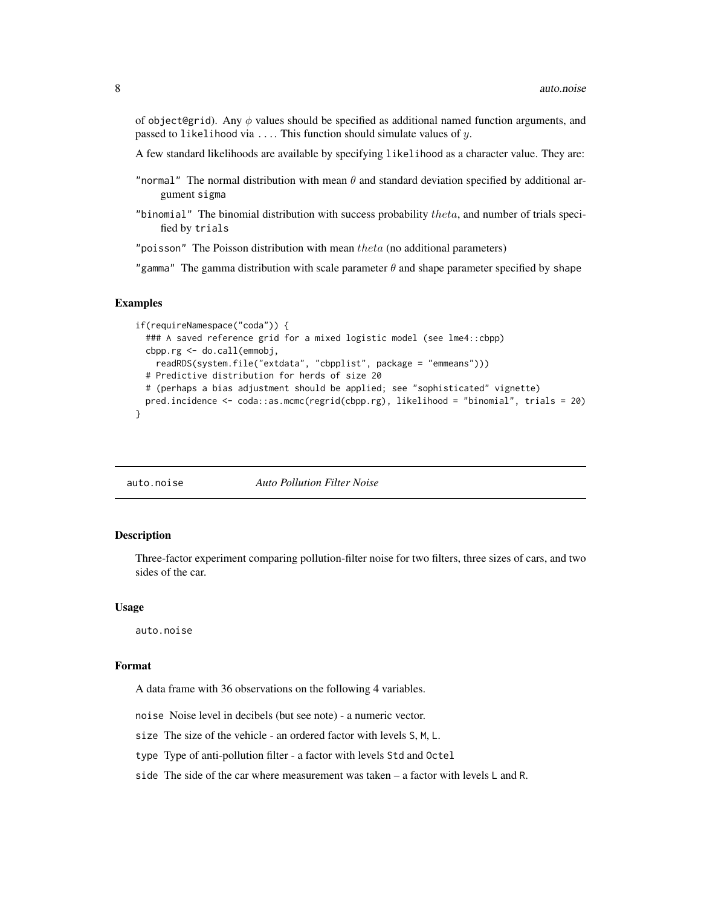<span id="page-7-0"></span>of object@grid). Any  $\phi$  values should be specified as additional named function arguments, and passed to likelihood via  $\dots$  This function should simulate values of  $y$ .

A few standard likelihoods are available by specifying likelihood as a character value. They are:

- "normal" The normal distribution with mean  $\theta$  and standard deviation specified by additional argument sigma
- "binomial" The binomial distribution with success probability  $theta$ , and number of trials specified by trials

"poisson" The Poisson distribution with mean  $theta$  (no additional parameters)

"gamma" The gamma distribution with scale parameter  $\theta$  and shape parameter specified by shape

# Examples

```
if(requireNamespace("coda")) {
 ### A saved reference grid for a mixed logistic model (see lme4::cbpp)
 cbpp.rg <- do.call(emmobj,
   readRDS(system.file("extdata", "cbpplist", package = "emmeans")))
 # Predictive distribution for herds of size 20
 # (perhaps a bias adjustment should be applied; see "sophisticated" vignette)
 pred.incidence <- coda::as.mcmc(regrid(cbpp.rg), likelihood = "binomial", trials = 20)
}
```
auto.noise *Auto Pollution Filter Noise*

# Description

Three-factor experiment comparing pollution-filter noise for two filters, three sizes of cars, and two sides of the car.

#### Usage

auto.noise

#### Format

A data frame with 36 observations on the following 4 variables.

noise Noise level in decibels (but see note) - a numeric vector.

size The size of the vehicle - an ordered factor with levels S, M, L.

type Type of anti-pollution filter - a factor with levels Std and Octel

side The side of the car where measurement was taken – a factor with levels L and R.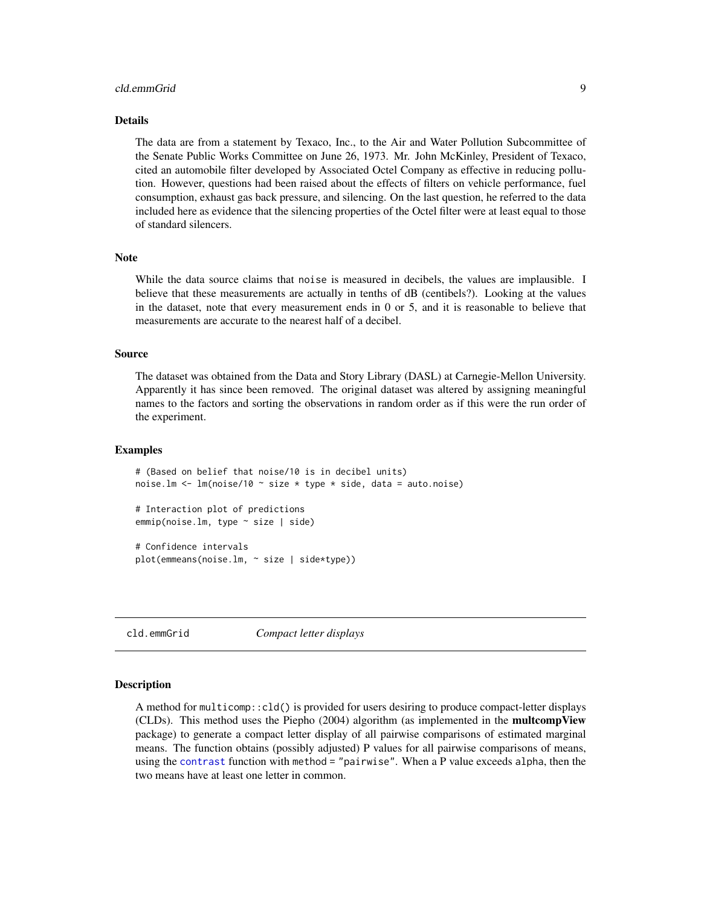#### <span id="page-8-0"></span>cld.emmGrid 9

# Details

The data are from a statement by Texaco, Inc., to the Air and Water Pollution Subcommittee of the Senate Public Works Committee on June 26, 1973. Mr. John McKinley, President of Texaco, cited an automobile filter developed by Associated Octel Company as effective in reducing pollution. However, questions had been raised about the effects of filters on vehicle performance, fuel consumption, exhaust gas back pressure, and silencing. On the last question, he referred to the data included here as evidence that the silencing properties of the Octel filter were at least equal to those of standard silencers.

# Note

While the data source claims that noise is measured in decibels, the values are implausible. I believe that these measurements are actually in tenths of dB (centibels?). Looking at the values in the dataset, note that every measurement ends in 0 or 5, and it is reasonable to believe that measurements are accurate to the nearest half of a decibel.

#### Source

The dataset was obtained from the Data and Story Library (DASL) at Carnegie-Mellon University. Apparently it has since been removed. The original dataset was altered by assigning meaningful names to the factors and sorting the observations in random order as if this were the run order of the experiment.

#### Examples

```
# (Based on belief that noise/10 is in decibel units)
noise.lm <- lm(noise/10 ~ size * type * side, data = auto.noise)
```
# Interaction plot of predictions emmip(noise.lm, type ~ size | side)

# Confidence intervals plot(emmeans(noise.lm, ~ size | side\*type))

<span id="page-8-1"></span>cld.emmGrid *Compact letter displays*

# Description

A method for multicomp::cld() is provided for users desiring to produce compact-letter displays (CLDs). This method uses the Piepho (2004) algorithm (as implemented in the multcompView package) to generate a compact letter display of all pairwise comparisons of estimated marginal means. The function obtains (possibly adjusted) P values for all pairwise comparisons of means, using the [contrast](#page-10-1) function with method = "pairwise". When a P value exceeds alpha, then the two means have at least one letter in common.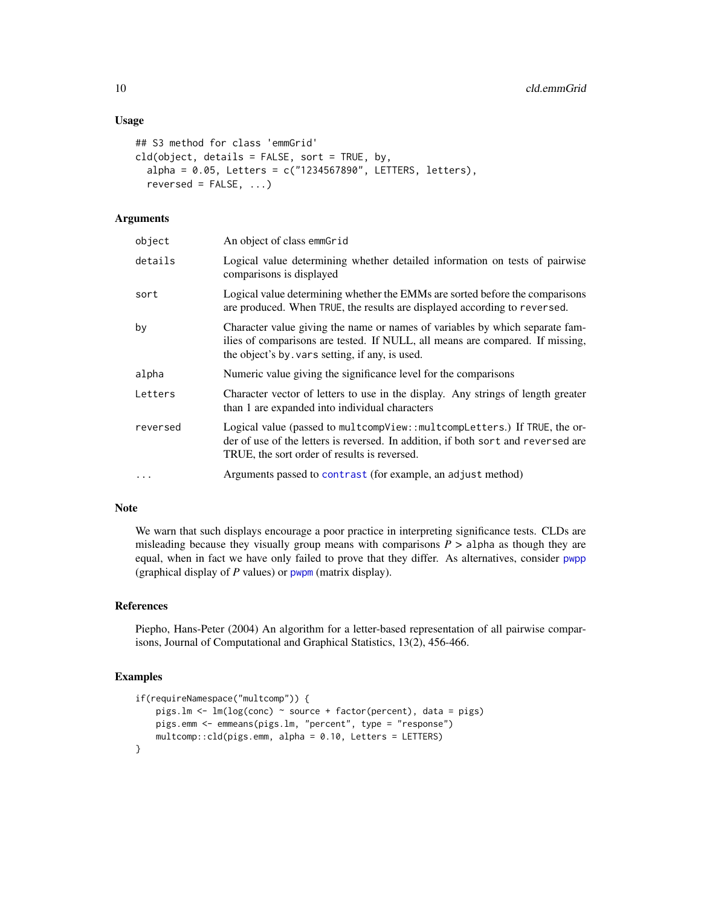# Usage

```
## S3 method for class 'emmGrid'
cld(object, details = FALSE, sort = TRUE, by,
  alpha = 0.05, Letters = c("1234567890", LETTERS, letters),
  reversed = FALSE, ...)
```
# **Arguments**

| object   | An object of class emmGrid                                                                                                                                                                                      |
|----------|-----------------------------------------------------------------------------------------------------------------------------------------------------------------------------------------------------------------|
| details  | Logical value determining whether detailed information on tests of pairwise<br>comparisons is displayed                                                                                                         |
| sort     | Logical value determining whether the EMMs are sorted before the comparisons<br>are produced. When TRUE, the results are displayed according to reversed.                                                       |
| by       | Character value giving the name or names of variables by which separate fam-<br>ilies of comparisons are tested. If NULL, all means are compared. If missing,<br>the object's by vars setting, if any, is used. |
| alpha    | Numeric value giving the significance level for the comparisons                                                                                                                                                 |
| Letters  | Character vector of letters to use in the display. Any strings of length greater<br>than 1 are expanded into individual characters                                                                              |
| reversed | Logical value (passed to multcompView::multcompLetters.) If TRUE, the or-<br>der of use of the letters is reversed. In addition, if both sort and reversed are<br>TRUE, the sort order of results is reversed.  |
| $\cdot$  | Arguments passed to contrast (for example, an adjust method)                                                                                                                                                    |

# Note

We warn that such displays encourage a poor practice in interpreting significance tests. CLDs are misleading because they visually group means with comparisons  $P >$  alpha as though they are equal, when in fact we have only failed to prove that they differ. As alternatives, consider [pwpp](#page-55-1) (graphical display of *P* values) or [pwpm](#page-54-1) (matrix display).

# References

Piepho, Hans-Peter (2004) An algorithm for a letter-based representation of all pairwise comparisons, Journal of Computational and Graphical Statistics, 13(2), 456-466.

```
if(requireNamespace("multcomp")) {
   pigs.lm <- lm(log(conc) ~ source + factor(percent), data = pigs)
   pigs.emm <- emmeans(pigs.lm, "percent", type = "response")
   multcomp::cld(pigs.emm, alpha = 0.10, Letters = LETTERS)
}
```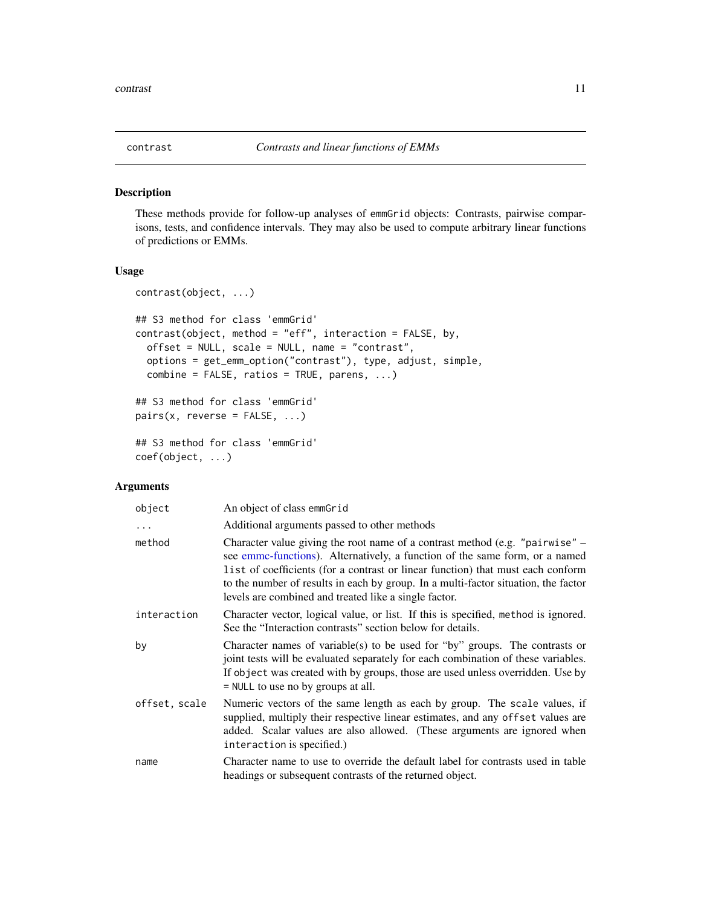<span id="page-10-1"></span><span id="page-10-0"></span>

#### <span id="page-10-2"></span>Description

These methods provide for follow-up analyses of emmGrid objects: Contrasts, pairwise comparisons, tests, and confidence intervals. They may also be used to compute arbitrary linear functions of predictions or EMMs.

### Usage

```
contrast(object, ...)
## S3 method for class 'emmGrid'
contrast(object, method = "eff", interaction = FALSE, by,
 offset = NULL, scale = NULL, name = "contrast",
 options = get_emm_option("contrast"), type, adjust, simple,
  combine = FALSE, ratios = TRUE, parents, ...)## S3 method for class 'emmGrid'
pairs(x, reverse = FALSE, ...)## S3 method for class 'emmGrid'
coef(object, ...)
```
# Arguments

| object        | An object of class emmGrid                                                                                                                                                                                                                                                                                                                                                                    |
|---------------|-----------------------------------------------------------------------------------------------------------------------------------------------------------------------------------------------------------------------------------------------------------------------------------------------------------------------------------------------------------------------------------------------|
| $\ddots$      | Additional arguments passed to other methods                                                                                                                                                                                                                                                                                                                                                  |
| method        | Character value giving the root name of a contrast method (e.g. "pairwise" –<br>see emmc-functions). Alternatively, a function of the same form, or a named<br>list of coefficients (for a contrast or linear function) that must each conform<br>to the number of results in each by group. In a multi-factor situation, the factor<br>levels are combined and treated like a single factor. |
| interaction   | Character vector, logical value, or list. If this is specified, method is ignored.<br>See the "Interaction contrasts" section below for details.                                                                                                                                                                                                                                              |
| by            | Character names of variable(s) to be used for "by" groups. The contrasts or<br>joint tests will be evaluated separately for each combination of these variables.<br>If object was created with by groups, those are used unless overridden. Use by<br>$=$ NULL to use no by groups at all.                                                                                                    |
| offset, scale | Numeric vectors of the same length as each by group. The scale values, if<br>supplied, multiply their respective linear estimates, and any offset values are<br>added. Scalar values are also allowed. (These arguments are ignored when<br>interaction is specified.)                                                                                                                        |
| name          | Character name to use to override the default label for contrasts used in table<br>headings or subsequent contrasts of the returned object.                                                                                                                                                                                                                                                   |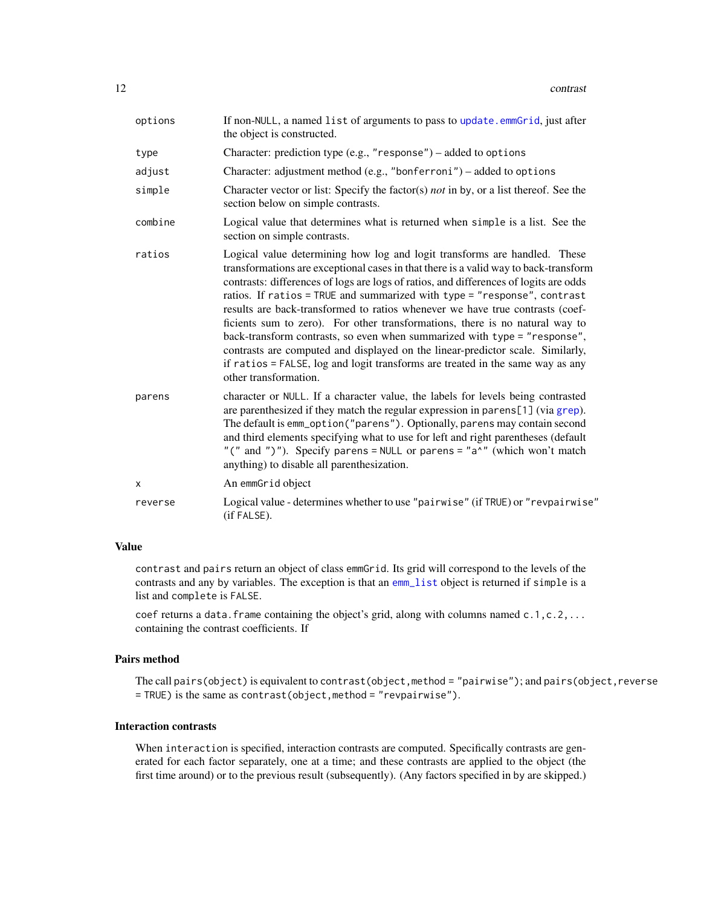| options | If non-NULL, a named list of arguments to pass to update.emmGrid, just after<br>the object is constructed.                                                                                                                                                                                                                                                                                                                                                                                                                                                                                                                                                                                                                                                                        |
|---------|-----------------------------------------------------------------------------------------------------------------------------------------------------------------------------------------------------------------------------------------------------------------------------------------------------------------------------------------------------------------------------------------------------------------------------------------------------------------------------------------------------------------------------------------------------------------------------------------------------------------------------------------------------------------------------------------------------------------------------------------------------------------------------------|
| type    | Character: prediction type (e.g., "response") – added to options                                                                                                                                                                                                                                                                                                                                                                                                                                                                                                                                                                                                                                                                                                                  |
| adjust  | Character: adjustment method (e.g., "bonferroni") – added to options                                                                                                                                                                                                                                                                                                                                                                                                                                                                                                                                                                                                                                                                                                              |
| simple  | Character vector or list: Specify the factor(s) not in by, or a list thereof. See the<br>section below on simple contrasts.                                                                                                                                                                                                                                                                                                                                                                                                                                                                                                                                                                                                                                                       |
| combine | Logical value that determines what is returned when simple is a list. See the<br>section on simple contrasts.                                                                                                                                                                                                                                                                                                                                                                                                                                                                                                                                                                                                                                                                     |
| ratios  | Logical value determining how log and logit transforms are handled. These<br>transformations are exceptional cases in that there is a valid way to back-transform<br>contrasts: differences of logs are logs of ratios, and differences of logits are odds<br>ratios. If ratios = TRUE and summarized with type = "response", contrast<br>results are back-transformed to ratios whenever we have true contrasts (coef-<br>ficients sum to zero). For other transformations, there is no natural way to<br>back-transform contrasts, so even when summarized with type = "response",<br>contrasts are computed and displayed on the linear-predictor scale. Similarly,<br>if ratios = FALSE, log and logit transforms are treated in the same way as any<br>other transformation. |
| parens  | character or NULL. If a character value, the labels for levels being contrasted<br>are parenthesized if they match the regular expression in parens[1] (via grep).<br>The default is emm_option("parens"). Optionally, parens may contain second<br>and third elements specifying what to use for left and right parentheses (default<br>"(" and ")"). Specify parens = NULL or parens = " $a^N$ " (which won't match<br>anything) to disable all parenthesization.                                                                                                                                                                                                                                                                                                               |
| X       | An emmGrid object                                                                                                                                                                                                                                                                                                                                                                                                                                                                                                                                                                                                                                                                                                                                                                 |
| reverse | Logical value - determines whether to use "pairwise" (if TRUE) or "revpairwise"<br>(if FALSE).                                                                                                                                                                                                                                                                                                                                                                                                                                                                                                                                                                                                                                                                                    |

# Value

contrast and pairs return an object of class emmGrid. Its grid will correspond to the levels of the contrasts and any by variables. The exception is that an [emm\\_list](#page-29-1) object is returned if simple is a list and complete is FALSE.

coef returns a data. frame containing the object's grid, along with columns named  $c.1, c.2, \ldots$ containing the contrast coefficients. If

#### Pairs method

The call pairs(object) is equivalent to contrast(object,method = "pairwise"); and pairs(object, reverse = TRUE) is the same as contrast(object,method = "revpairwise").

# Interaction contrasts

When interaction is specified, interaction contrasts are computed. Specifically contrasts are generated for each factor separately, one at a time; and these contrasts are applied to the object (the first time around) or to the previous result (subsequently). (Any factors specified in by are skipped.)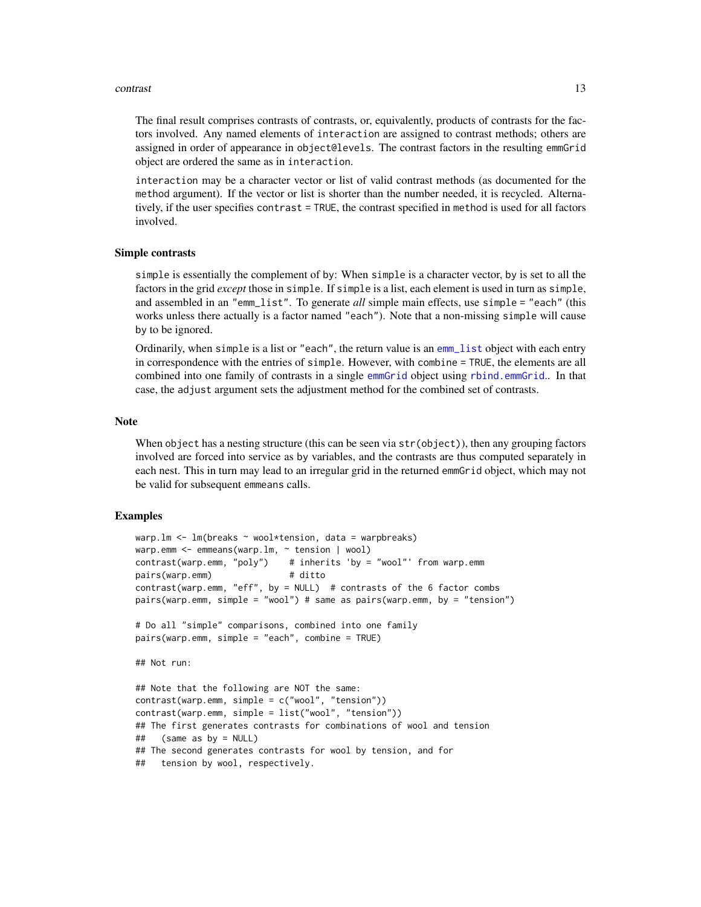#### contrast the contrast of the contrast of the contrast of the contrast of the contrast of the contrast of the contrast of the contrast of the contrast of the contrast of the contrast of the contrast of the contrast of the c

The final result comprises contrasts of contrasts, or, equivalently, products of contrasts for the factors involved. Any named elements of interaction are assigned to contrast methods; others are assigned in order of appearance in object@levels. The contrast factors in the resulting emmGrid object are ordered the same as in interaction.

interaction may be a character vector or list of valid contrast methods (as documented for the method argument). If the vector or list is shorter than the number needed, it is recycled. Alternatively, if the user specifies contrast = TRUE, the contrast specified in method is used for all factors involved.

#### Simple contrasts

simple is essentially the complement of by: When simple is a character vector, by is set to all the factors in the grid *except* those in simple. If simple is a list, each element is used in turn as simple, and assembled in an "emm\_list". To generate *all* simple main effects, use simple = "each" (this works unless there actually is a factor named "each"). Note that a non-missing simple will cause by to be ignored.

Ordinarily, when simple is a list or "each", the return value is an [emm\\_list](#page-29-1) object with each entry in correspondence with the entries of simple. However, with combine = TRUE, the elements are all combined into one family of contrasts in a single [emmGrid](#page-23-1) object using [rbind.emmGrid](#page-59-1).. In that case, the adjust argument sets the adjustment method for the combined set of contrasts.

# Note

When object has a nesting structure (this can be seen via  $str(object)$ ), then any grouping factors involved are forced into service as by variables, and the contrasts are thus computed separately in each nest. This in turn may lead to an irregular grid in the returned emmGrid object, which may not be valid for subsequent emmeans calls.

```
warp.lm \leq lm(breaks \sim wool*tension, data = warpbreaks)
warp.emm <- emmeans(warp.lm, ~ tension | wool)
contrast(warp.emm, "poly") # inherits 'by = "wool"' from warp.emm
pairs(warp.emm) # ditto
contrast(warp.emm, "eff", by = NULL) # contrasts of the 6 factor combs
pairs(warp.emm, simple = "wool") # same as pairs(warp.emm, by = "tension")
# Do all "simple" comparisons, combined into one family
pairs(warp.emm, simple = "each", combine = TRUE)
## Not run:
## Note that the following are NOT the same:
contrast(warp.emm, simple = c("wool", "tension"))
contrast(warp.emm, simple = list("wool", "tension"))
## The first generates contrasts for combinations of wool and tension
## (same as by = NULL)
## The second generates contrasts for wool by tension, and for
## tension by wool, respectively.
```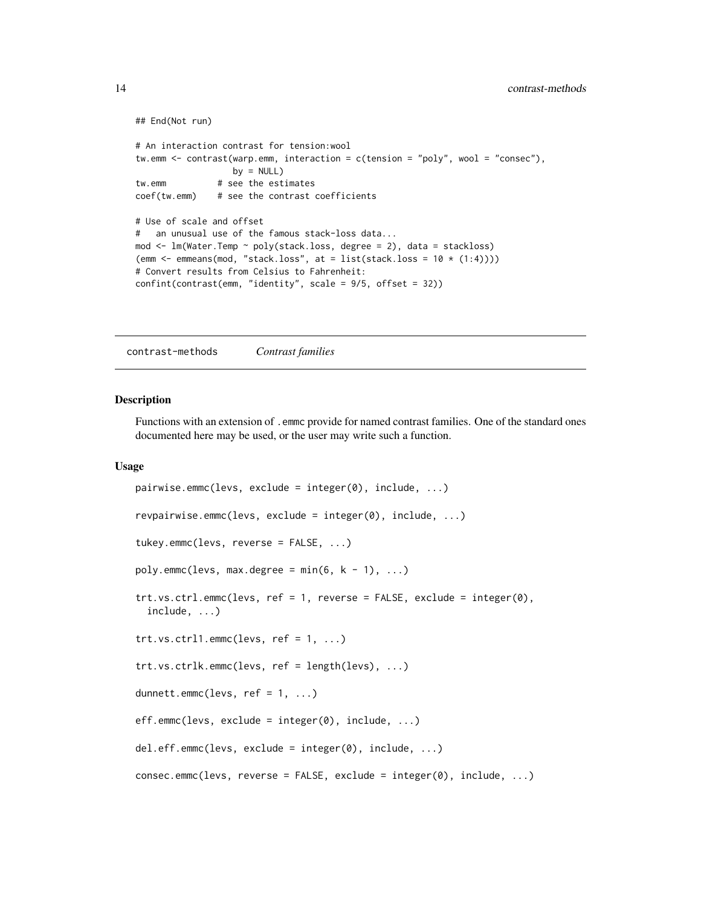```
## End(Not run)
# An interaction contrast for tension:wool
tw.emm <- contrast(warp.emm, interaction = c(tension = "poly", wool = "consec"),
                  by = NULLtw.emm # see the estimates
coef(tw.emm) # see the contrast coefficients
# Use of scale and offset
# an unusual use of the famous stack-loss data...
mod <- lm(Water.Temp ~ poly(stack.loss, degree = 2), data = stackloss)
(emm \leq emmeans(mod, "stack.loss", at = list(stack.loss = 10 \star (1:4))))
# Convert results from Celsius to Fahrenheit:
confint(contrast(emm, "identity", scale = 9/5, offset = 32))
```
contrast-methods *Contrast families*

# <span id="page-13-1"></span>Description

Functions with an extension of .emmc provide for named contrast families. One of the standard ones documented here may be used, or the user may write such a function.

#### Usage

```
pairwise.emmc(levs, exclude = integer(0), include, ...)
revpairwise.emmc(levs, exclude = integer(0), include, ...)
tukey.emmc(levs, reverse = FALSE, ...)
poly.emmc(levs, max.degree = min(6, k - 1), ...)
trt.vs.ctrl.emmc(levs, ref = 1, reverse = FALSE, exclude = integer(0),
  include, ...)
trt.vs. ctr11. emmc(levs, ref = 1, ...)trt.vs.ctrlk.emmc(levs, ref = length(levs), ...)
dunnett.emmc(levs, ref = 1, ...)
eff.emmc(levs, exclude = integer(0), include, ...)
del.eff.emmc(levs, exclude = integer(0), include, ...)
consec.emmc(levs, reverse = FALSE, exclude = integer(0), include, ...)
```
<span id="page-13-0"></span>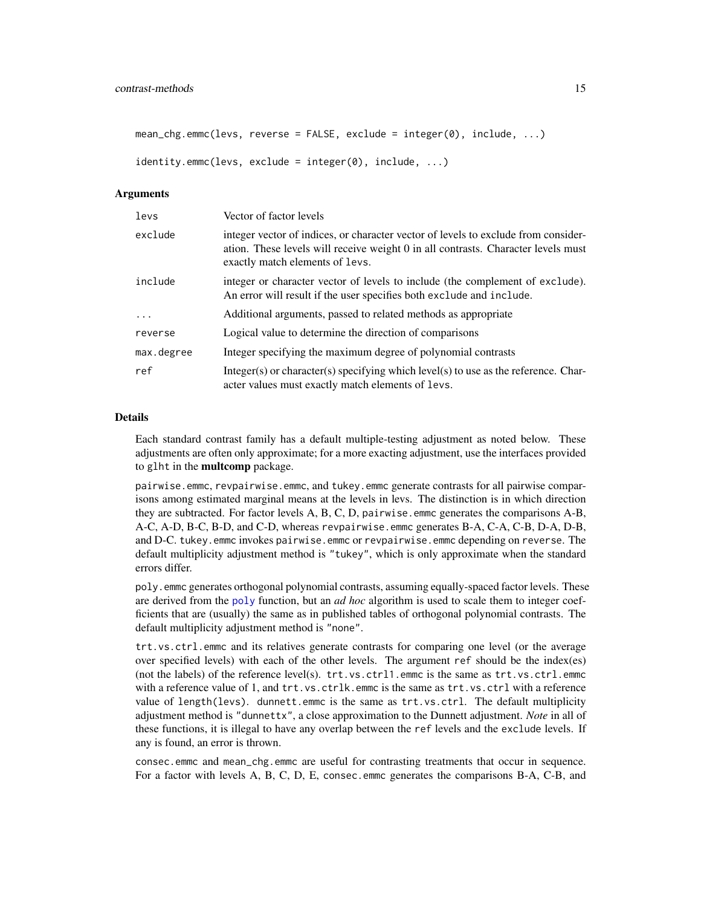```
mean_chg.emmc(levs, reverse = FALSE, exclude = integer(0), include, ...)
```

```
identity.emmc(levs, exclude = integer(0), include, ...)
```
# Arguments

| levs       | Vector of factor levels                                                                                                                                                                                    |
|------------|------------------------------------------------------------------------------------------------------------------------------------------------------------------------------------------------------------|
| exclude    | integer vector of indices, or character vector of levels to exclude from consider-<br>ation. These levels will receive weight 0 in all contrasts. Character levels must<br>exactly match elements of levs. |
| include    | integer or character vector of levels to include (the complement of exclude).<br>An error will result if the user specifies both exclude and include.                                                      |
| $\ddots$ . | Additional arguments, passed to related methods as appropriate                                                                                                                                             |
| reverse    | Logical value to determine the direction of comparisons                                                                                                                                                    |
| max.degree | Integer specifying the maximum degree of polynomial contrasts                                                                                                                                              |
| ref        | Integer(s) or character(s) specifying which level(s) to use as the reference. Char-<br>acter values must exactly match elements of levs.                                                                   |

#### Details

Each standard contrast family has a default multiple-testing adjustment as noted below. These adjustments are often only approximate; for a more exacting adjustment, use the interfaces provided to glht in the multcomp package.

pairwise.emmc, revpairwise.emmc, and tukey.emmc generate contrasts for all pairwise comparisons among estimated marginal means at the levels in levs. The distinction is in which direction they are subtracted. For factor levels A, B, C, D, pairwise.emmc generates the comparisons A-B, A-C, A-D, B-C, B-D, and C-D, whereas revpairwise.emmc generates B-A, C-A, C-B, D-A, D-B, and D-C. tukey.emmc invokes pairwise.emmc or revpairwise.emmc depending on reverse. The default multiplicity adjustment method is "tukey", which is only approximate when the standard errors differ.

poly.emmc generates orthogonal polynomial contrasts, assuming equally-spaced factor levels. These are derived from the [poly](#page-0-0) function, but an *ad hoc* algorithm is used to scale them to integer coefficients that are (usually) the same as in published tables of orthogonal polynomial contrasts. The default multiplicity adjustment method is "none".

trt.vs.ctrl.emmc and its relatives generate contrasts for comparing one level (or the average over specified levels) with each of the other levels. The argument ref should be the index(es) (not the labels) of the reference level(s).  $trt.vs.ctr11.$ emmc is the same as  $trt.vs.ctr1.$ emmc with a reference value of 1, and trt.vs.ctrlk.emmc is the same as trt.vs.ctrl with a reference value of length(levs). dunnett.emmc is the same as trt.vs.ctrl. The default multiplicity adjustment method is "dunnettx", a close approximation to the Dunnett adjustment. *Note* in all of these functions, it is illegal to have any overlap between the ref levels and the exclude levels. If any is found, an error is thrown.

consec.emmc and mean\_chg.emmc are useful for contrasting treatments that occur in sequence. For a factor with levels A, B, C, D, E, consec.emmc generates the comparisons B-A, C-B, and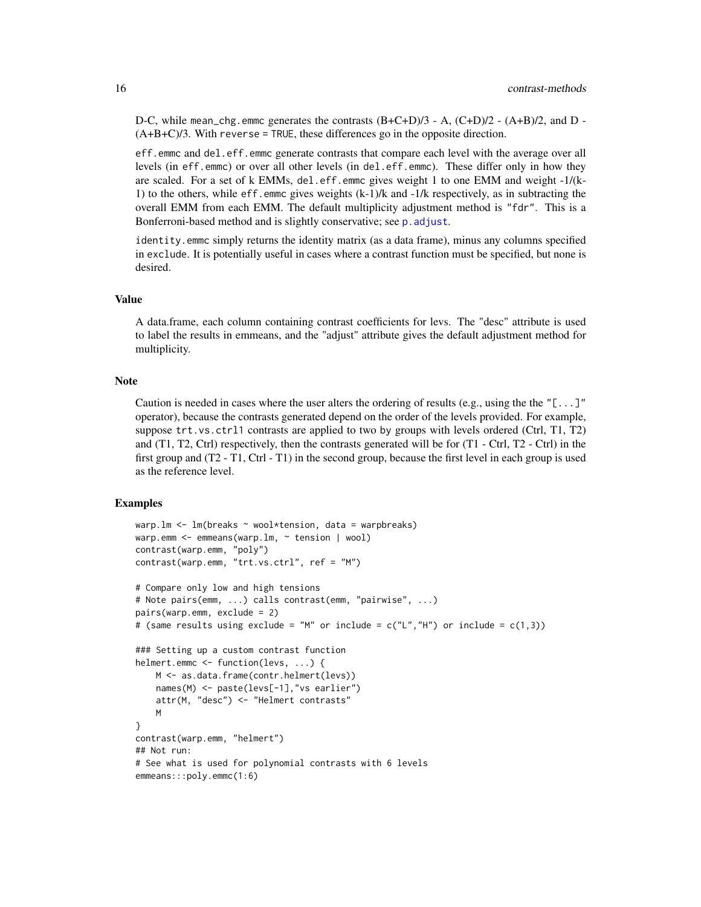D-C, while mean\_chg.emmc generates the contrasts  $(B+C+D)/3$  - A,  $(C+D)/2$  -  $(A+B)/2$ , and D - $(A+B+C)/3$ . With reverse = TRUE, these differences go in the opposite direction.

eff.emmc and del.eff.emmc generate contrasts that compare each level with the average over all levels (in eff.emmc) or over all other levels (in del.eff.emmc). These differ only in how they are scaled. For a set of k EMMs, del.eff.emmc gives weight 1 to one EMM and weight -1/(k-1) to the others, while eff.emmc gives weights (k-1)/k and -1/k respectively, as in subtracting the overall EMM from each EMM. The default multiplicity adjustment method is "fdr". This is a Bonferroni-based method and is slightly conservative; see [p.adjust](#page-0-0).

identity.emmc simply returns the identity matrix (as a data frame), minus any columns specified in exclude. It is potentially useful in cases where a contrast function must be specified, but none is desired.

#### Value

A data.frame, each column containing contrast coefficients for levs. The "desc" attribute is used to label the results in emmeans, and the "adjust" attribute gives the default adjustment method for multiplicity.

# Note

Caution is needed in cases where the user alters the ordering of results (e.g., using the the " $[\ldots]$ " operator), because the contrasts generated depend on the order of the levels provided. For example, suppose trt.vs.ctrl1 contrasts are applied to two by groups with levels ordered (Ctrl, T1, T2) and  $(T1, T2, Ctr)$  respectively, then the contrasts generated will be for  $(T1 - Ctrl, T2 - Ctrl)$  in the first group and (T2 - T1, Ctrl - T1) in the second group, because the first level in each group is used as the reference level.

```
warp.lm \leq lm(breaks \sim wool*tension, data = warpbreaks)
warp.emm \leq emmeans(warp.lm, \sim tension | wool)
contrast(warp.emm, "poly")
contrast(warp.emm, "trt.vs.ctrl", ref = "M")
# Compare only low and high tensions
# Note pairs(emm, ...) calls contrast(emm, "pairwise", ...)
pairs(warp.emm, exclude = 2)
# (same results using exclude = "M" or include = c("L", "H") or include = c(1,3))
### Setting up a custom contrast function
helmert.emmc <- function(levs, ...) {
   M <- as.data.frame(contr.helmert(levs))
   names(M) <- paste(levs[-1],"vs earlier")
   attr(M, "desc") <- "Helmert contrasts"
   M
}
contrast(warp.emm, "helmert")
## Not run:
# See what is used for polynomial contrasts with 6 levels
emmeans:::poly.emmc(1:6)
```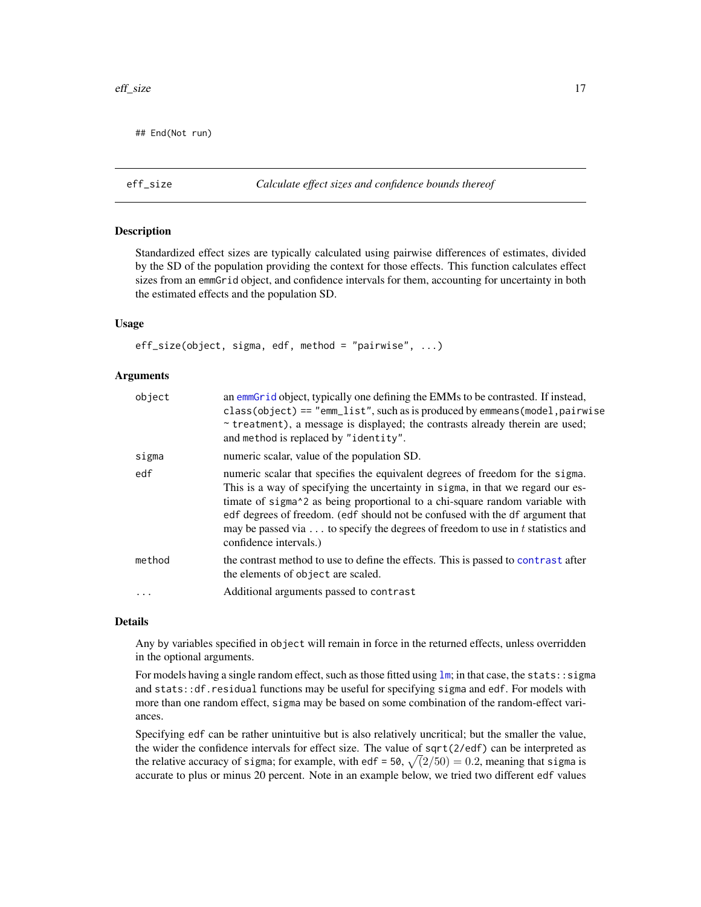<span id="page-16-0"></span>## End(Not run)

eff\_size *Calculate effect sizes and confidence bounds thereof*

# Description

Standardized effect sizes are typically calculated using pairwise differences of estimates, divided by the SD of the population providing the context for those effects. This function calculates effect sizes from an emmGrid object, and confidence intervals for them, accounting for uncertainty in both the estimated effects and the population SD.

# Usage

 $eff\_size(object, sigma, edf, method = "pairwise", ...)$ 

# Arguments

| object | an emmGrid object, typically one defining the EMMs to be contrasted. If instead,<br>class(object) == "emm_list", such as is produced by emmeans(model, pairwise<br>~ treatment), a message is displayed; the contrasts already therein are used;<br>and method is replaced by "identity".                                                                                                                                                                                              |
|--------|----------------------------------------------------------------------------------------------------------------------------------------------------------------------------------------------------------------------------------------------------------------------------------------------------------------------------------------------------------------------------------------------------------------------------------------------------------------------------------------|
| sigma  | numeric scalar, value of the population SD.                                                                                                                                                                                                                                                                                                                                                                                                                                            |
| edf    | numeric scalar that specifies the equivalent degrees of freedom for the sigma.<br>This is a way of specifying the uncertainty in sigma, in that we regard our es-<br>timate of sigma <sup><math>\lambda</math></sup> 2 as being proportional to a chi-square random variable with<br>edf degrees of freedom. (edf should not be confused with the df argument that<br>may be passed via $\dots$ to specify the degrees of freedom to use in t statistics and<br>confidence intervals.) |
| method | the contrast method to use to define the effects. This is passed to contrast after<br>the elements of object are scaled.                                                                                                                                                                                                                                                                                                                                                               |
|        | Additional arguments passed to contrast                                                                                                                                                                                                                                                                                                                                                                                                                                                |

#### Details

Any by variables specified in object will remain in force in the returned effects, unless overridden in the optional arguments.

For models having a single random effect, such as those fitted using [lm](#page-0-0); in that case, the stats: : sigma and stats::df.residual functions may be useful for specifying sigma and edf. For models with more than one random effect, sigma may be based on some combination of the random-effect variances.

Specifying edf can be rather unintuitive but is also relatively uncritical; but the smaller the value, the wider the confidence intervals for effect size. The value of sqrt(2/edf) can be interpreted as the relative accuracy of sigma; for example, with edf = 50,  $\sqrt(2/50) = 0.2$ , meaning that sigma is accurate to plus or minus 20 percent. Note in an example below, we tried two different edf values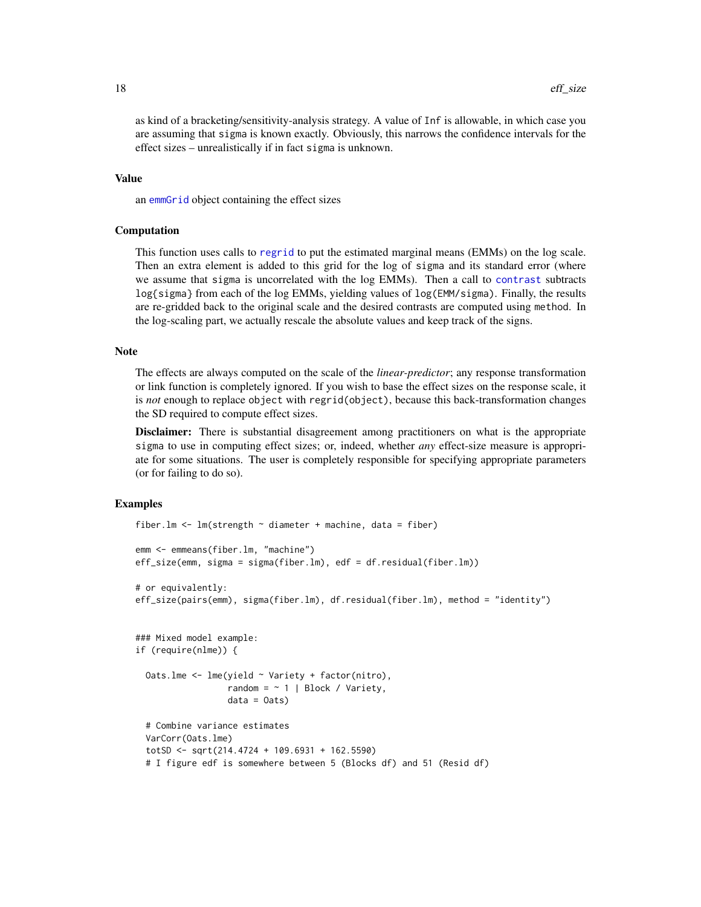as kind of a bracketing/sensitivity-analysis strategy. A value of Inf is allowable, in which case you are assuming that sigma is known exactly. Obviously, this narrows the confidence intervals for the effect sizes – unrealistically if in fact sigma is unknown.

#### Value

an [emmGrid](#page-23-1) object containing the effect sizes

# Computation

This function uses calls to [regrid](#page-66-1) to put the estimated marginal means (EMMs) on the log scale. Then an extra element is added to this grid for the log of sigma and its standard error (where we assume that sigma is uncorrelated with the log EMMs). Then a call to [contrast](#page-10-1) subtracts log{sigma} from each of the log EMMs, yielding values of log(EMM/sigma). Finally, the results are re-gridded back to the original scale and the desired contrasts are computed using method. In the log-scaling part, we actually rescale the absolute values and keep track of the signs.

#### **Note**

The effects are always computed on the scale of the *linear-predictor*; any response transformation or link function is completely ignored. If you wish to base the effect sizes on the response scale, it is *not* enough to replace object with regrid(object), because this back-transformation changes the SD required to compute effect sizes.

Disclaimer: There is substantial disagreement among practitioners on what is the appropriate sigma to use in computing effect sizes; or, indeed, whether *any* effect-size measure is appropriate for some situations. The user is completely responsible for specifying appropriate parameters (or for failing to do so).

```
fiber.lm <- lm(strength \sim diameter + machine, data = fiber)
emm <- emmeans(fiber.lm, "machine")
eff_size(emm, sigma = sigma(fiber.lm), edf = df.residual(fiber.lm))
# or equivalently:
eff_size(pairs(emm), sigma(fiber.lm), df.residual(fiber.lm), method = "identity")
### Mixed model example:
if (require(nlme)) {
 Oats.lme <- lme(yield ~ Variety + factor(nitro),
                  random = \sim 1 | Block / Variety,
                  data = 0ats)# Combine variance estimates
 VarCorr(Oats.lme)
 totSD <- sqrt(214.4724 + 109.6931 + 162.5590)
 # I figure edf is somewhere between 5 (Blocks df) and 51 (Resid df)
```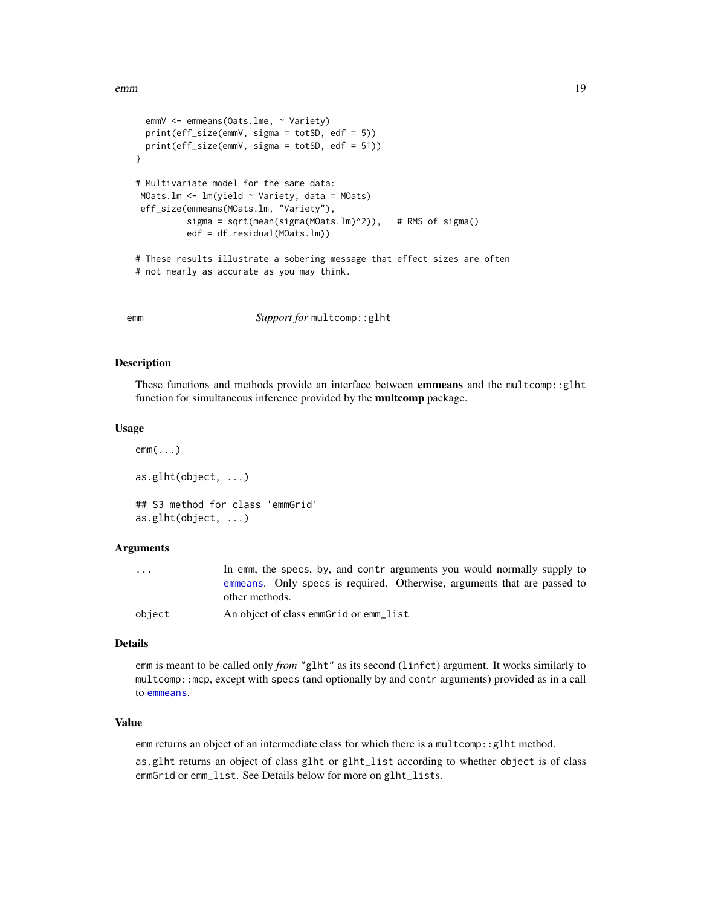```
emmV <- emmeans(Oats.lme, ~ Variety)
 print(eff_size(emmV, sigma = totSD, edf = 5))
 print(eff_size(emmV, sigma = totSD, edf = 51))
}
# Multivariate model for the same data:
MOats.lm <- lm(yield ~ Variety, data = MOats)
eff_size(emmeans(MOats.lm, "Variety"),
         sigma = sqrt(mean(sigma(MOats.lm)^2)), # RMS of sigma()
          edf = df.residual(MOats.lm))
# These results illustrate a sobering message that effect sizes are often
# not nearly as accurate as you may think.
```
<span id="page-18-2"></span>

emm *Support for* multcomp::glht

#### <span id="page-18-1"></span>Description

These functions and methods provide an interface between emmeans and the multcomp::glht function for simultaneous inference provided by the multcomp package.

#### Usage

```
emm(...)
as.glht(object, ...)
## S3 method for class 'emmGrid'
as.glht(object, ...)
```
# **Arguments**

| $\cdot$ $\cdot$ $\cdot$ | In emm, the specs, by, and contrarguments you would normally supply to   |
|-------------------------|--------------------------------------------------------------------------|
|                         | emmeans. Only specs is required. Otherwise, arguments that are passed to |
|                         | other methods.                                                           |
| obiect                  | An object of class emmGrid or emm_list                                   |

#### Details

emm is meant to be called only *from* "glht" as its second (linfct) argument. It works similarly to multcomp::mcp, except with specs (and optionally by and contr arguments) provided as in a call to [emmeans](#page-19-1).

# Value

emm returns an object of an intermediate class for which there is a multcomp::glht method.

as.glht returns an object of class glht or glht\_list according to whether object is of class emmGrid or emm\_list. See Details below for more on glht\_lists.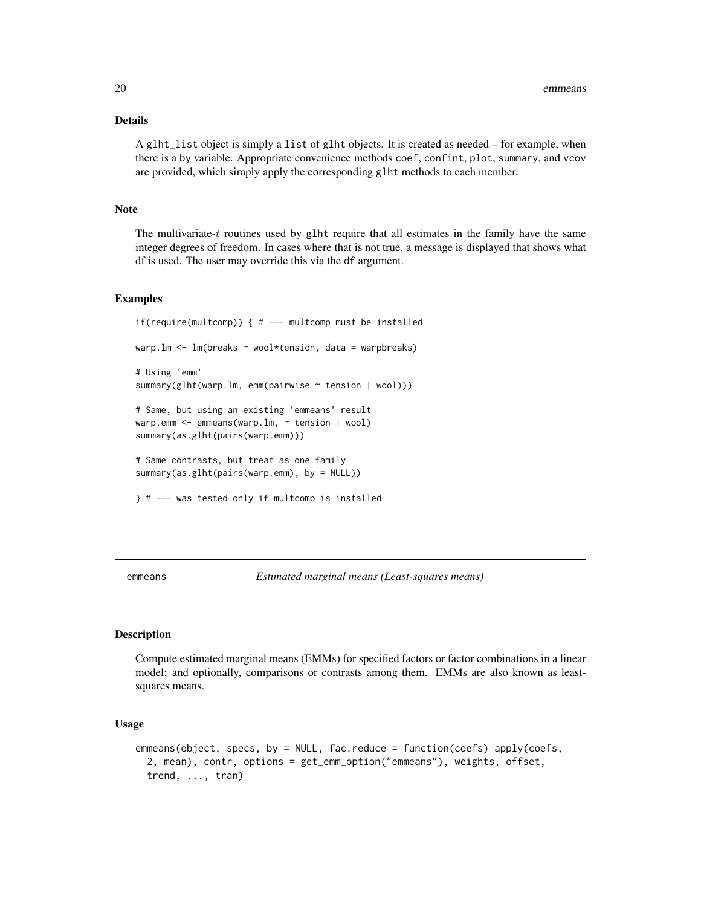# <span id="page-19-0"></span>Details

A glht\_list object is simply a list of glht objects. It is created as needed – for example, when there is a by variable. Appropriate convenience methods coef, confint, plot, summary, and vcov are provided, which simply apply the corresponding glht methods to each member.

# **Note**

The multivariate-t routines used by glht require that all estimates in the family have the same integer degrees of freedom. In cases where that is not true, a message is displayed that shows what df is used. The user may override this via the df argument.

# Examples

```
if(require(multcomp)) { # --- multcomp must be installed
warp.lm <- lm(breaks ~ wool*tension, data = warpbreaks)
# Using 'emm'
summary(glht(warp.lm, emm(pairwise ~ tension | wool)))
# Same, but using an existing 'emmeans' result
warp.emm <- emmeans(warp.lm, ~ tension | wool)
summary(as.glht(pairs(warp.emm)))
# Same contrasts, but treat as one family
summary(as.glht(pairs(warp.emm), by = NULL))
} # --- was tested only if multcomp is installed
```
<span id="page-19-1"></span>emmeans *Estimated marginal means (Least-squares means)*

# Description

Compute estimated marginal means (EMMs) for specified factors or factor combinations in a linear model; and optionally, comparisons or contrasts among them. EMMs are also known as leastsquares means.

# Usage

```
emmeans(object, specs, by = NULL, fac.reduce = function(coefs) apply(coefs,
  2, mean), contr, options = get_emm_option("emmeans"), weights, offset,
  trend, ..., tran)
```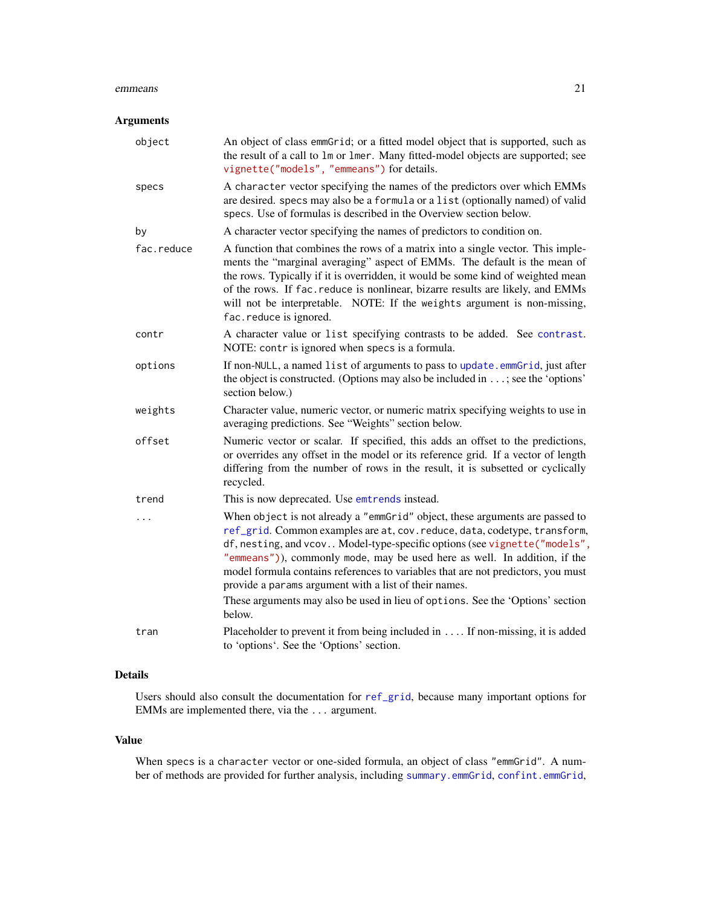#### emmeans 21

# Arguments

| object     | An object of class emmGrid; or a fitted model object that is supported, such as<br>the result of a call to 1m or 1mer. Many fitted-model objects are supported; see<br>vignette("models", "emmeans") for details.                                                                                                                                                                                                                                                                                                                                             |
|------------|---------------------------------------------------------------------------------------------------------------------------------------------------------------------------------------------------------------------------------------------------------------------------------------------------------------------------------------------------------------------------------------------------------------------------------------------------------------------------------------------------------------------------------------------------------------|
| specs      | A character vector specifying the names of the predictors over which EMMs<br>are desired. specs may also be a formula or a list (optionally named) of valid<br>specs. Use of formulas is described in the Overview section below.                                                                                                                                                                                                                                                                                                                             |
| by         | A character vector specifying the names of predictors to condition on.                                                                                                                                                                                                                                                                                                                                                                                                                                                                                        |
| fac.reduce | A function that combines the rows of a matrix into a single vector. This imple-<br>ments the "marginal averaging" aspect of EMMs. The default is the mean of<br>the rows. Typically if it is overridden, it would be some kind of weighted mean<br>of the rows. If fac. reduce is nonlinear, bizarre results are likely, and EMMs<br>will not be interpretable. NOTE: If the weights argument is non-missing,<br>fac.reduce is ignored.                                                                                                                       |
| contr      | A character value or list specifying contrasts to be added. See contrast.<br>NOTE: contr is ignored when specs is a formula.                                                                                                                                                                                                                                                                                                                                                                                                                                  |
| options    | If non-NULL, a named list of arguments to pass to update.emmGrid, just after<br>the object is constructed. (Options may also be included in $\dots$ ; see the 'options'<br>section below.)                                                                                                                                                                                                                                                                                                                                                                    |
| weights    | Character value, numeric vector, or numeric matrix specifying weights to use in<br>averaging predictions. See "Weights" section below.                                                                                                                                                                                                                                                                                                                                                                                                                        |
| offset     | Numeric vector or scalar. If specified, this adds an offset to the predictions,<br>or overrides any offset in the model or its reference grid. If a vector of length<br>differing from the number of rows in the result, it is subsetted or cyclically<br>recycled.                                                                                                                                                                                                                                                                                           |
| trend      | This is now deprecated. Use emtrends instead.                                                                                                                                                                                                                                                                                                                                                                                                                                                                                                                 |
| .          | When object is not already a "emmGrid" object, these arguments are passed to<br>ref_grid. Common examples are at, cov. reduce, data, codetype, transform,<br>df, nesting, and vcov Model-type-specific options (see vignette ("models",<br>"emmeans")), commonly mode, may be used here as well. In addition, if the<br>model formula contains references to variables that are not predictors, you must<br>provide a params argument with a list of their names.<br>These arguments may also be used in lieu of options. See the 'Options' section<br>below. |
| tran       | Placeholder to prevent it from being included in If non-missing, it is added<br>to 'options'. See the 'Options' section.                                                                                                                                                                                                                                                                                                                                                                                                                                      |

# Details

Users should also consult the documentation for [ref\\_grid](#page-61-1), because many important options for EMMs are implemented there, via the ... argument.

# Value

When specs is a character vector or one-sided formula, an object of class "emmGrid". A number of methods are provided for further analysis, including [summary.emmGrid](#page-69-1), [confint.emmGrid](#page-69-2),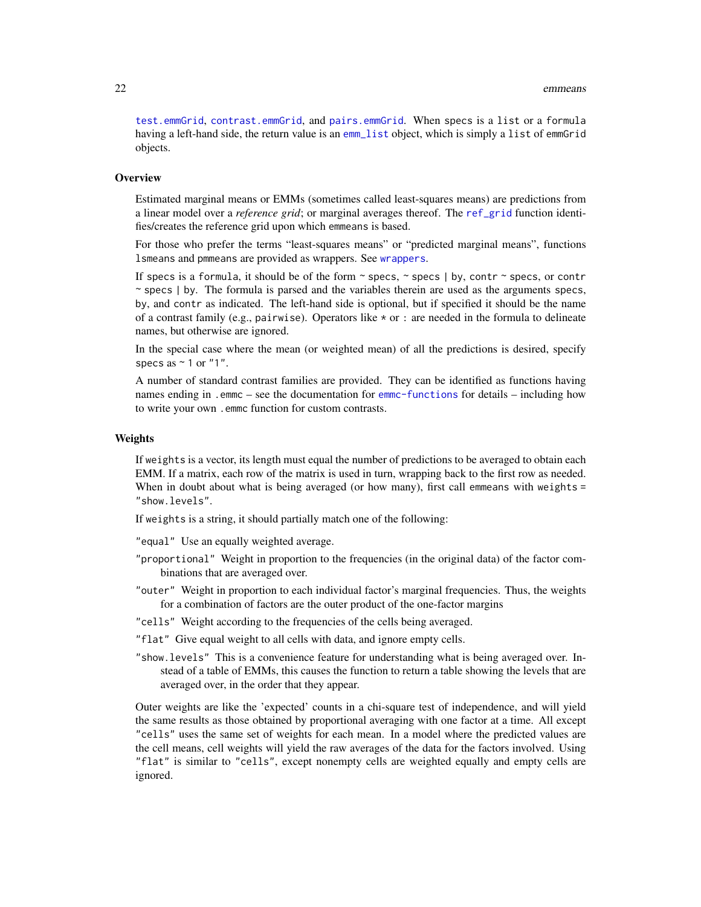[test.emmGrid](#page-69-2), [contrast.emmGrid](#page-10-2), and [pairs.emmGrid](#page-10-2). When specs is a list or a formula having a left-hand side, the return value is an [emm\\_list](#page-29-1) object, which is simply a list of emmGrid objects.

# **Overview**

Estimated marginal means or EMMs (sometimes called least-squares means) are predictions from a linear model over a *reference grid*; or marginal averages thereof. The [ref\\_grid](#page-61-1) function identifies/creates the reference grid upon which emmeans is based.

For those who prefer the terms "least-squares means" or "predicted marginal means", functions lsmeans and pmmeans are provided as wrappers. See [wrappers](#page-43-1).

If specs is a formula, it should be of the form  $\sim$  specs,  $\sim$  specs | by, contr  $\sim$  specs, or contr ~ specs | by. The formula is parsed and the variables therein are used as the arguments specs, by, and contr as indicated. The left-hand side is optional, but if specified it should be the name of a contrast family (e.g., pairwise). Operators like  $\star$  or : are needed in the formula to delineate names, but otherwise are ignored.

In the special case where the mean (or weighted mean) of all the predictions is desired, specify specs as  $\sim$  1 or "1".

A number of standard contrast families are provided. They can be identified as functions having names ending in .emmc – see the documentation for [emmc-functions](#page-13-1) for details – including how to write your own .emmc function for custom contrasts.

#### Weights

If weights is a vector, its length must equal the number of predictions to be averaged to obtain each EMM. If a matrix, each row of the matrix is used in turn, wrapping back to the first row as needed. When in doubt about what is being averaged (or how many), first call emmeans with weights = "show.levels".

If weights is a string, it should partially match one of the following:

"equal" Use an equally weighted average.

- "proportional" Weight in proportion to the frequencies (in the original data) of the factor combinations that are averaged over.
- "outer" Weight in proportion to each individual factor's marginal frequencies. Thus, the weights for a combination of factors are the outer product of the one-factor margins
- "cells" Weight according to the frequencies of the cells being averaged.
- "flat" Give equal weight to all cells with data, and ignore empty cells.
- "show.levels" This is a convenience feature for understanding what is being averaged over. Instead of a table of EMMs, this causes the function to return a table showing the levels that are averaged over, in the order that they appear.

Outer weights are like the 'expected' counts in a chi-square test of independence, and will yield the same results as those obtained by proportional averaging with one factor at a time. All except "cells" uses the same set of weights for each mean. In a model where the predicted values are the cell means, cell weights will yield the raw averages of the data for the factors involved. Using "flat" is similar to "cells", except nonempty cells are weighted equally and empty cells are ignored.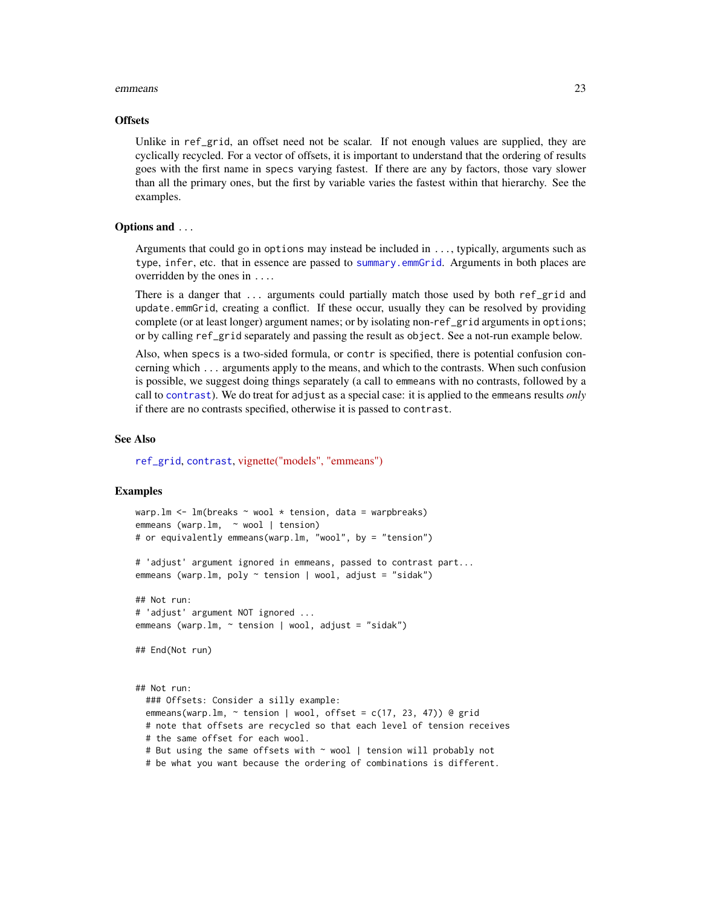#### emmeans 23

#### **Offsets**

Unlike in ref\_grid, an offset need not be scalar. If not enough values are supplied, they are cyclically recycled. For a vector of offsets, it is important to understand that the ordering of results goes with the first name in specs varying fastest. If there are any by factors, those vary slower than all the primary ones, but the first by variable varies the fastest within that hierarchy. See the examples.

# Options and ...

Arguments that could go in options may instead be included in ..., typically, arguments such as type, infer, etc. that in essence are passed to [summary.emmGrid](#page-69-1). Arguments in both places are overridden by the ones in ....

There is a danger that ... arguments could partially match those used by both ref\_grid and update.emmGrid, creating a conflict. If these occur, usually they can be resolved by providing complete (or at least longer) argument names; or by isolating non-ref\_grid arguments in options; or by calling ref\_grid separately and passing the result as object. See a not-run example below.

Also, when specs is a two-sided formula, or contr is specified, there is potential confusion concerning which ... arguments apply to the means, and which to the contrasts. When such confusion is possible, we suggest doing things separately (a call to emmeans with no contrasts, followed by a call to [contrast](#page-10-1)). We do treat for adjust as a special case: it is applied to the emmeans results *only* if there are no contrasts specified, otherwise it is passed to contrast.

#### See Also

[ref\\_grid](#page-61-1), [contrast](#page-10-1), [vignette\("models", "emmeans"\)](../doc/models.html)

```
warp.lm <- lm(breaks ~ wool ~ * tension, data = warphreaks)emmeans (warp.lm, ~ wool | tension)
# or equivalently emmeans(warp.lm, "wool", by = "tension")
# 'adjust' argument ignored in emmeans, passed to contrast part...
emmeans (warp.lm, poly \sim tension | wool, adjust = "sidak")
## Not run:
# 'adjust' argument NOT ignored ...
emmeans (warp.lm, \sim tension | wool, adjust = "sidak")
## End(Not run)
## Not run:
 ### Offsets: Consider a silly example:
 emmeans(warp.lm, \sim tension | wool, offset = c(17, 23, 47)) @ grid
 # note that offsets are recycled so that each level of tension receives
 # the same offset for each wool.
 # But using the same offsets with ~ wool | tension will probably not
 # be what you want because the ordering of combinations is different.
```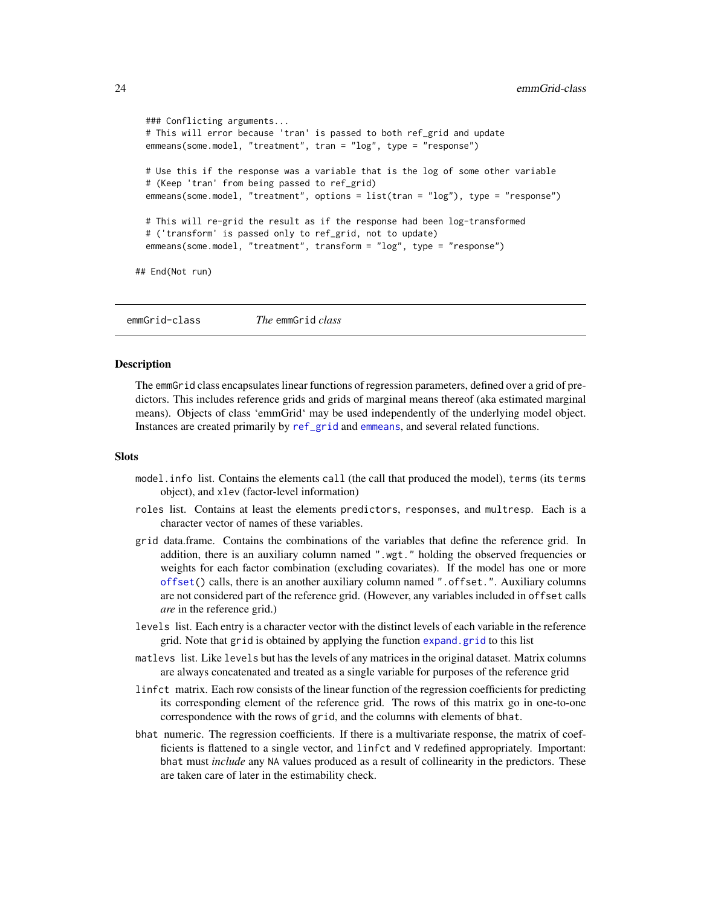```
### Conflicting arguments...
 # This will error because 'tran' is passed to both ref_grid and update
 emmeans(some.model, "treatment", tran = "log", type = "response")
 # Use this if the response was a variable that is the log of some other variable
 # (Keep 'tran' from being passed to ref_grid)
 emmeans(some.model, "treatment", options = list(tran = "log"), type = "response")
 # This will re-grid the result as if the response had been log-transformed
 # ('transform' is passed only to ref_grid, not to update)
 emmeans(some.model, "treatment", transform = "log", type = "response")
## End(Not run)
```
<span id="page-23-1"></span>emmGrid-class *The* emmGrid *class*

# Description

The emmGrid class encapsulates linear functions of regression parameters, defined over a grid of predictors. This includes reference grids and grids of marginal means thereof (aka estimated marginal means). Objects of class 'emmGrid' may be used independently of the underlying model object. Instances are created primarily by [ref\\_grid](#page-61-1) and [emmeans](#page-19-1), and several related functions.

#### **Slots**

- model.info list. Contains the elements call (the call that produced the model), terms (its terms object), and xlev (factor-level information)
- roles list. Contains at least the elements predictors, responses, and multresp. Each is a character vector of names of these variables.
- grid data.frame. Contains the combinations of the variables that define the reference grid. In addition, there is an auxiliary column named ".wgt." holding the observed frequencies or weights for each factor combination (excluding covariates). If the model has one or more [offset\(](#page-0-0)) calls, there is an another auxiliary column named ".offset.". Auxiliary columns are not considered part of the reference grid. (However, any variables included in offset calls *are* in the reference grid.)
- levels list. Each entry is a character vector with the distinct levels of each variable in the reference grid. Note that grid is obtained by applying the function [expand.grid](#page-0-0) to this list
- matlevs list. Like levels but has the levels of any matrices in the original dataset. Matrix columns are always concatenated and treated as a single variable for purposes of the reference grid
- linfct matrix. Each row consists of the linear function of the regression coefficients for predicting its corresponding element of the reference grid. The rows of this matrix go in one-to-one correspondence with the rows of grid, and the columns with elements of bhat.
- bhat numeric. The regression coefficients. If there is a multivariate response, the matrix of coefficients is flattened to a single vector, and linfct and V redefined appropriately. Important: bhat must *include* any NA values produced as a result of collinearity in the predictors. These are taken care of later in the estimability check.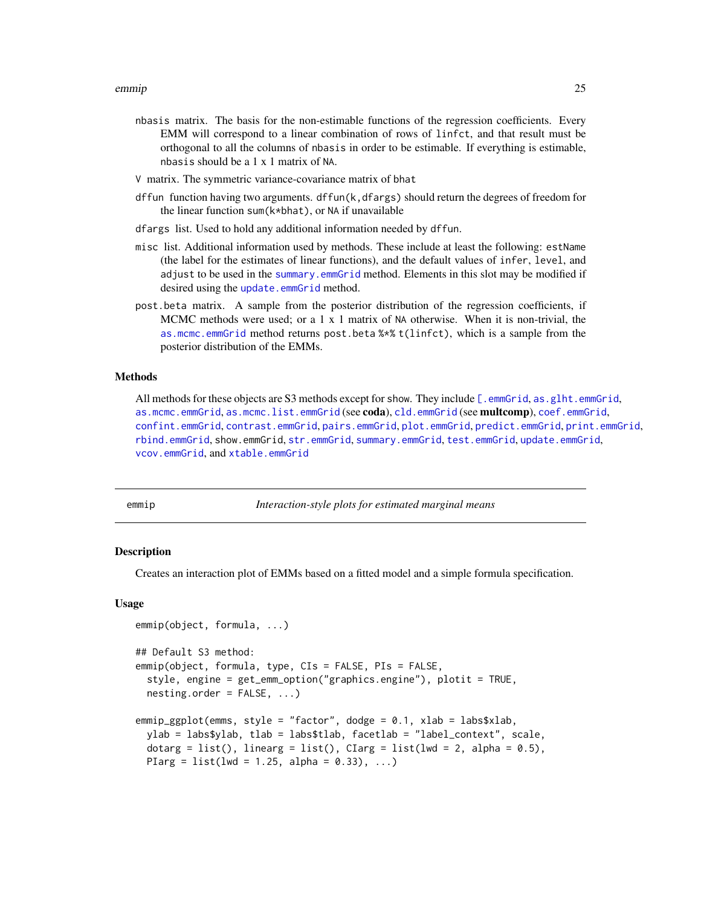- <span id="page-24-0"></span>nbasis matrix. The basis for the non-estimable functions of the regression coefficients. Every EMM will correspond to a linear combination of rows of linfct, and that result must be orthogonal to all the columns of nbasis in order to be estimable. If everything is estimable, nbasis should be a 1 x 1 matrix of NA.
- V matrix. The symmetric variance-covariance matrix of bhat
- dffun function having two arguments. dffun(k,dfargs) should return the degrees of freedom for the linear function sum(k\*bhat), or NA if unavailable
- dfargs list. Used to hold any additional information needed by dffun.
- misc list. Additional information used by methods. These include at least the following: estName (the label for the estimates of linear functions), and the default values of infer, level, and adjust to be used in the [summary.emmGrid](#page-69-1) method. Elements in this slot may be modified if desired using the [update.emmGrid](#page-77-1) method.
- post.beta matrix. A sample from the posterior distribution of the regression coefficients, if MCMC methods were used; or a 1 x 1 matrix of NA otherwise. When it is non-trivial, the [as.mcmc.emmGrid](#page-5-1) method returns post.beta %\*% t(linfct), which is a sample from the posterior distribution of the EMMs.

# Methods

All methods for these objects are S3 methods except for show. They include [\[.emmGrid](#page-59-2), [as.glht.emmGrid](#page-18-1), [as.mcmc.emmGrid](#page-5-1), [as.mcmc.list.emmGrid](#page-5-2) (see coda), [cld.emmGrid](#page-8-1) (see multcomp), [coef.emmGrid](#page-10-2), [confint.emmGrid](#page-69-2), [contrast.emmGrid](#page-10-2), [pairs.emmGrid](#page-10-2), [plot.emmGrid](#page-52-1), [predict.emmGrid](#page-69-2), [print.emmGrid](#page-69-3), [rbind.emmGrid](#page-59-1), show.emmGrid, [str.emmGrid](#page-69-4), [summary.emmGrid](#page-69-1), [test.emmGrid](#page-69-2), [update.emmGrid](#page-77-1), [vcov.emmGrid](#page-69-3), and [xtable.emmGrid](#page-80-1)

<span id="page-24-1"></span>

emmip *Interaction-style plots for estimated marginal means*

# **Description**

Creates an interaction plot of EMMs based on a fitted model and a simple formula specification.

#### Usage

```
emmip(object, formula, ...)
## Default S3 method:
emmip(object, formula, type, CIs = FALSE, PIs = FALSE,
  style, engine = get_emm_option("graphics.engine"), plotit = TRUE,
  nesting.order = FALSE, ...)
emmip_ggplot(emms, style = "factor", dodge = 0.1, xlab = labs$xlab,
 ylab = labs$ylab, tlab = labs$tlab, facetlab = "label_context", scale,
  dotarg = list(), linearg = list(), CIarg = list(lwd = 2, alpha = 0.5),
 PIarg = list(lwd = 1.25, alpha = 0.33), ...
```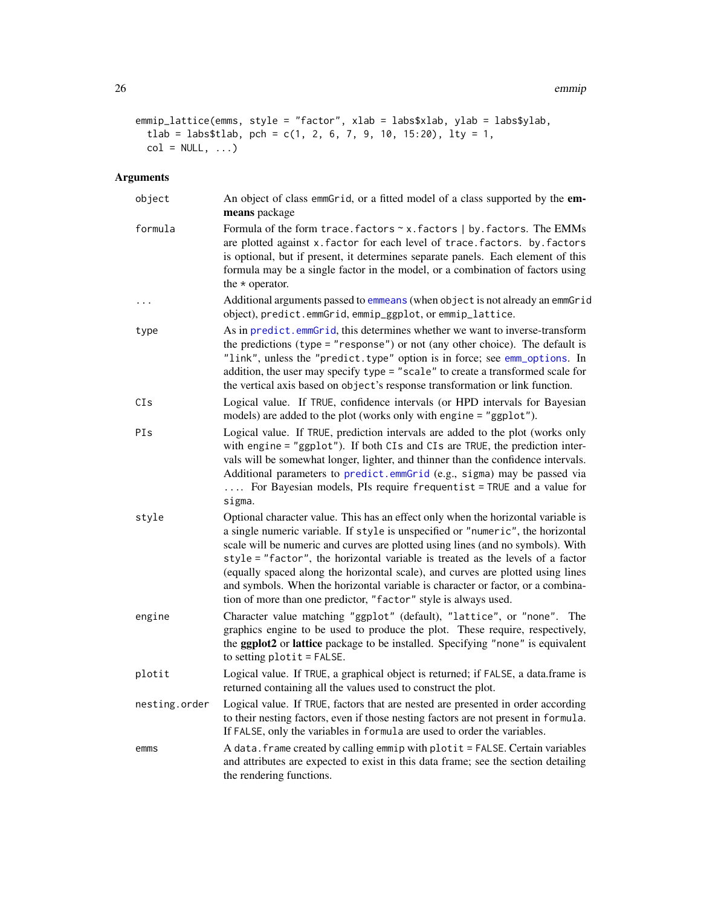```
emmip_lattice(emms, style = "factor", xlab = labs$xlab, ylab = labs$ylab,
 tlab = labs$tlab, pch = c(1, 2, 6, 7, 9, 10, 15:20), lty = 1,
 col = NULL, ...
```
# Arguments

| object        | An object of class emmGrid, or a fitted model of a class supported by the em-<br>means package                                                                                                                                                                                                                                                                                                                                                                                                                                                                                     |
|---------------|------------------------------------------------------------------------------------------------------------------------------------------------------------------------------------------------------------------------------------------------------------------------------------------------------------------------------------------------------------------------------------------------------------------------------------------------------------------------------------------------------------------------------------------------------------------------------------|
| formula       | Formula of the form trace. factors ~ x. factors   by. factors. The EMMs<br>are plotted against x. factor for each level of trace. factors. by. factors<br>is optional, but if present, it determines separate panels. Each element of this<br>formula may be a single factor in the model, or a combination of factors using<br>the $*$ operator.                                                                                                                                                                                                                                  |
| $\cdots$      | Additional arguments passed to emmeans (when object is not already an emmGrid<br>object), predict.emmGrid, emmip_ggplot, or emmip_lattice.                                                                                                                                                                                                                                                                                                                                                                                                                                         |
| type          | As in predict.emmGrid, this determines whether we want to inverse-transform<br>the predictions (type = "response") or not (any other choice). The default is<br>"link", unless the "predict.type" option is in force; see emm_options. In<br>addition, the user may specify type = "scale" to create a transformed scale for<br>the vertical axis based on object's response transformation or link function.                                                                                                                                                                      |
| CIs           | Logical value. If TRUE, confidence intervals (or HPD intervals for Bayesian<br>models) are added to the plot (works only with engine = "ggplot").                                                                                                                                                                                                                                                                                                                                                                                                                                  |
| PIs           | Logical value. If TRUE, prediction intervals are added to the plot (works only<br>with engine = "ggplot"). If both CIs and CIs are TRUE, the prediction inter-<br>vals will be somewhat longer, lighter, and thinner than the confidence intervals.<br>Additional parameters to predict.emmGrid (e.g., sigma) may be passed via<br>For Bayesian models, PIs require frequentist = TRUE and a value for<br>sigma.                                                                                                                                                                   |
| style         | Optional character value. This has an effect only when the horizontal variable is<br>a single numeric variable. If style is unspecified or "numeric", the horizontal<br>scale will be numeric and curves are plotted using lines (and no symbols). With<br>style = "factor", the horizontal variable is treated as the levels of a factor<br>(equally spaced along the horizontal scale), and curves are plotted using lines<br>and symbols. When the horizontal variable is character or factor, or a combina-<br>tion of more than one predictor, "factor" style is always used. |
| engine        | Character value matching "ggplot" (default), "lattice", or "none". The<br>graphics engine to be used to produce the plot. These require, respectively,<br>the <b>ggplot2</b> or <b>lattice</b> package to be installed. Specifying "none" is equivalent<br>to setting $plotit = FALSE$ .                                                                                                                                                                                                                                                                                           |
| plotit        | Logical value. If TRUE, a graphical object is returned; if FALSE, a data.frame is<br>returned containing all the values used to construct the plot.                                                                                                                                                                                                                                                                                                                                                                                                                                |
| nesting.order | Logical value. If TRUE, factors that are nested are presented in order according<br>to their nesting factors, even if those nesting factors are not present in formula.<br>If FALSE, only the variables in formula are used to order the variables.                                                                                                                                                                                                                                                                                                                                |
| emms          | A data. frame created by calling emmip with plotit = FALSE. Certain variables<br>and attributes are expected to exist in this data frame; see the section detailing<br>the rendering functions.                                                                                                                                                                                                                                                                                                                                                                                    |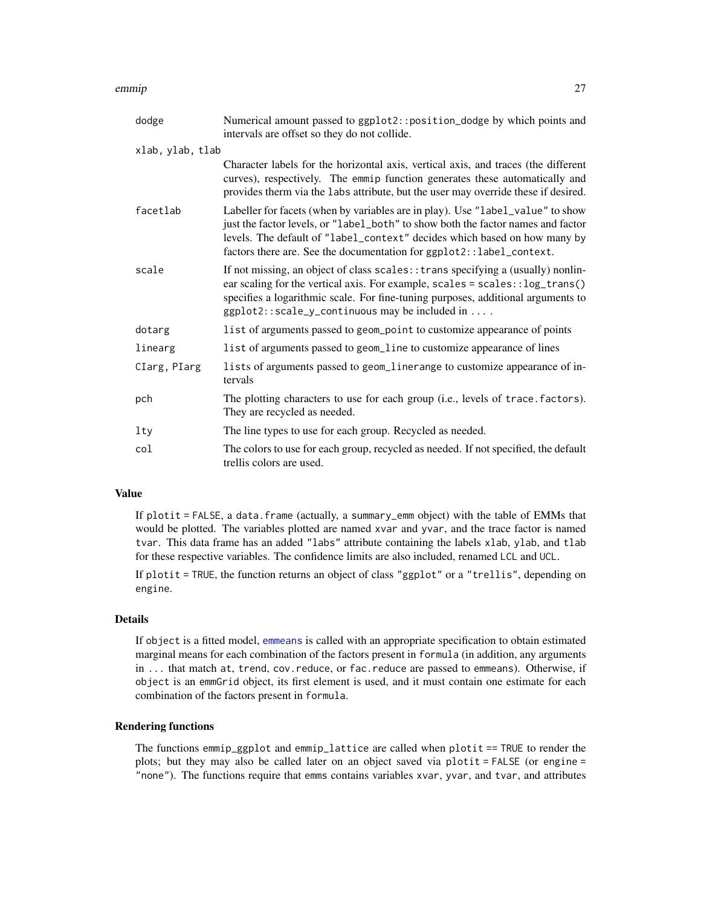#### emmip 27

| dodge            | Numerical amount passed to ggplot2:: position_dodge by which points and<br>intervals are offset so they do not collide.                                                                                                                                                                                                 |
|------------------|-------------------------------------------------------------------------------------------------------------------------------------------------------------------------------------------------------------------------------------------------------------------------------------------------------------------------|
| xlab, ylab, tlab |                                                                                                                                                                                                                                                                                                                         |
|                  | Character labels for the horizontal axis, vertical axis, and traces (the different<br>curves), respectively. The emmip function generates these automatically and<br>provides therm via the labs attribute, but the user may override these if desired.                                                                 |
| facetlab         | Labeller for facets (when by variables are in play). Use "label_value" to show<br>just the factor levels, or "label_both" to show both the factor names and factor<br>levels. The default of "label_context" decides which based on how many by<br>factors there are. See the documentation for ggplot2::label_context. |
| scale            | If not missing, an object of class scales: : trans specifying a (usually) nonlin-<br>ear scaling for the vertical axis. For example, scales = scales::log_trans()<br>specifies a logarithmic scale. For fine-tuning purposes, additional arguments to<br>ggplot2::scale_y_continuous may be included in                 |
| dotarg           | list of arguments passed to geom_point to customize appearance of points                                                                                                                                                                                                                                                |
| linearg          | list of arguments passed to geom_line to customize appearance of lines                                                                                                                                                                                                                                                  |
| CIarg, PIarg     | lists of arguments passed to geom_linerange to customize appearance of in-<br>tervals                                                                                                                                                                                                                                   |
| pch              | The plotting characters to use for each group (i.e., levels of trace. factors).<br>They are recycled as needed.                                                                                                                                                                                                         |
| lty              | The line types to use for each group. Recycled as needed.                                                                                                                                                                                                                                                               |
| col              | The colors to use for each group, recycled as needed. If not specified, the default<br>trellis colors are used.                                                                                                                                                                                                         |

# Value

If plotit = FALSE, a data.frame (actually, a summary\_emm object) with the table of EMMs that would be plotted. The variables plotted are named xvar and yvar, and the trace factor is named tvar. This data frame has an added "labs" attribute containing the labels xlab, ylab, and tlab for these respective variables. The confidence limits are also included, renamed LCL and UCL.

If plotit = TRUE, the function returns an object of class "ggplot" or a "trellis", depending on engine.

### Details

If object is a fitted model, [emmeans](#page-19-1) is called with an appropriate specification to obtain estimated marginal means for each combination of the factors present in formula (in addition, any arguments in ... that match at, trend, cov.reduce, or fac.reduce are passed to emmeans). Otherwise, if object is an emmGrid object, its first element is used, and it must contain one estimate for each combination of the factors present in formula.

# Rendering functions

The functions emmip\_ggplot and emmip\_lattice are called when plotit == TRUE to render the plots; but they may also be called later on an object saved via plotit = FALSE (or engine = "none"). The functions require that emms contains variables xvar, yvar, and tvar, and attributes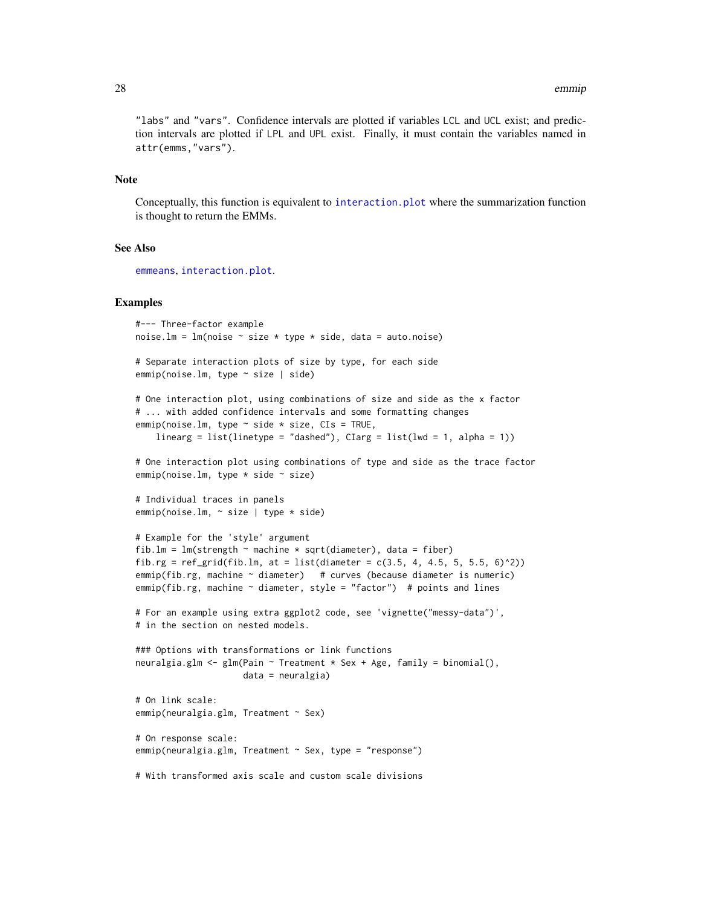"labs" and "vars". Confidence intervals are plotted if variables LCL and UCL exist; and prediction intervals are plotted if LPL and UPL exist. Finally, it must contain the variables named in attr(emms,"vars").

#### Note

Conceptually, this function is equivalent to [interaction.plot](#page-0-0) where the summarization function is thought to return the EMMs.

#### See Also

[emmeans](#page-19-1), [interaction.plot](#page-0-0).

```
#--- Three-factor example
noise.lm = lm(noise \sim size * type * side, data = auto.noise)# Separate interaction plots of size by type, for each side
emmip(noise.lm, type ~ size | side)
# One interaction plot, using combinations of size and side as the x factor
# ... with added confidence intervals and some formatting changes
emmip(noise.lm, type \sim side \star size, CIs = TRUE,
    linearg = list(linetype = "dashed"), CIarg = list(lwd = 1, alpha = 1))# One interaction plot using combinations of type and side as the trace factor
emmip(noise.lm, type * side * size)
# Individual traces in panels
emmip(noise.lm, ~ size | type * side)
# Example for the 'style' argument
fib.lm = lm(\text{strength} \sim \text{machine} \times \text{sqrt} (diameter), data = fiber)
fib.rg = ref_{grid}(fib.lm, at = list(diameter = c(3.5, 4, 4.5, 5, 5.5, 6)^2))
emmip(fib.rg, machine ~ diameter) # curves (because diameter is numeric)
emmip(fib.rg, machine \sim diameter, style = "factor") # points and lines
# For an example using extra ggplot2 code, see 'vignette("messy-data")',
# in the section on nested models.
### Options with transformations or link functions
neuralgia.glm <- glm(Pain ~ Treatment * Sex + Age, family = binomial(),
                     data = neuralgia)
# On link scale:
emmip(neuralgia.glm, Treatment ~ Sex)
# On response scale:
emmip(neuralgia.glm, Treatment ~ Sex, type = "response")
# With transformed axis scale and custom scale divisions
```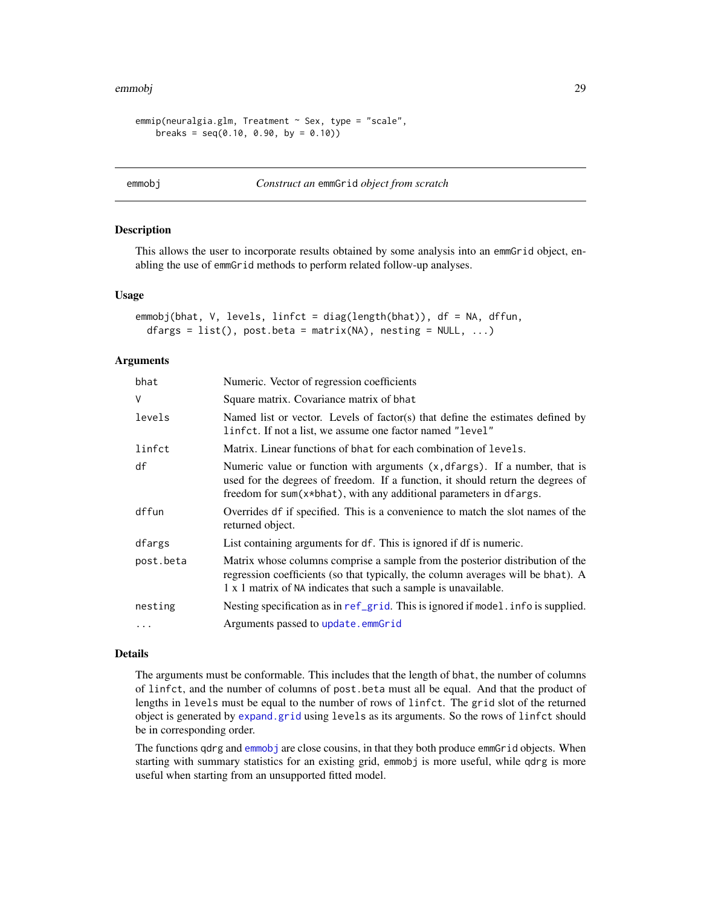```
emmip(neuralgia.glm, Treatment ~ Sex, type = "scale",
    breaks = seq(0.10, 0.90, by = 0.10)
```
# <span id="page-28-1"></span>emmobj *Construct an* emmGrid *object from scratch*

# Description

This allows the user to incorporate results obtained by some analysis into an emmGrid object, enabling the use of emmGrid methods to perform related follow-up analyses.

# Usage

```
emmobj(bhat, V, levels, linfct = diag(length(bhat)), df = NA, dffun,
  dfargs = list(), post.beta = matrix(NA), nesting = NULL, \dots)
```
# **Arguments**

| bhat       | Numeric. Vector of regression coefficients                                                                                                                                                                                                  |
|------------|---------------------------------------------------------------------------------------------------------------------------------------------------------------------------------------------------------------------------------------------|
| V          | Square matrix. Covariance matrix of bhat                                                                                                                                                                                                    |
| levels     | Named list or vector. Levels of factor(s) that define the estimates defined by<br>linfct. If not a list, we assume one factor named "level"                                                                                                 |
| linfct     | Matrix. Linear functions of bhat for each combination of levels.                                                                                                                                                                            |
| df         | Numeric value or function with arguments $(x, dfargs)$ . If a number, that is<br>used for the degrees of freedom. If a function, it should return the degrees of<br>freedom for $sum(x * bhat)$ , with any additional parameters in dfargs. |
| dffun      | Overrides df if specified. This is a convenience to match the slot names of the<br>returned object.                                                                                                                                         |
| dfargs     | List containing arguments for df. This is ignored if df is numeric.                                                                                                                                                                         |
| post.beta  | Matrix whose columns comprise a sample from the posterior distribution of the<br>regression coefficients (so that typically, the column averages will be bhat). A<br>1 x 1 matrix of NA indicates that such a sample is unavailable.        |
| nesting    | Nesting specification as in ref_grid. This is ignored if model. info is supplied.                                                                                                                                                           |
| $\ddots$ . | Arguments passed to update.emmGrid                                                                                                                                                                                                          |
|            |                                                                                                                                                                                                                                             |

# Details

The arguments must be conformable. This includes that the length of bhat, the number of columns of linfct, and the number of columns of post.beta must all be equal. And that the product of lengths in levels must be equal to the number of rows of linfct. The grid slot of the returned object is generated by [expand.grid](#page-0-0) using levels as its arguments. So the rows of linfct should be in corresponding order.

The functions qdrg and [emmobj](#page-28-1) are close cousins, in that they both produce emmGrid objects. When starting with summary statistics for an existing grid, emmobj is more useful, while qdrg is more useful when starting from an unsupported fitted model.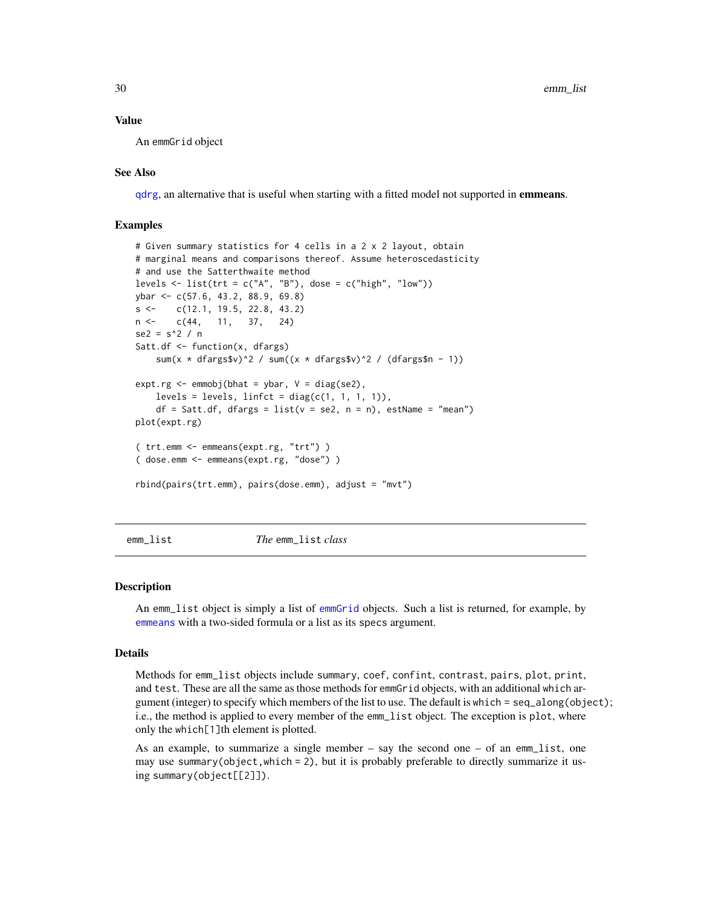#### <span id="page-29-0"></span>Value

An emmGrid object

# See Also

[qdrg](#page-57-1), an alternative that is useful when starting with a fitted model not supported in **emmeans**.

# Examples

```
# Given summary statistics for 4 cells in a 2 x 2 layout, obtain
# marginal means and comparisons thereof. Assume heteroscedasticity
# and use the Satterthwaite method
levels \le list(trt = c("A", "B"), dose = c("high", "low"))
ybar <- c(57.6, 43.2, 88.9, 69.8)
s <- c(12.1, 19.5, 22.8, 43.2)
n <- c(44, 11, 37, 24)
se2 = s^2 / nSatt.df <- function(x, dfargs)
    sum(x * dfargs$v)^2 / sum((x * dfargs$v)^2 / (dfargs$n - 1))
expt.rg \leftarrow \text{emmobj}(\text{bhat} = \text{ybar}, V = \text{diag}(se2),levels = levels, linfct = diag(c(1, 1, 1, 1)),df = Satt.df, dfargs = list(v = se2, n = n), estName = "mean")plot(expt.rg)
( trt.emm <- emmeans(expt.rg, "trt") )
( dose.emm <- emmeans(expt.rg, "dose") )
rbind(pairs(trt.emm), pairs(dose.emm), adjust = "mvt")
```
<span id="page-29-1"></span>

emm\_list *The* emm\_list *class*

#### **Description**

An emm\_list object is simply a list of [emmGrid](#page-23-1) objects. Such a list is returned, for example, by [emmeans](#page-19-1) with a two-sided formula or a list as its specs argument.

#### Details

Methods for emm\_list objects include summary, coef, confint, contrast, pairs, plot, print, and test. These are all the same as those methods for emmGrid objects, with an additional which argument (integer) to specify which members of the list to use. The default is which = seq\_along(object); i.e., the method is applied to every member of the emm\_list object. The exception is plot, where only the which[1]th element is plotted.

As an example, to summarize a single member – say the second one – of an emm\_list, one may use summary(object,which = 2), but it is probably preferable to directly summarize it using summary(object[[2]]).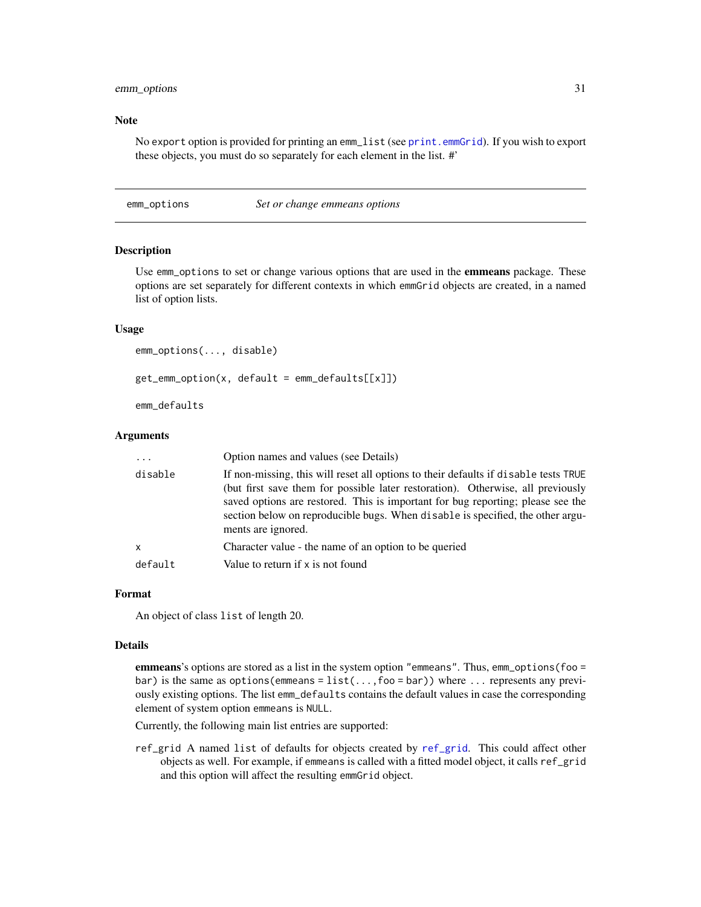# <span id="page-30-0"></span>emm\_options 31

#### Note

No export option is provided for printing an emm\_list (see [print.emmGrid](#page-69-3)). If you wish to export these objects, you must do so separately for each element in the list. #'

#### <span id="page-30-1"></span>emm\_options *Set or change emmeans options*

# Description

Use emm\_options to set or change various options that are used in the **emmeans** package. These options are set separately for different contexts in which emmGrid objects are created, in a named list of option lists.

# Usage

```
emm_options(..., disable)
get_emm_option(x, default = emm_defaults[[x]])
emm_defaults
```
# Arguments

| $\ddots$ | Option names and values (see Details)                                                                                                                                                                                                                                                                                                                             |
|----------|-------------------------------------------------------------------------------------------------------------------------------------------------------------------------------------------------------------------------------------------------------------------------------------------------------------------------------------------------------------------|
| disable  | If non-missing, this will reset all options to their defaults if disable tests TRUE<br>(but first save them for possible later restoration). Otherwise, all previously<br>saved options are restored. This is important for bug reporting; please see the<br>section below on reproducible bugs. When disable is specified, the other argu-<br>ments are ignored. |
| x        | Character value - the name of an option to be queried                                                                                                                                                                                                                                                                                                             |
| default  | Value to return if x is not found                                                                                                                                                                                                                                                                                                                                 |

# Format

An object of class list of length 20.

#### Details

emmeans's options are stored as a list in the system option "emmeans". Thus, emm\_options(foo = bar) is the same as options (emmeans =  $list(...,foo = bar))$  where  $...$  represents any previously existing options. The list emm\_defaults contains the default values in case the corresponding element of system option emmeans is NULL.

Currently, the following main list entries are supported:

ref\_grid A named list of defaults for objects created by [ref\\_grid](#page-61-1). This could affect other objects as well. For example, if emmeans is called with a fitted model object, it calls ref\_grid and this option will affect the resulting emmGrid object.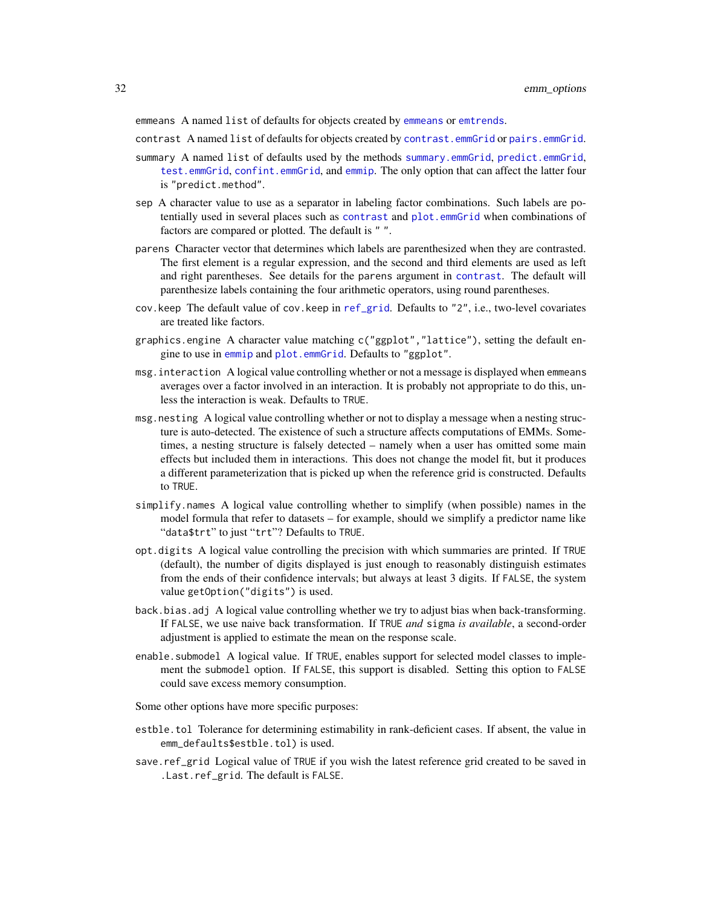emmeans A named list of defaults for objects created by [emmeans](#page-19-1) or [emtrends](#page-33-1).

contrast A named list of defaults for objects created by [contrast.emmGrid](#page-10-2) or [pairs.emmGrid](#page-10-2).

- summary A named list of defaults used by the methods [summary.emmGrid](#page-69-1), [predict.emmGrid](#page-69-2), [test.emmGrid](#page-69-2), [confint.emmGrid](#page-69-2), and [emmip](#page-24-1). The only option that can affect the latter four is "predict.method".
- sep A character value to use as a separator in labeling factor combinations. Such labels are potentially used in several places such as [contrast](#page-10-1) and [plot.emmGrid](#page-52-1) when combinations of factors are compared or plotted. The default is " ".
- parens Character vector that determines which labels are parenthesized when they are contrasted. The first element is a regular expression, and the second and third elements are used as left and right parentheses. See details for the parens argument in [contrast](#page-10-1). The default will parenthesize labels containing the four arithmetic operators, using round parentheses.
- cov.keep The default value of cov.keep in [ref\\_grid](#page-61-1). Defaults to "2", i.e., two-level covariates are treated like factors.
- graphics.engine A character value matching c("ggplot","lattice"), setting the default engine to use in [emmip](#page-24-1) and [plot.emmGrid](#page-52-1). Defaults to "ggplot".
- msg.interaction A logical value controlling whether or not a message is displayed when emmeans averages over a factor involved in an interaction. It is probably not appropriate to do this, unless the interaction is weak. Defaults to TRUE.
- msg.nesting A logical value controlling whether or not to display a message when a nesting structure is auto-detected. The existence of such a structure affects computations of EMMs. Sometimes, a nesting structure is falsely detected – namely when a user has omitted some main effects but included them in interactions. This does not change the model fit, but it produces a different parameterization that is picked up when the reference grid is constructed. Defaults to TRUE.
- simplify.names A logical value controlling whether to simplify (when possible) names in the model formula that refer to datasets – for example, should we simplify a predictor name like "data\$trt" to just "trt"? Defaults to TRUE.
- opt.digits A logical value controlling the precision with which summaries are printed. If TRUE (default), the number of digits displayed is just enough to reasonably distinguish estimates from the ends of their confidence intervals; but always at least 3 digits. If FALSE, the system value getOption("digits") is used.
- back.bias.adj A logical value controlling whether we try to adjust bias when back-transforming. If FALSE, we use naive back transformation. If TRUE *and* sigma *is available*, a second-order adjustment is applied to estimate the mean on the response scale.
- enable.submodel A logical value. If TRUE, enables support for selected model classes to implement the submodel option. If FALSE, this support is disabled. Setting this option to FALSE could save excess memory consumption.

Some other options have more specific purposes:

- estble.tol Tolerance for determining estimability in rank-deficient cases. If absent, the value in emm\_defaults\$estble.tol) is used.
- save.ref\_grid Logical value of TRUE if you wish the latest reference grid created to be saved in .Last.ref\_grid. The default is FALSE.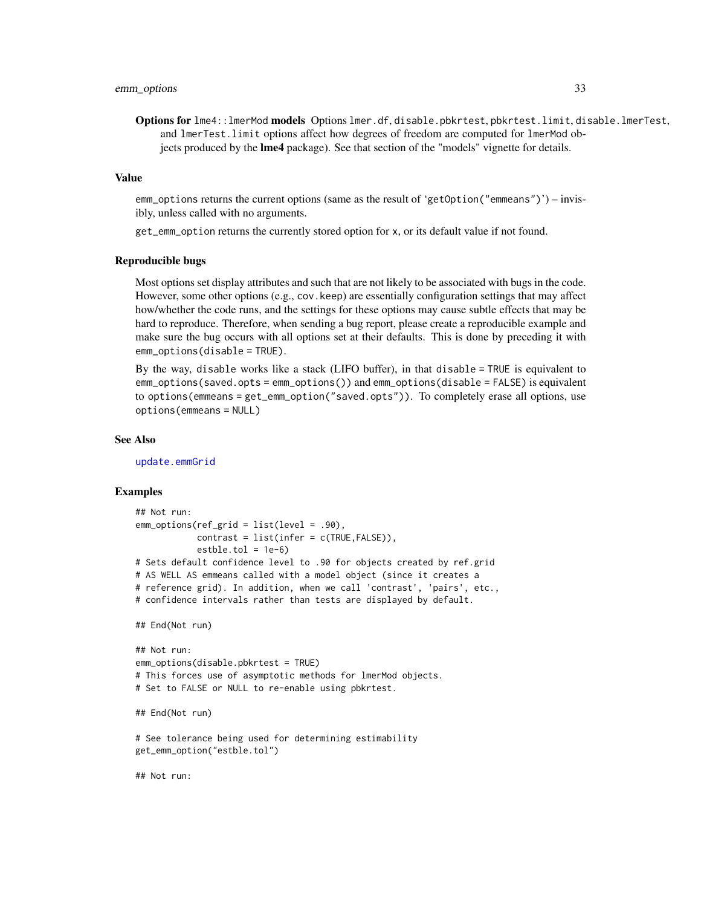Options for lme4::lmerMod models Options lmer.df, disable.pbkrtest, pbkrtest.limit, disable.lmerTest, and lmerTest.limit options affect how degrees of freedom are computed for lmerMod objects produced by the lme4 package). See that section of the "models" vignette for details.

# Value

emm\_options returns the current options (same as the result of 'getOption("emmeans")') – invisibly, unless called with no arguments.

get\_emm\_option returns the currently stored option for x, or its default value if not found.

#### Reproducible bugs

Most options set display attributes and such that are not likely to be associated with bugs in the code. However, some other options (e.g., cov.keep) are essentially configuration settings that may affect how/whether the code runs, and the settings for these options may cause subtle effects that may be hard to reproduce. Therefore, when sending a bug report, please create a reproducible example and make sure the bug occurs with all options set at their defaults. This is done by preceding it with emm\_options(disable = TRUE).

By the way, disable works like a stack (LIFO buffer), in that disable = TRUE is equivalent to emm\_options(saved.opts = emm\_options()) and emm\_options(disable = FALSE) is equivalent to options(emmeans = get\_emm\_option("saved.opts")). To completely erase all options, use options(emmeans = NULL)

#### See Also

[update.emmGrid](#page-77-1)

```
## Not run:
emm_options(ref_grid = list(level = .90),
            contrast = list(infer = c(TRUE, FALSE)).estble.tol = <math>1e-6</math>)# Sets default confidence level to .90 for objects created by ref.grid
# AS WELL AS emmeans called with a model object (since it creates a
# reference grid). In addition, when we call 'contrast', 'pairs', etc.,
# confidence intervals rather than tests are displayed by default.
## End(Not run)
## Not run:
emm_options(disable.pbkrtest = TRUE)
# This forces use of asymptotic methods for lmerMod objects.
# Set to FALSE or NULL to re-enable using pbkrtest.
## End(Not run)
# See tolerance being used for determining estimability
get_emm_option("estble.tol")
## Not run:
```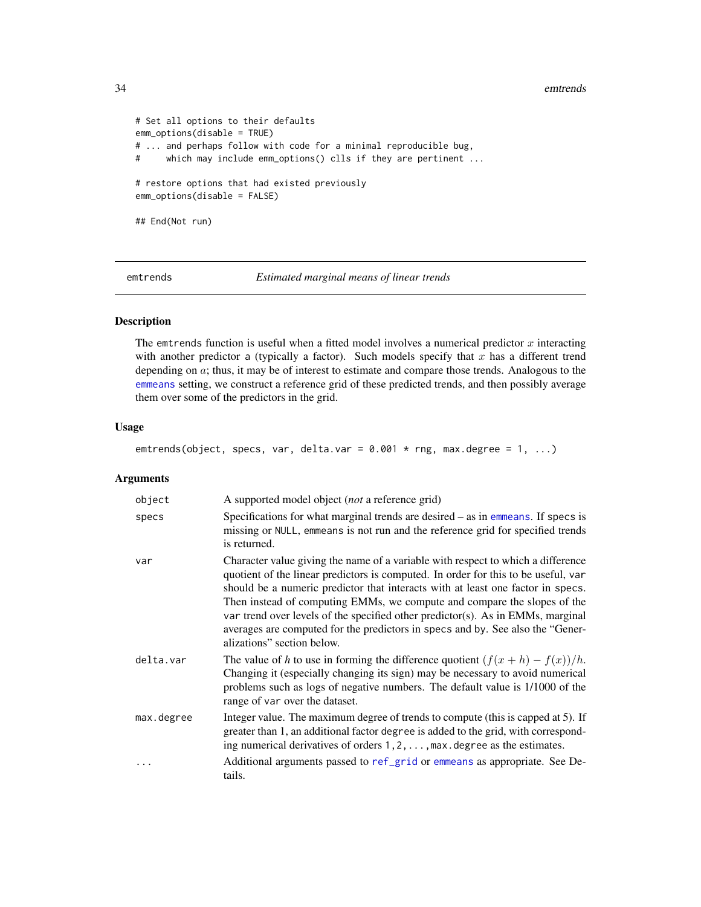34 emtrends

```
# Set all options to their defaults
emm_options(disable = TRUE)
# ... and perhaps follow with code for a minimal reproducible bug,
# which may include emm_options() clls if they are pertinent ...
# restore options that had existed previously
emm_options(disable = FALSE)
## End(Not run)
```
<span id="page-33-1"></span>emtrends *Estimated marginal means of linear trends*

# Description

The emtrends function is useful when a fitted model involves a numerical predictor  $x$  interacting with another predictor a (typically a factor). Such models specify that  $x$  has a different trend depending on a; thus, it may be of interest to estimate and compare those trends. Analogous to the [emmeans](#page-19-1) setting, we construct a reference grid of these predicted trends, and then possibly average them over some of the predictors in the grid.

# Usage

emtrends(object, specs, var, delta.var =  $0.001 * rng$ , max.degree =  $1, ...$ )

# Arguments

| object     | A supported model object ( <i>not</i> a reference grid)                                                                                                                                                                                                                                                                                                                                                                                                                                                                                  |
|------------|------------------------------------------------------------------------------------------------------------------------------------------------------------------------------------------------------------------------------------------------------------------------------------------------------------------------------------------------------------------------------------------------------------------------------------------------------------------------------------------------------------------------------------------|
| specs      | Specifications for what marginal trends are desired $-$ as in emmeans. If specs is<br>missing or NULL, emmeans is not run and the reference grid for specified trends<br>is returned.                                                                                                                                                                                                                                                                                                                                                    |
| var        | Character value giving the name of a variable with respect to which a difference<br>quotient of the linear predictors is computed. In order for this to be useful, var<br>should be a numeric predictor that interacts with at least one factor in specs.<br>Then instead of computing EMMs, we compute and compare the slopes of the<br>var trend over levels of the specified other predictor(s). As in EMMs, marginal<br>averages are computed for the predictors in specs and by. See also the "Gener-<br>alizations" section below. |
| delta.var  | The value of h to use in forming the difference quotient $(f(x+h) - f(x))/h$ .<br>Changing it (especially changing its sign) may be necessary to avoid numerical<br>problems such as logs of negative numbers. The default value is 1/1000 of the<br>range of var over the dataset.                                                                                                                                                                                                                                                      |
| max.degree | Integer value. The maximum degree of trends to compute (this is capped at 5). If<br>greater than 1, an additional factor degree is added to the grid, with correspond-<br>ing numerical derivatives of orders $1, 2, \ldots$ , max. degree as the estimates.                                                                                                                                                                                                                                                                             |
|            | Additional arguments passed to ref_grid or emmeans as appropriate. See De-<br>tails.                                                                                                                                                                                                                                                                                                                                                                                                                                                     |

<span id="page-33-0"></span>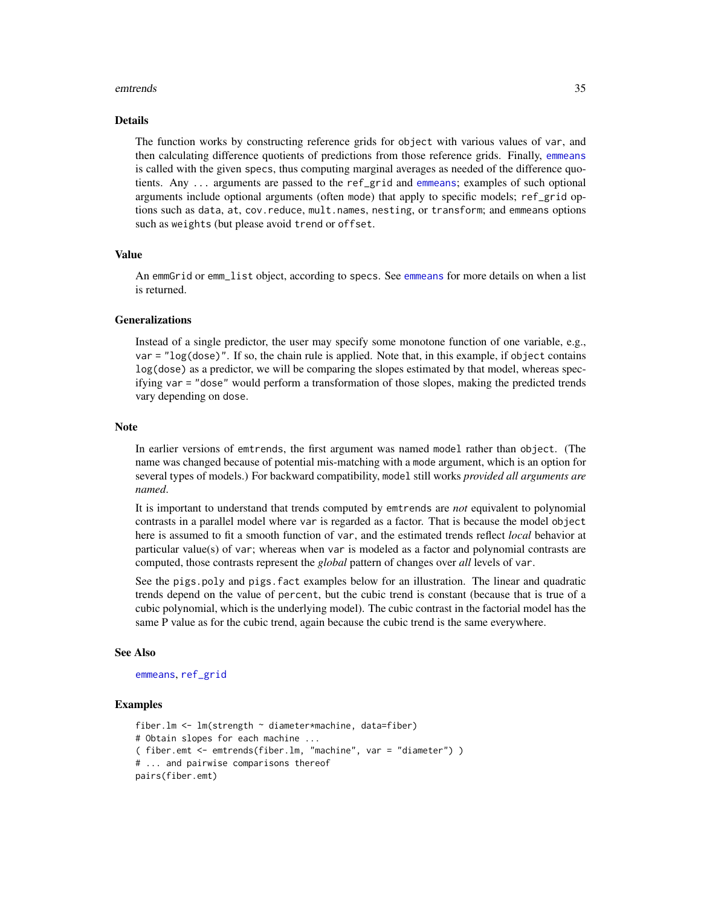#### emtrends 35

#### Details

The function works by constructing reference grids for object with various values of var, and then calculating difference quotients of predictions from those reference grids. Finally, [emmeans](#page-19-1) is called with the given specs, thus computing marginal averages as needed of the difference quotients. Any ... arguments are passed to the ref\_grid and [emmeans](#page-19-1); examples of such optional arguments include optional arguments (often mode) that apply to specific models; ref\_grid options such as data, at, cov.reduce, mult.names, nesting, or transform; and emmeans options such as weights (but please avoid trend or offset.

# Value

An emmGrid or emm\_list object, according to specs. See [emmeans](#page-19-1) for more details on when a list is returned.

# Generalizations

Instead of a single predictor, the user may specify some monotone function of one variable, e.g.,  $var = "log(dose)"$ . If so, the chain rule is applied. Note that, in this example, if object contains log(dose) as a predictor, we will be comparing the slopes estimated by that model, whereas specifying var = "dose" would perform a transformation of those slopes, making the predicted trends vary depending on dose.

#### Note

In earlier versions of emtrends, the first argument was named model rather than object. (The name was changed because of potential mis-matching with a mode argument, which is an option for several types of models.) For backward compatibility, model still works *provided all arguments are named*.

It is important to understand that trends computed by emtrends are *not* equivalent to polynomial contrasts in a parallel model where var is regarded as a factor. That is because the model object here is assumed to fit a smooth function of var, and the estimated trends reflect *local* behavior at particular value(s) of var; whereas when var is modeled as a factor and polynomial contrasts are computed, those contrasts represent the *global* pattern of changes over *all* levels of var.

See the pigs.poly and pigs. fact examples below for an illustration. The linear and quadratic trends depend on the value of percent, but the cubic trend is constant (because that is true of a cubic polynomial, which is the underlying model). The cubic contrast in the factorial model has the same P value as for the cubic trend, again because the cubic trend is the same everywhere.

#### See Also

[emmeans](#page-19-1), [ref\\_grid](#page-61-1)

```
fiber.lm <- lm(strength ~ diameter*machine, data=fiber)
# Obtain slopes for each machine ...
( fiber.emt <- emtrends(fiber.lm, "machine", var = "diameter") )
# ... and pairwise comparisons thereof
pairs(fiber.emt)
```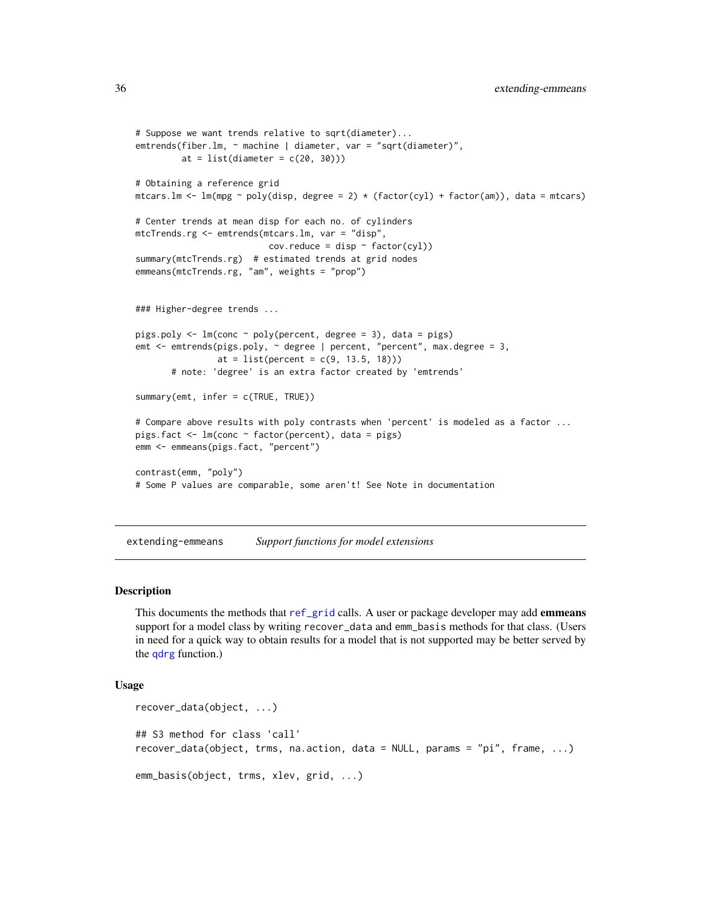```
# Suppose we want trends relative to sqrt(diameter)...
emtrends(fiber.lm, ~ machine | diameter, var = "sqrt(diameter)",
         at = list(diameter = c(20, 30)))
# Obtaining a reference grid
mtcars.lm <- lm(mpg ~ poly(disp, degree = 2) * (factor(cyl) + factor(am)), data = mtcars)
# Center trends at mean disp for each no. of cylinders
mtcTrends.rg <- emtrends(mtcars.lm, var = "disp",
                          cov.\nreduce = disp \sim factor(cyl))summary(mtcTrends.rg) # estimated trends at grid nodes
emmeans(mtcTrends.rg, "am", weights = "prop")
### Higher-degree trends ...
pigs.poly <- lm(conc ~ poly(percent, degree = 3), data = pigs)
emt <- emtrends(pigs.poly, ~ degree | percent, "percent", max.degree = 3,
                at = list(percent = c(9, 13.5, 18)))# note: 'degree' is an extra factor created by 'emtrends'
summary(emt, infer = c(TRUE, TRUE))
# Compare above results with poly contrasts when 'percent' is modeled as a factor ...
pigs.fact <- lm(conc ~ factor(percent), data = pigs)
emm <- emmeans(pigs.fact, "percent")
contrast(emm, "poly")
# Some P values are comparable, some aren't! See Note in documentation
```
extending-emmeans *Support functions for model extensions*

# Description

This documents the methods that [ref\\_grid](#page-61-1) calls. A user or package developer may add **emmeans** support for a model class by writing recover\_data and emm\_basis methods for that class. (Users in need for a quick way to obtain results for a model that is not supported may be better served by the [qdrg](#page-57-1) function.)

# Usage

```
recover_data(object, ...)
## S3 method for class 'call'
recover_data(object, trms, na.action, data = NULL, params = "pi", frame, ...)
emm_basis(object, trms, xlev, grid, ...)
```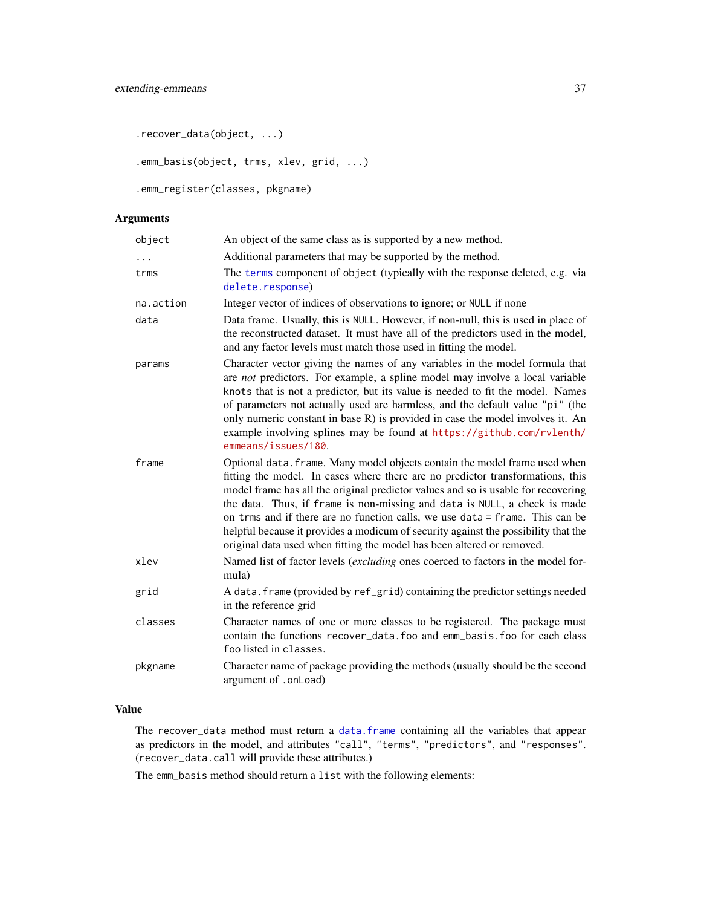.recover\_data(object, ...)

.emm\_basis(object, trms, xlev, grid, ...)

.emm\_register(classes, pkgname)

# Arguments

| object               | An object of the same class as is supported by a new method.                                                                                                                                                                                                                                                                                                                                                                                                                                                                                                                   |
|----------------------|--------------------------------------------------------------------------------------------------------------------------------------------------------------------------------------------------------------------------------------------------------------------------------------------------------------------------------------------------------------------------------------------------------------------------------------------------------------------------------------------------------------------------------------------------------------------------------|
| $\ddot{\phantom{0}}$ | Additional parameters that may be supported by the method.                                                                                                                                                                                                                                                                                                                                                                                                                                                                                                                     |
| trms                 | The terms component of object (typically with the response deleted, e.g. via<br>delete.response)                                                                                                                                                                                                                                                                                                                                                                                                                                                                               |
| na.action            | Integer vector of indices of observations to ignore; or NULL if none                                                                                                                                                                                                                                                                                                                                                                                                                                                                                                           |
| data                 | Data frame. Usually, this is NULL. However, if non-null, this is used in place of<br>the reconstructed dataset. It must have all of the predictors used in the model,<br>and any factor levels must match those used in fitting the model.                                                                                                                                                                                                                                                                                                                                     |
| params               | Character vector giving the names of any variables in the model formula that<br>are not predictors. For example, a spline model may involve a local variable<br>knots that is not a predictor, but its value is needed to fit the model. Names<br>of parameters not actually used are harmless, and the default value "pi" (the<br>only numeric constant in base R) is provided in case the model involves it. An<br>example involving splines may be found at https://github.com/rvlenth/<br>emmeans/issues/180.                                                              |
| frame                | Optional data. frame. Many model objects contain the model frame used when<br>fitting the model. In cases where there are no predictor transformations, this<br>model frame has all the original predictor values and so is usable for recovering<br>the data. Thus, if frame is non-missing and data is NULL, a check is made<br>on trms and if there are no function calls, we use data = frame. This can be<br>helpful because it provides a modicum of security against the possibility that the<br>original data used when fitting the model has been altered or removed. |
| xlev                 | Named list of factor levels (excluding ones coerced to factors in the model for-<br>mula)                                                                                                                                                                                                                                                                                                                                                                                                                                                                                      |
| grid                 | A data. frame (provided by ref_grid) containing the predictor settings needed<br>in the reference grid                                                                                                                                                                                                                                                                                                                                                                                                                                                                         |
| classes              | Character names of one or more classes to be registered. The package must<br>contain the functions recover_data.foo and emm_basis.foo for each class<br>foo listed in classes.                                                                                                                                                                                                                                                                                                                                                                                                 |
| pkgname              | Character name of package providing the methods (usually should be the second<br>argument of .onLoad)                                                                                                                                                                                                                                                                                                                                                                                                                                                                          |

# Value

The recover\_data method must return a [data.frame](#page-0-0) containing all the variables that appear as predictors in the model, and attributes "call", "terms", "predictors", and "responses". (recover\_data.call will provide these attributes.)

The emm\_basis method should return a list with the following elements: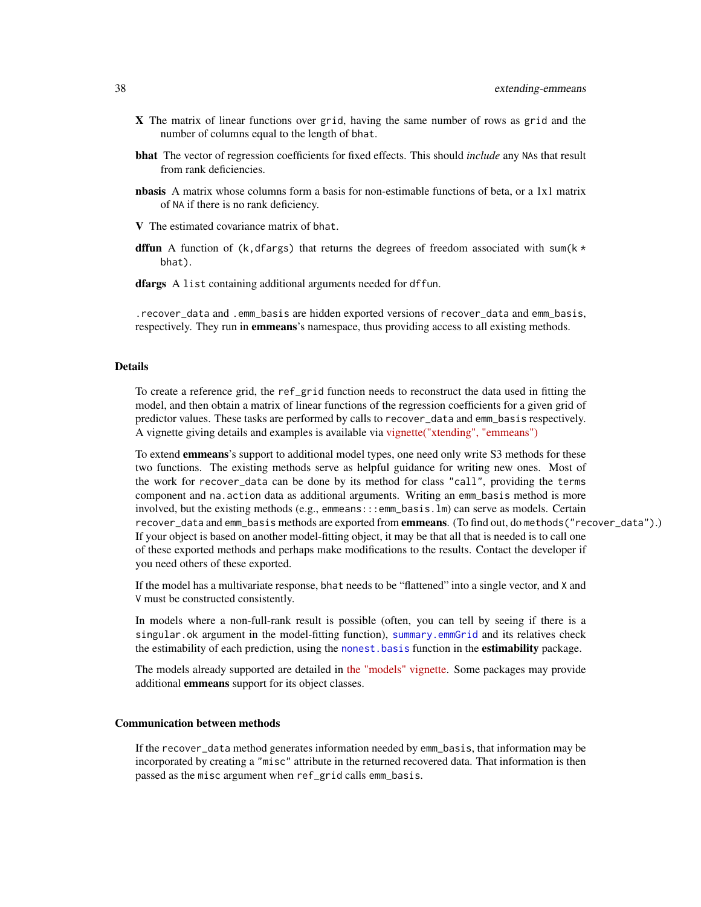- X The matrix of linear functions over grid, having the same number of rows as grid and the number of columns equal to the length of bhat.
- bhat The vector of regression coefficients for fixed effects. This should *include* any NAs that result from rank deficiencies.
- nbasis A matrix whose columns form a basis for non-estimable functions of beta, or a 1x1 matrix of NA if there is no rank deficiency.

V The estimated covariance matrix of bhat.

- **dffun** A function of (k,dfargs) that returns the degrees of freedom associated with sum(k  $*$ bhat).
- dfargs A list containing additional arguments needed for dffun.

.recover\_data and .emm\_basis are hidden exported versions of recover\_data and emm\_basis, respectively. They run in **emmeans**'s namespace, thus providing access to all existing methods.

# Details

To create a reference grid, the ref\_grid function needs to reconstruct the data used in fitting the model, and then obtain a matrix of linear functions of the regression coefficients for a given grid of predictor values. These tasks are performed by calls to recover\_data and emm\_basis respectively. A vignette giving details and examples is available via [vignette\("xtending", "emmeans"\)](../doc/xtending.html)

To extend **emmeans**'s support to additional model types, one need only write S3 methods for these two functions. The existing methods serve as helpful guidance for writing new ones. Most of the work for recover\_data can be done by its method for class "call", providing the terms component and na.action data as additional arguments. Writing an emm\_basis method is more involved, but the existing methods (e.g., emmeans:::emm\_basis.lm) can serve as models. Certain recover\_data and emm\_basis methods are exported from emmeans. (To find out, do methods("recover\_data").) If your object is based on another model-fitting object, it may be that all that is needed is to call one of these exported methods and perhaps make modifications to the results. Contact the developer if you need others of these exported.

If the model has a multivariate response, bhat needs to be "flattened" into a single vector, and X and V must be constructed consistently.

In models where a non-full-rank result is possible (often, you can tell by seeing if there is a singular.ok argument in the model-fitting function), [summary.emmGrid](#page-69-0) and its relatives check the estimability of each prediction, using the nonest. basis function in the **estimability** package.

The models already supported are detailed in [the "models" vignette.](../doc/models.html) Some packages may provide additional emmeans support for its object classes.

# Communication between methods

If the recover\_data method generates information needed by emm\_basis, that information may be incorporated by creating a "misc" attribute in the returned recovered data. That information is then passed as the misc argument when ref\_grid calls emm\_basis.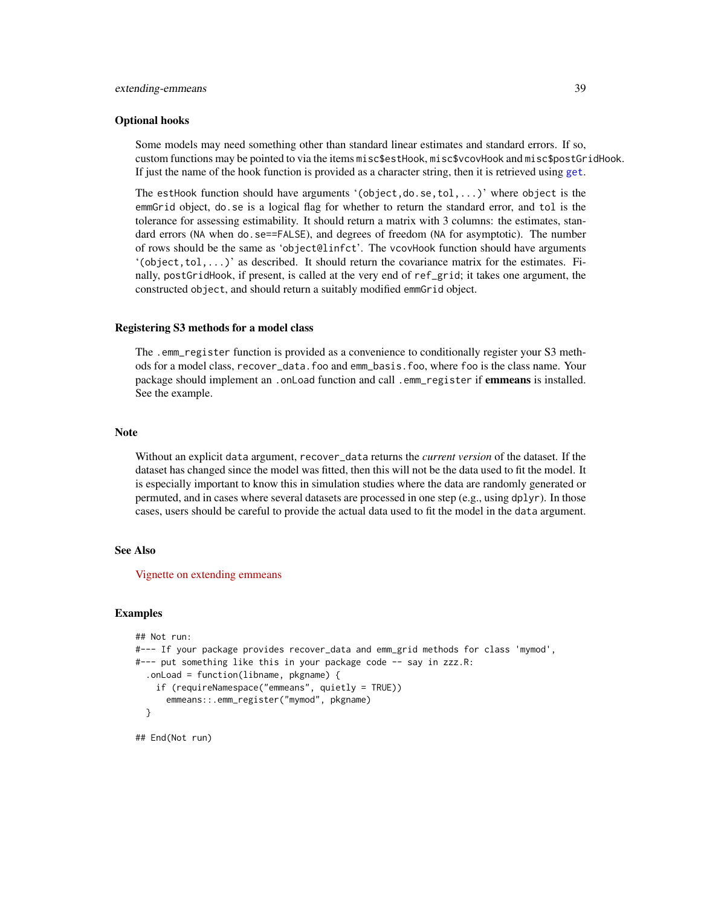### Optional hooks

Some models may need something other than standard linear estimates and standard errors. If so, custom functions may be pointed to via the items misc\$estHook, misc\$vcovHook and misc\$postGridHook. If just the name of the hook function is provided as a character string, then it is retrieved using [get](#page-0-0).

The estHook function should have arguments '(object,do.se,tol,...)' where object is the emmGrid object, do.se is a logical flag for whether to return the standard error, and tol is the tolerance for assessing estimability. It should return a matrix with 3 columns: the estimates, standard errors (NA when do.se==FALSE), and degrees of freedom (NA for asymptotic). The number of rows should be the same as 'object@linfct'. The vcovHook function should have arguments  $'(\text{object},\text{tol},\ldots)'$  as described. It should return the covariance matrix for the estimates. Finally, postGridHook, if present, is called at the very end of ref\_grid; it takes one argument, the constructed object, and should return a suitably modified emmGrid object.

### Registering S3 methods for a model class

The .emm\_register function is provided as a convenience to conditionally register your S3 methods for a model class, recover\_data.foo and emm\_basis.foo, where foo is the class name. Your package should implement an . onLoad function and call . emm\_register if emmeans is installed. See the example.

### Note

Without an explicit data argument, recover\_data returns the *current version* of the dataset. If the dataset has changed since the model was fitted, then this will not be the data used to fit the model. It is especially important to know this in simulation studies where the data are randomly generated or permuted, and in cases where several datasets are processed in one step (e.g., using dplyr). In those cases, users should be careful to provide the actual data used to fit the model in the data argument.

#### See Also

[Vignette on extending emmeans](../doc/xtending.html)

### Examples

```
## Not run:
#--- If your package provides recover_data and emm_grid methods for class 'mymod',
#--- put something like this in your package code -- say in zzz.R:
  .onLoad = function(libname, pkgname) {
    if (requireNamespace("emmeans", quietly = TRUE))
      emmeans::.emm_register("mymod", pkgname)
 }
```
## End(Not run)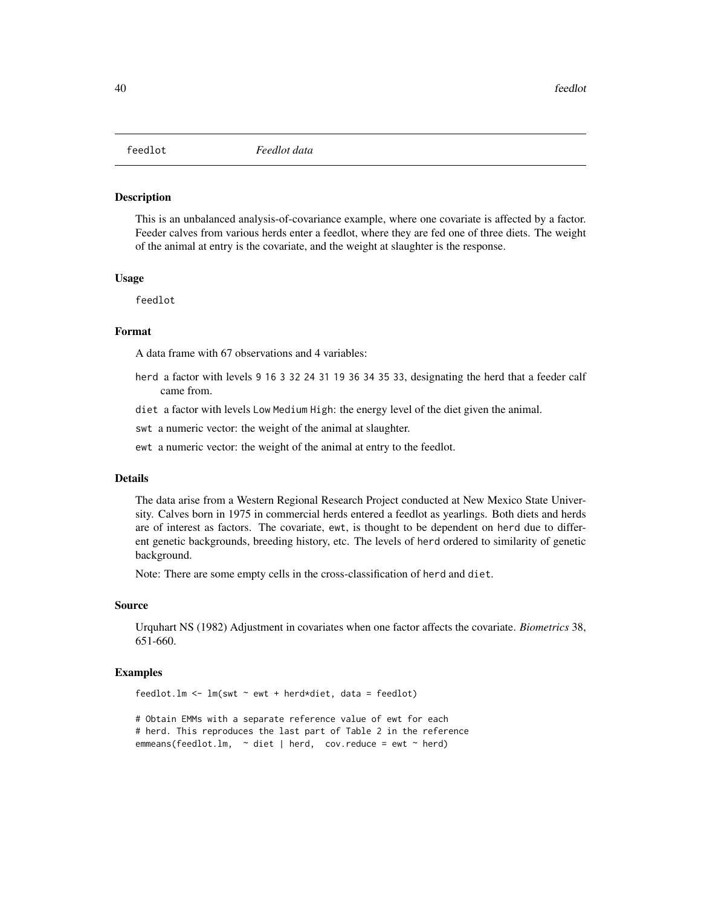This is an unbalanced analysis-of-covariance example, where one covariate is affected by a factor. Feeder calves from various herds enter a feedlot, where they are fed one of three diets. The weight of the animal at entry is the covariate, and the weight at slaughter is the response.

### Usage

feedlot

### Format

A data frame with 67 observations and 4 variables:

- herd a factor with levels 9 16 3 32 24 31 19 36 34 35 33, designating the herd that a feeder calf came from.
- diet a factor with levels Low Medium High: the energy level of the diet given the animal.

swt a numeric vector: the weight of the animal at slaughter.

ewt a numeric vector: the weight of the animal at entry to the feedlot.

# Details

The data arise from a Western Regional Research Project conducted at New Mexico State University. Calves born in 1975 in commercial herds entered a feedlot as yearlings. Both diets and herds are of interest as factors. The covariate, ewt, is thought to be dependent on herd due to different genetic backgrounds, breeding history, etc. The levels of herd ordered to similarity of genetic background.

Note: There are some empty cells in the cross-classification of herd and diet.

### Source

Urquhart NS (1982) Adjustment in covariates when one factor affects the covariate. *Biometrics* 38, 651-660.

### Examples

feedlot.lm  $\leq$  lm(swt  $\sim$  ewt + herd\*diet, data = feedlot)

# Obtain EMMs with a separate reference value of ewt for each # herd. This reproduces the last part of Table 2 in the reference emmeans(feedlot.lm,  $\sim$  diet | herd, cov.reduce = ewt  $\sim$  herd)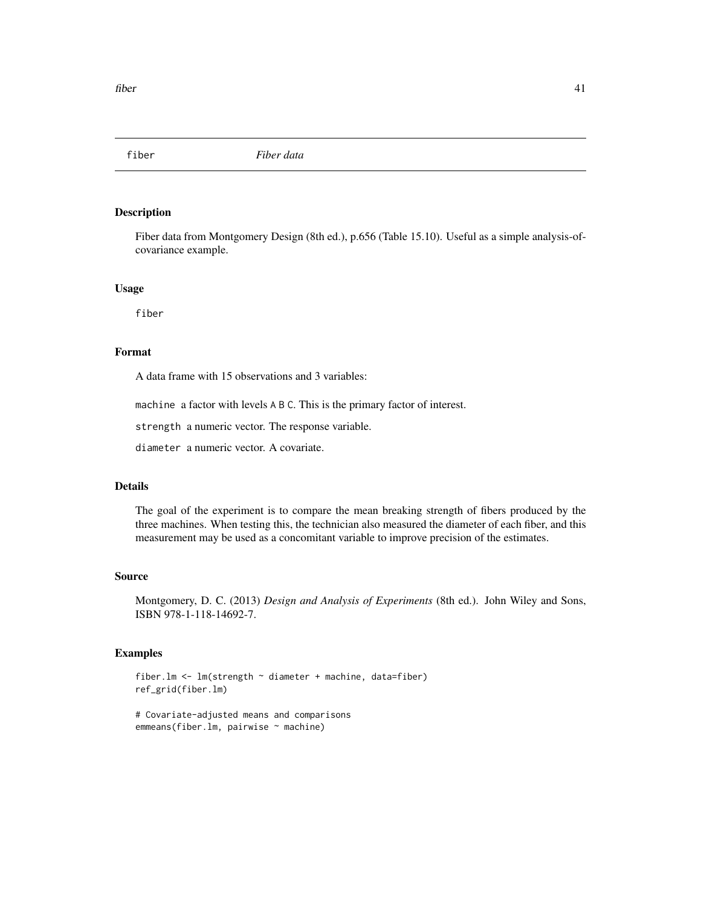Fiber data from Montgomery Design (8th ed.), p.656 (Table 15.10). Useful as a simple analysis-ofcovariance example.

# Usage

fiber

# Format

A data frame with 15 observations and 3 variables:

machine a factor with levels A B C. This is the primary factor of interest.

strength a numeric vector. The response variable.

diameter a numeric vector. A covariate.

# Details

The goal of the experiment is to compare the mean breaking strength of fibers produced by the three machines. When testing this, the technician also measured the diameter of each fiber, and this measurement may be used as a concomitant variable to improve precision of the estimates.

### Source

Montgomery, D. C. (2013) *Design and Analysis of Experiments* (8th ed.). John Wiley and Sons, ISBN 978-1-118-14692-7.

### Examples

fiber.lm <- lm(strength ~ diameter + machine, data=fiber) ref\_grid(fiber.lm)

```
# Covariate-adjusted means and comparisons
emmeans(fiber.lm, pairwise ~ machine)
```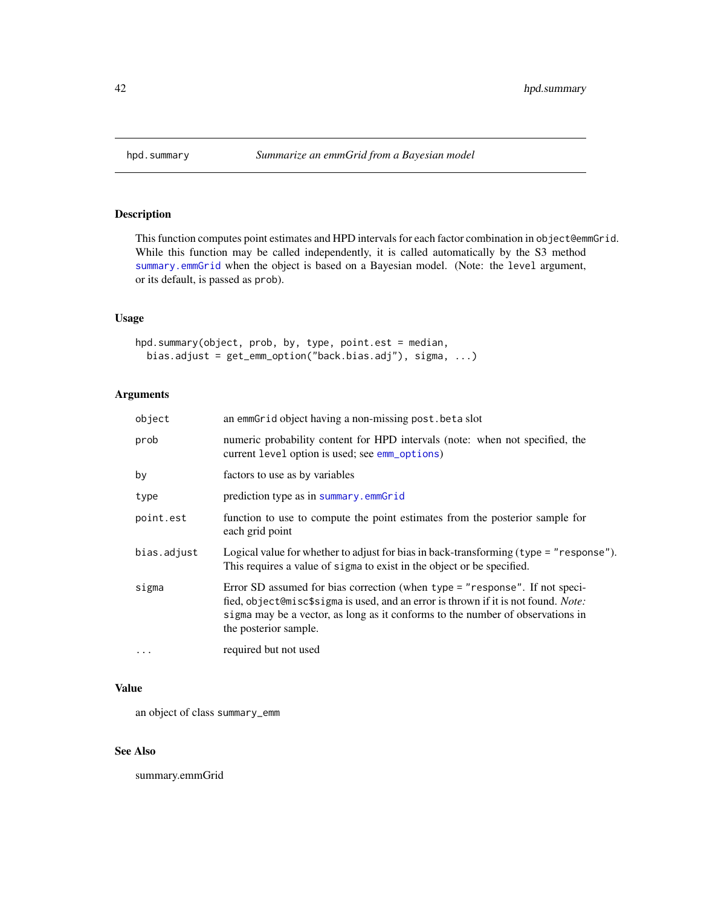<span id="page-41-0"></span>

This function computes point estimates and HPD intervals for each factor combination in object@emmGrid. While this function may be called independently, it is called automatically by the S3 method [summary.emmGrid](#page-69-0) when the object is based on a Bayesian model. (Note: the level argument, or its default, is passed as prob).

# Usage

```
hpd.summary(object, prob, by, type, point.est = median,
 bias.adjust = get_emm_option("back.bias.adj"), sigma, ...)
```
# Arguments

| object      | an emmGrid object having a non-missing post.beta slot                                                                                                                                                                                                                        |
|-------------|------------------------------------------------------------------------------------------------------------------------------------------------------------------------------------------------------------------------------------------------------------------------------|
| prob        | numeric probability content for HPD intervals (note: when not specified, the<br>current level option is used; see emm_options)                                                                                                                                               |
| by          | factors to use as by variables                                                                                                                                                                                                                                               |
| type        | prediction type as in summary.emmGrid                                                                                                                                                                                                                                        |
| point.est   | function to use to compute the point estimates from the posterior sample for<br>each grid point                                                                                                                                                                              |
| bias.adjust | Logical value for whether to adjust for bias in back-transforming (type = "response").<br>This requires a value of sigma to exist in the object or be specified.                                                                                                             |
| sigma       | Error SD assumed for bias correction (when type = "response". If not speci-<br>fied, object@misc\$sigma is used, and an error is thrown if it is not found. Note:<br>sigma may be a vector, as long as it conforms to the number of observations in<br>the posterior sample. |
| $\cdots$    | required but not used                                                                                                                                                                                                                                                        |

# Value

an object of class summary\_emm

# See Also

summary.emmGrid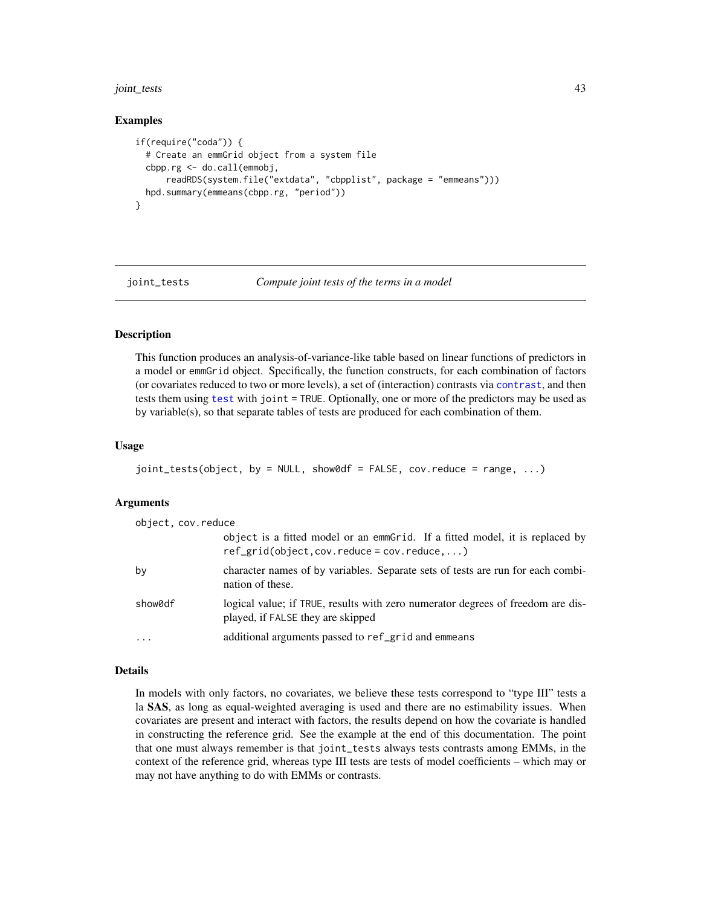### joint\_tests 43

### Examples

```
if(require("coda")) {
 # Create an emmGrid object from a system file
 cbpp.rg <- do.call(emmobj,
      readRDS(system.file("extdata", "cbpplist", package = "emmeans")))
 hpd.summary(emmeans(cbpp.rg, "period"))
}
```
<span id="page-42-0"></span>

joint\_tests *Compute joint tests of the terms in a model*

# Description

This function produces an analysis-of-variance-like table based on linear functions of predictors in a model or emmGrid object. Specifically, the function constructs, for each combination of factors (or covariates reduced to two or more levels), a set of (interaction) contrasts via [contrast](#page-10-0), and then tests them using [test](#page-69-1) with joint = TRUE. Optionally, one or more of the predictors may be used as by variable(s), so that separate tables of tests are produced for each combination of them.

# Usage

```
joint_tests(object, by = NULL, show0df = FALSE, cov.reduce = range, ...)
```
### Arguments

| object, cov.reduce |                                                                                                                                    |
|--------------------|------------------------------------------------------------------------------------------------------------------------------------|
|                    | object is a fitted model or an emmetrial. If a fitted model, it is replaced by<br>$ref\_grid(object, cov.readuce = cov.readuce, )$ |
| by                 | character names of by variables. Separate sets of tests are run for each combi-<br>nation of these.                                |
| show0df            | logical value; if TRUE, results with zero numerator degrees of freedom are dis-<br>played, if FALSE they are skipped               |
| $\cdot$            | additional arguments passed to ref_grid and emmeans                                                                                |

#### Details

In models with only factors, no covariates, we believe these tests correspond to "type III" tests a la SAS, as long as equal-weighted averaging is used and there are no estimability issues. When covariates are present and interact with factors, the results depend on how the covariate is handled in constructing the reference grid. See the example at the end of this documentation. The point that one must always remember is that joint\_tests always tests contrasts among EMMs, in the context of the reference grid, whereas type III tests are tests of model coefficients – which may or may not have anything to do with EMMs or contrasts.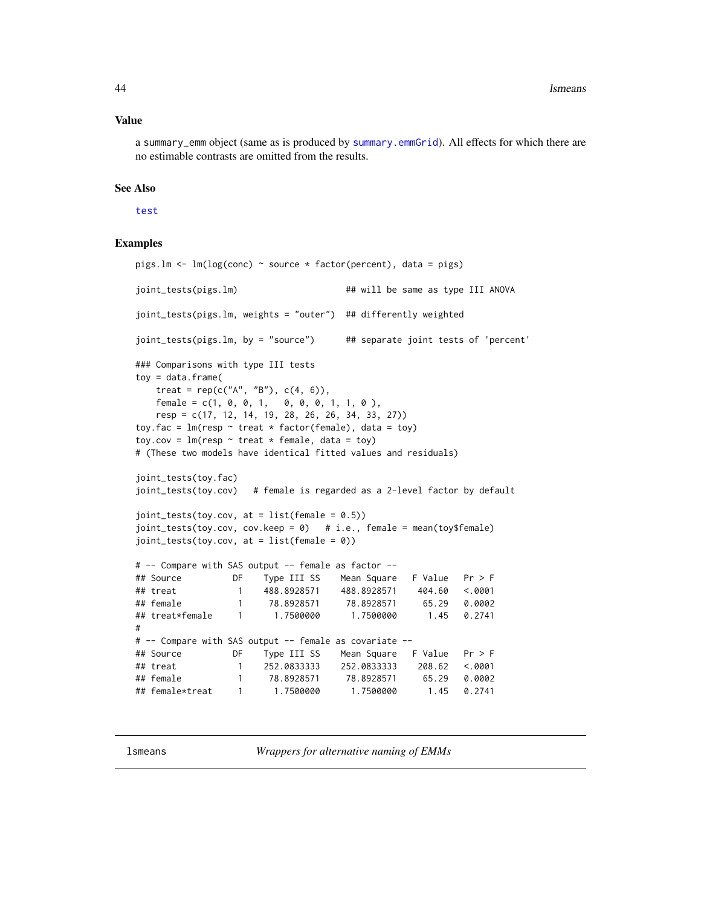#### Value

a summary\_emm object (same as is produced by [summary.emmGrid](#page-69-0)). All effects for which there are no estimable contrasts are omitted from the results.

# See Also

#### [test](#page-69-1)

### Examples

```
pigs.lm <- lm(log(conc) ~ source * factor(percent), data = pigs)
joint_tests(pigs.lm) ## will be same as type III ANOVA
joint_tests(pigs.lm, weights = "outer") ## differently weighted
joint_tests(pigs.lm, by = "source") ## separate joint tests of 'percent'
### Comparisons with type III tests
toy = data.frame(treat = rep(c("A", "B"), c(4, 6)),female = c(1, 0, 0, 1, 0, 0, 0, 1, 1, 0),resp = c(17, 12, 14, 19, 28, 26, 26, 34, 33, 27))
toy.fac = lm(resp \sim treat * factor(female), data = toy)
toy.cov = lm(resp \sim treat * female, data = toy)# (These two models have identical fitted values and residuals)
joint_tests(toy.fac)
joint_tests(toy.cov) # female is regarded as a 2-level factor by default
joint\_tests(toy.cov, at = list(female = 0.5))joint\_tests(toy.cov, cov.keep = 0) # i.e., female = mean(toy$female)
joint_tests(toy.cov, at = list(female = 0))
# -- Compare with SAS output -- female as factor --
## Source DF Type III SS Mean Square F Value Pr > F
## treat 1 488.8928571 488.8928571 404.60 <.0001
## female 1 78.8928571 78.8928571 65.29 0.0002
## treat*female 1 1.7500000 1.7500000 1.45 0.2741
#
# -- Compare with SAS output -- female as covariate --
## Source DF Type III SS Mean Square F Value Pr > F
## treat 1 252.0833333 252.0833333 208.62 <.0001
## female 1 78.8928571 78.8928571 65.29 0.0002
## female*treat 1 1.7500000 1.7500000 1.45 0.2741
```
lsmeans *Wrappers for alternative naming of EMMs*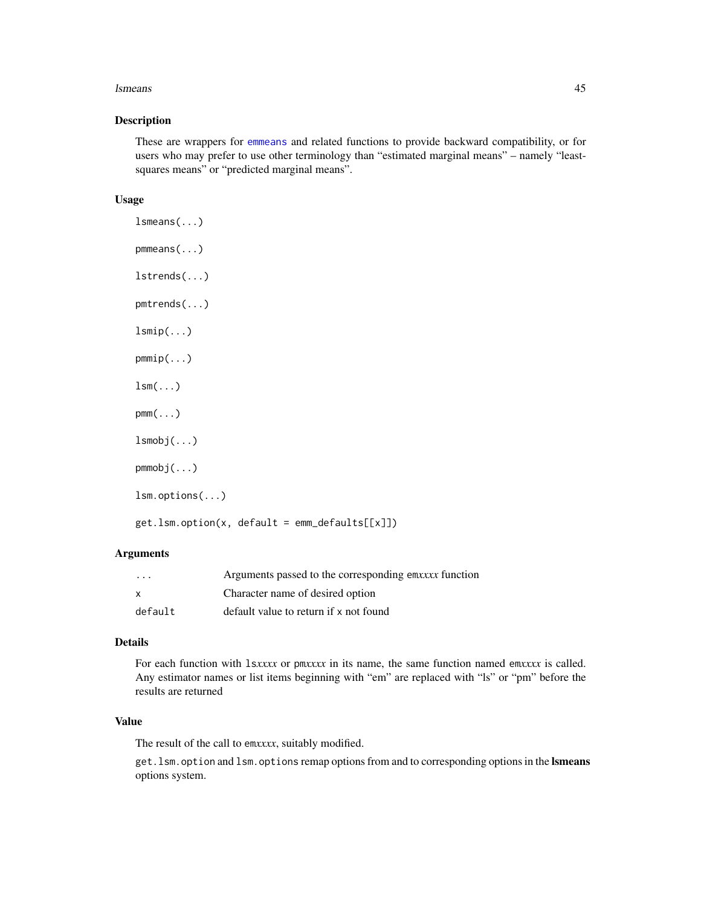### lsmeans and the set of the set of the set of the set of the set of the set of the set of the set of the set of the set of the set of the set of the set of the set of the set of the set of the set of the set of the set of t

# Description

These are wrappers for [emmeans](#page-19-0) and related functions to provide backward compatibility, or for users who may prefer to use other terminology than "estimated marginal means" – namely "leastsquares means" or "predicted marginal means".

### Usage

```
lsmeans(...)
pmmeans(...)
lstrends(...)
pmtrends(...)
lsmin(...)pmmip(...)
lsm(\ldots)pmm(\ldots)lsmobj(...)
pmmobj(...)
lsm.options(...)
get.lsm.option(x, default = emm_defaults[[x]])
```
# Arguments

| $\cdot$ $\cdot$ $\cdot$ | Arguments passed to the corresponding emxxxx function |
|-------------------------|-------------------------------------------------------|
| $\mathsf{x}$            | Character name of desired option                      |
| default                 | default value to return if x not found                |

# Details

For each function with ls*xxxx* or pm*xxxx* in its name, the same function named em*xxxx* is called. Any estimator names or list items beginning with "em" are replaced with "ls" or "pm" before the results are returned

# Value

The result of the call to em*xxxx*, suitably modified.

get.lsm.option and lsm.options remap options from and to corresponding options in the lsmeans options system.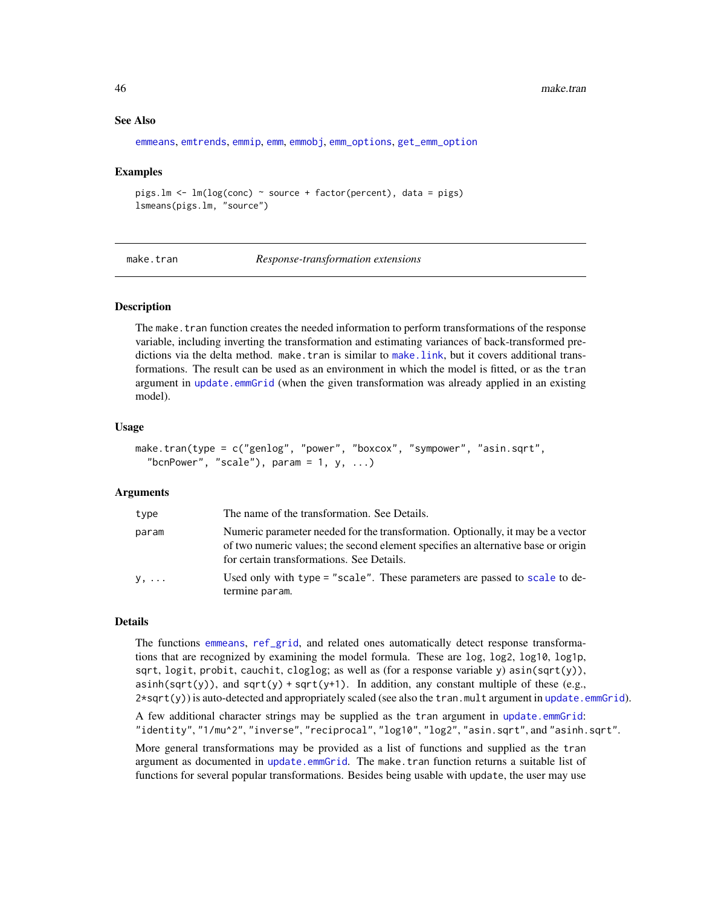### See Also

```
emmeans, emtrends, emmip, emm, emmobj, emm_options, get_emm_option
```
#### Examples

```
pigs.lm <- lm(log(conc) ~ source + factor(percent), data = pigs)
lsmeans(pigs.lm, "source")
```
<span id="page-45-0"></span>

make.tran *Response-transformation extensions*

### Description

The make. tran function creates the needed information to perform transformations of the response variable, including inverting the transformation and estimating variances of back-transformed predictions via the delta method. make.tran is similar to [make.link](#page-0-0), but it covers additional transformations. The result can be used as an environment in which the model is fitted, or as the tran argument in [update.emmGrid](#page-77-0) (when the given transformation was already applied in an existing model).

### Usage

```
make.tran(type = c("genlog", "power", "boxcox", "sympower", "asin.sqrt",
  "bcnPower", "scale"), param = 1, y, ...)
```
# Arguments

| type  | The name of the transformation. See Details.                                                                                                                                                                      |
|-------|-------------------------------------------------------------------------------------------------------------------------------------------------------------------------------------------------------------------|
| param | Numeric parameter needed for the transformation. Optionally, it may be a vector<br>of two numeric values; the second element specifies an alternative base or origin<br>for certain transformations. See Details. |
| y,    | Used only with type = "scale". These parameters are passed to scale to de-<br>termine param.                                                                                                                      |

### Details

The functions [emmeans](#page-19-0), [ref\\_grid](#page-61-0), and related ones automatically detect response transformations that are recognized by examining the model formula. These are log, log2, log10, log1p, sqrt, logit, probit, cauchit, cloglog; as well as (for a response variable y) asin(sqrt(y)), asinh(sqrt(y)), and sqrt(y) + sqrt(y+1). In addition, any constant multiple of these (e.g.,  $2*sqrt(y)$  is auto-detected and appropriately scaled (see also the tran.mult argument in [update.emmGrid](#page-77-0)).

A few additional character strings may be supplied as the tran argument in [update.emmGrid](#page-77-0): "identity", "1/mu^2", "inverse", "reciprocal", "log10", "log2", "asin.sqrt", and "asinh.sqrt".

More general transformations may be provided as a list of functions and supplied as the tran argument as documented in [update.emmGrid](#page-77-0). The make.tran function returns a suitable list of functions for several popular transformations. Besides being usable with update, the user may use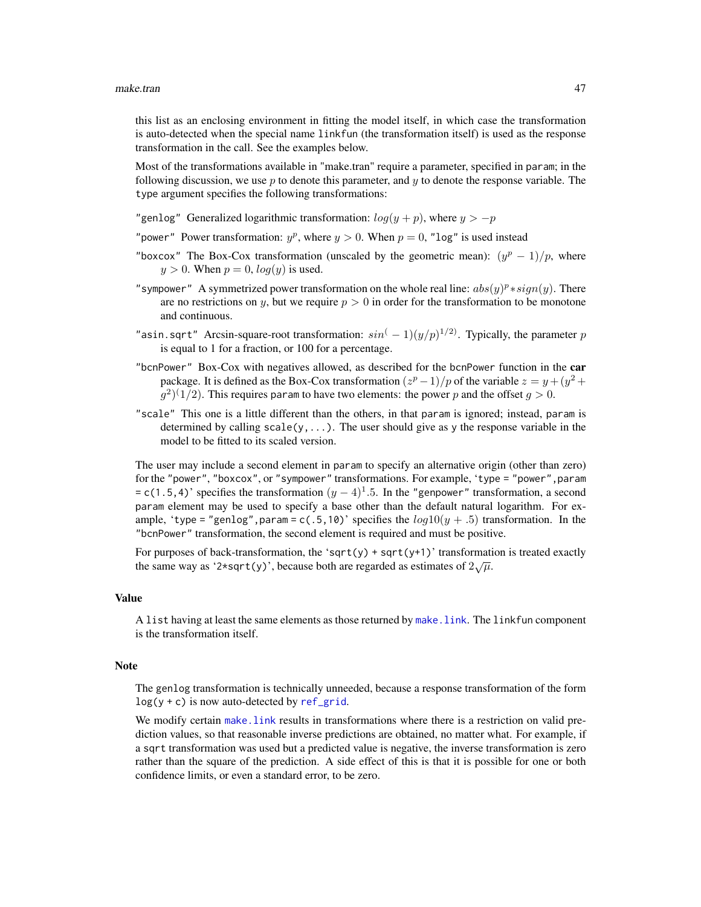this list as an enclosing environment in fitting the model itself, in which case the transformation is auto-detected when the special name linkfun (the transformation itself) is used as the response transformation in the call. See the examples below.

Most of the transformations available in "make.tran" require a parameter, specified in param; in the following discussion, we use p to denote this parameter, and y to denote the response variable. The type argument specifies the following transformations:

"genlog" Generalized logarithmic transformation:  $log(y + p)$ , where  $y > -p$ 

- "power" Power transformation:  $y^p$ , where  $y > 0$ . When  $p = 0$ , "log" is used instead
- "boxcox" The Box-Cox transformation (unscaled by the geometric mean):  $(y^p 1)/p$ , where  $y > 0$ . When  $p = 0$ ,  $log(y)$  is used.
- "sympower" A symmetrized power transformation on the whole real line:  $abs(y)^p * sign(y)$ . There are no restrictions on y, but we require  $p > 0$  in order for the transformation to be monotone and continuous.
- "asin.sqrt" Arcsin-square-root transformation:  $sin^{(-1)}(y/p)^{1/2}$ . Typically, the parameter p is equal to 1 for a fraction, or 100 for a percentage.
- "bcnPower" Box-Cox with negatives allowed, as described for the bcnPower function in the car package. It is defined as the Box-Cox transformation  $(z^p - 1)/p$  of the variable  $z = y + (y^2 + 1)/p$  $(g^2)^{(1/2)}$ . This requires param to have two elements: the power p and the offset  $g > 0$ .
- "scale" This one is a little different than the others, in that param is ignored; instead, param is determined by calling  $scale(y, \ldots)$ . The user should give as y the response variable in the model to be fitted to its scaled version.

The user may include a second element in param to specify an alternative origin (other than zero) for the "power", "boxcox", or "sympower" transformations. For example, 'type = "power", param  $= c(1.5, 4)$ ' specifies the transformation  $(y - 4)^{1}$ .5. In the "genpower" transformation, a second param element may be used to specify a base other than the default natural logarithm. For example, 'type = "genlog", param =  $c(.5,10)$ ' specifies the  $log10(y + .5)$  transformation. In the "bcnPower" transformation, the second element is required and must be positive.

For purposes of back-transformation, the 'sqrt(y) + sqrt(y+1)' transformation is treated exactly the same way as '2\*sqrt(y)', because both are regarded as estimates of  $2\sqrt{\mu}$ .

### Value

A list having at least the same elements as those returned by [make.link](#page-0-0). The linkfun component is the transformation itself.

### Note

The genlog transformation is technically unneeded, because a response transformation of the form  $log(y + c)$  is now auto-detected by [ref\\_grid](#page-61-0).

We modify certain make. Link results in transformations where there is a restriction on valid prediction values, so that reasonable inverse predictions are obtained, no matter what. For example, if a sqrt transformation was used but a predicted value is negative, the inverse transformation is zero rather than the square of the prediction. A side effect of this is that it is possible for one or both confidence limits, or even a standard error, to be zero.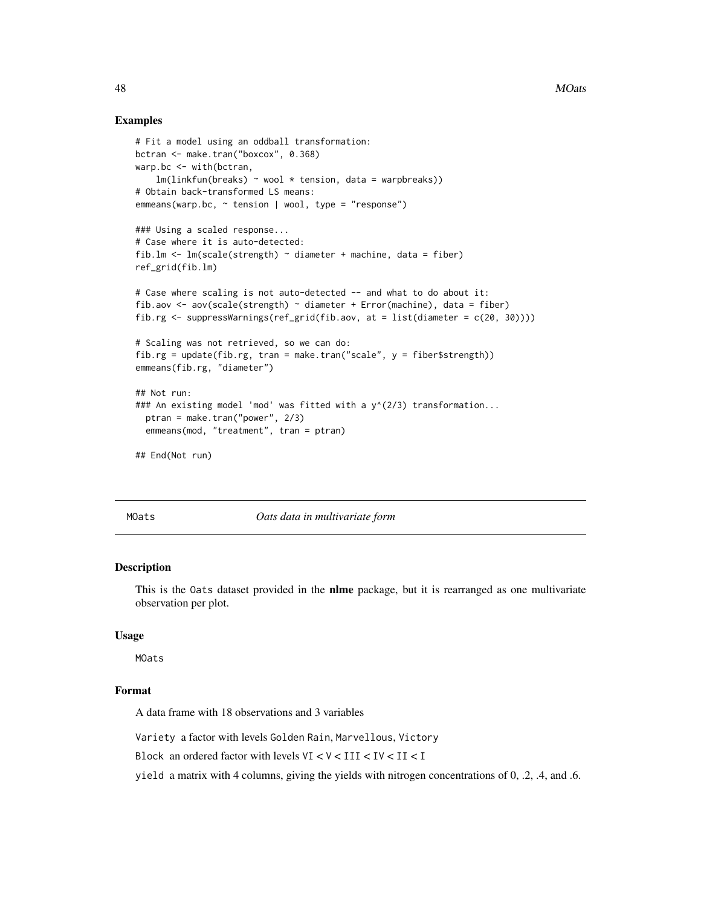### Examples

```
# Fit a model using an oddball transformation:
bctran <- make.tran("boxcox", 0.368)
warp.bc <- with(bctran,
    lm(linkfun(breaks) ~ wool ~ \star tension, data = warphreaks))# Obtain back-transformed LS means:
emmeans(warp.bc, ~ tension | wool, type = "response")
### Using a scaled response...
# Case where it is auto-detected:
fib.lm \leq lm(scale(strength) \sim diameter + machine, data = fiber)
ref_grid(fib.lm)
# Case where scaling is not auto-detected -- and what to do about it:
fib.aov <- aov(scale(strength) ~ diameter + Error(machine), data = fiber)
fib.rg \le suppressWarnings(ref_grid(fib.aov, at = list(diameter = c(20, 30))))
# Scaling was not retrieved, so we can do:
fib.rg = update(fib.rg, tran = make.tran("scale", y = fiber$strength))
emmeans(fib.rg, "diameter")
## Not run:
### An existing model 'mod' was fitted with a y^(2/3) transformation...
  ptran = make.tran("power", 2/3)
  emmeans(mod, "treatment", tran = ptran)
## End(Not run)
```
MOats *Oats data in multivariate form*

### Description

This is the Oats dataset provided in the nlme package, but it is rearranged as one multivariate observation per plot.

# Usage

MOats

### Format

A data frame with 18 observations and 3 variables

Variety a factor with levels Golden Rain, Marvellous, Victory

Block an ordered factor with levels  $VI < V < III < IV < II < I$ 

yield a matrix with 4 columns, giving the yields with nitrogen concentrations of 0, .2, .4, and .6.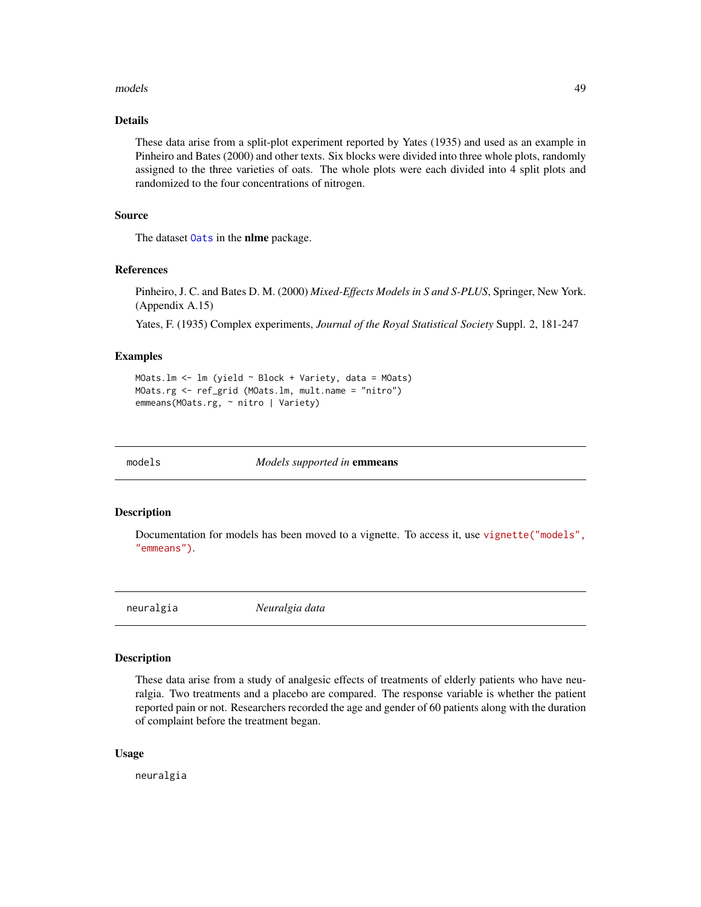### models 49

# Details

These data arise from a split-plot experiment reported by Yates (1935) and used as an example in Pinheiro and Bates (2000) and other texts. Six blocks were divided into three whole plots, randomly assigned to the three varieties of oats. The whole plots were each divided into 4 split plots and randomized to the four concentrations of nitrogen.

### Source

The dataset [Oats](#page-0-0) in the nlme package.

### References

Pinheiro, J. C. and Bates D. M. (2000) *Mixed-Effects Models in S and S-PLUS*, Springer, New York. (Appendix A.15)

Yates, F. (1935) Complex experiments, *Journal of the Royal Statistical Society* Suppl. 2, 181-247

#### Examples

```
MOats.lm <- lm (yield ~ Block + Variety, data = MOats)
MOats.rg <- ref_grid (MOats.lm, mult.name = "nitro")
emmeans(MOats.rg, ~ nitro | Variety)
```
models *Models supported in* emmeans

#### **Description**

Documentation for models has been moved to a vignette. To access it, use [vignette\("models",](../doc/models.html) ["emmeans"\)](../doc/models.html).

neuralgia *Neuralgia data*

#### Description

These data arise from a study of analgesic effects of treatments of elderly patients who have neuralgia. Two treatments and a placebo are compared. The response variable is whether the patient reported pain or not. Researchers recorded the age and gender of 60 patients along with the duration of complaint before the treatment began.

### Usage

neuralgia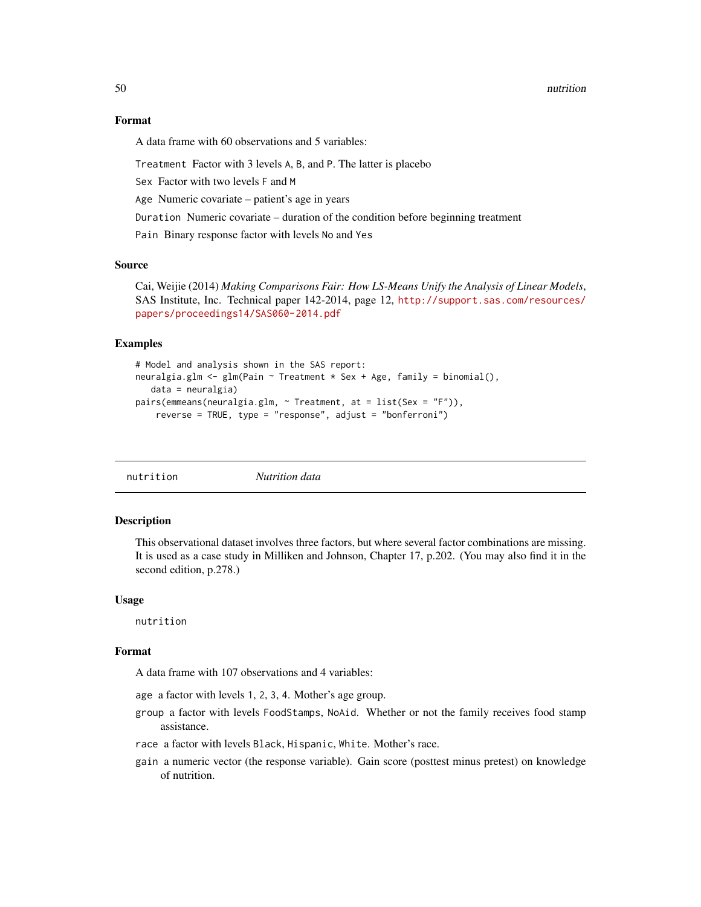50 nutrition

### Format

A data frame with 60 observations and 5 variables:

Treatment Factor with 3 levels A, B, and P. The latter is placebo

Sex Factor with two levels F and M

Age Numeric covariate – patient's age in years

Duration Numeric covariate – duration of the condition before beginning treatment

Pain Binary response factor with levels No and Yes

### Source

Cai, Weijie (2014) *Making Comparisons Fair: How LS-Means Unify the Analysis of Linear Models*, SAS Institute, Inc. Technical paper 142-2014, page 12, [http://support.sas.com/resources/](http://support.sas.com/resources/papers/proceedings14/SAS060-2014.pdf) [papers/proceedings14/SAS060-2014.pdf](http://support.sas.com/resources/papers/proceedings14/SAS060-2014.pdf)

#### Examples

```
# Model and analysis shown in the SAS report:
neuralgia.glm <- glm(Pain \sim Treatment * Sex + Age, family = binomial(),
  data = neuralgia)
pairs(emmeans(neuralgia.glm, ~ Treatment, at = list(Sex = "F")),
    reverse = TRUE, type = "response", adjust = "bonferroni")
```
nutrition *Nutrition data*

# Description

This observational dataset involves three factors, but where several factor combinations are missing. It is used as a case study in Milliken and Johnson, Chapter 17, p.202. (You may also find it in the second edition, p.278.)

#### Usage

nutrition

# Format

A data frame with 107 observations and 4 variables:

age a factor with levels 1, 2, 3, 4. Mother's age group.

- group a factor with levels FoodStamps, NoAid. Whether or not the family receives food stamp assistance.
- race a factor with levels Black, Hispanic, White. Mother's race.
- gain a numeric vector (the response variable). Gain score (posttest minus pretest) on knowledge of nutrition.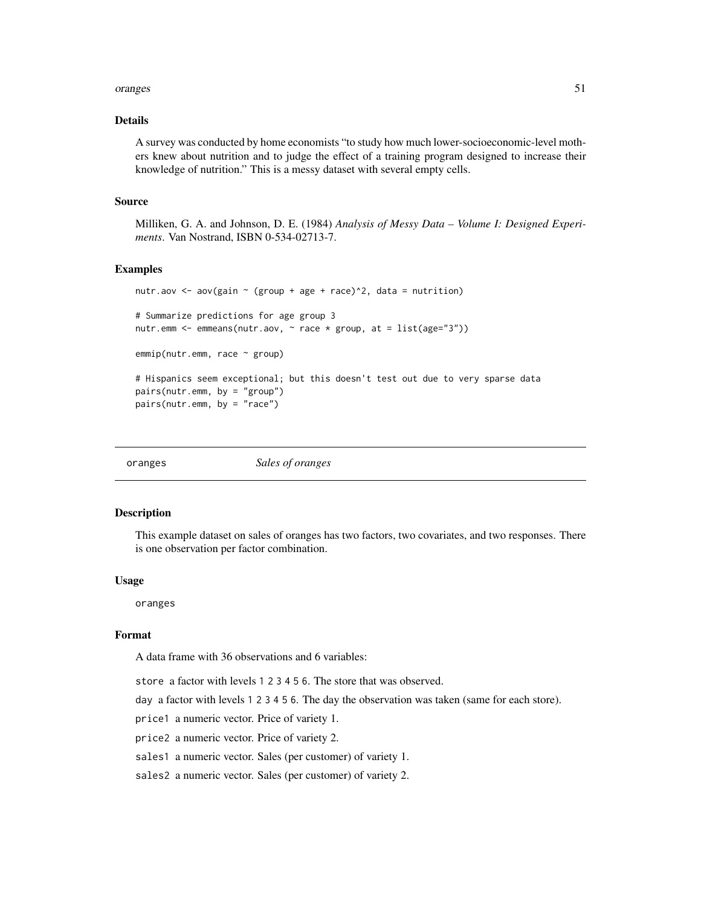### oranges 51

# Details

A survey was conducted by home economists "to study how much lower-socioeconomic-level mothers knew about nutrition and to judge the effect of a training program designed to increase their knowledge of nutrition." This is a messy dataset with several empty cells.

### Source

Milliken, G. A. and Johnson, D. E. (1984) *Analysis of Messy Data – Volume I: Designed Experiments*. Van Nostrand, ISBN 0-534-02713-7.

### Examples

```
nutr.aov <- aov(gain \sim (group + age + race)^2, data = nutrition)
# Summarize predictions for age group 3
nutr.emm \leq emmeans(nutr.aov, \sim race * group, at = list(age="3"))
emmip(nutr.emm, race ~ group)
# Hispanics seem exceptional; but this doesn't test out due to very sparse data
pairs(nutr.emm, by = "group")
pairs(nutr.emm, by = "race")
```

| oranges | Sales of oranges |  |
|---------|------------------|--|
|         |                  |  |

### Description

This example dataset on sales of oranges has two factors, two covariates, and two responses. There is one observation per factor combination.

### Usage

oranges

# Format

A data frame with 36 observations and 6 variables:

store a factor with levels 1 2 3 4 5 6. The store that was observed.

day a factor with levels 1 2 3 4 5 6. The day the observation was taken (same for each store).

price1 a numeric vector. Price of variety 1.

price2 a numeric vector. Price of variety 2.

sales1 a numeric vector. Sales (per customer) of variety 1.

sales2 a numeric vector. Sales (per customer) of variety 2.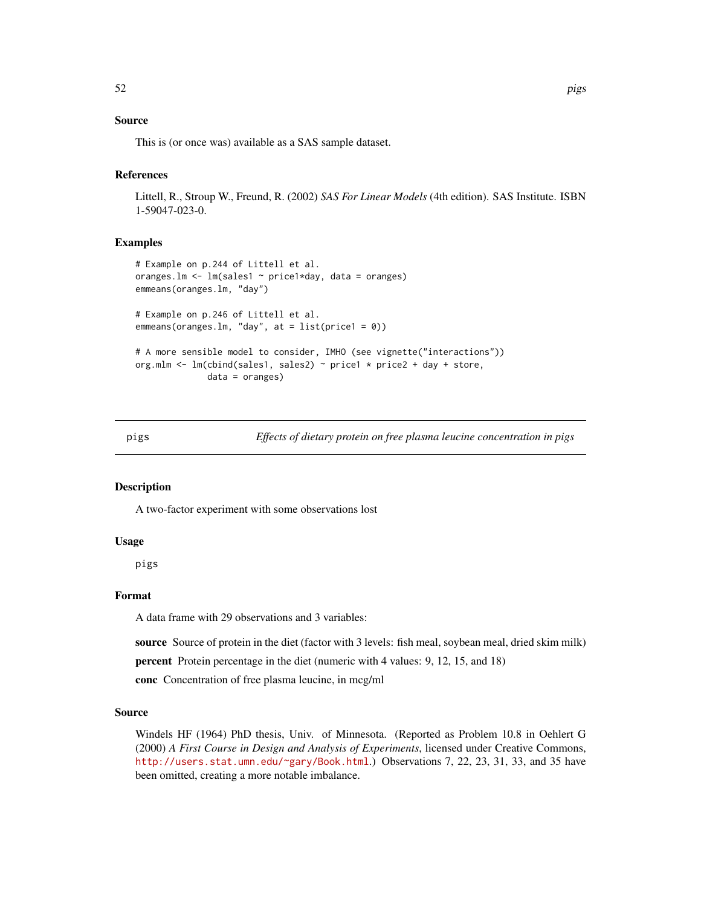# Source

This is (or once was) available as a SAS sample dataset.

### References

Littell, R., Stroup W., Freund, R. (2002) *SAS For Linear Models* (4th edition). SAS Institute. ISBN 1-59047-023-0.

### Examples

```
# Example on p.244 of Littell et al.
oranges.lm <- lm(sales1 ~ price1*day, data = oranges)
emmeans(oranges.lm, "day")
# Example on p.246 of Littell et al.
emmeans(oranges.lm, "day", at = list(price1 = 0))
# A more sensible model to consider, IMHO (see vignette("interactions"))
org.mlm <- lm(cbind(sales1, sales2) ~ price1 * price2 + day + store,
              data = oranges)
```
pigs *Effects of dietary protein on free plasma leucine concentration in pigs*

#### Description

A two-factor experiment with some observations lost

### Usage

pigs

# Format

A data frame with 29 observations and 3 variables:

source Source of protein in the diet (factor with 3 levels: fish meal, soybean meal, dried skim milk)

percent Protein percentage in the diet (numeric with 4 values: 9, 12, 15, and 18)

conc Concentration of free plasma leucine, in mcg/ml

#### Source

Windels HF (1964) PhD thesis, Univ. of Minnesota. (Reported as Problem 10.8 in Oehlert G (2000) *A First Course in Design and Analysis of Experiments*, licensed under Creative Commons, <http://users.stat.umn.edu/~gary/Book.html>.) Observations 7, 22, 23, 31, 33, and 35 have been omitted, creating a more notable imbalance.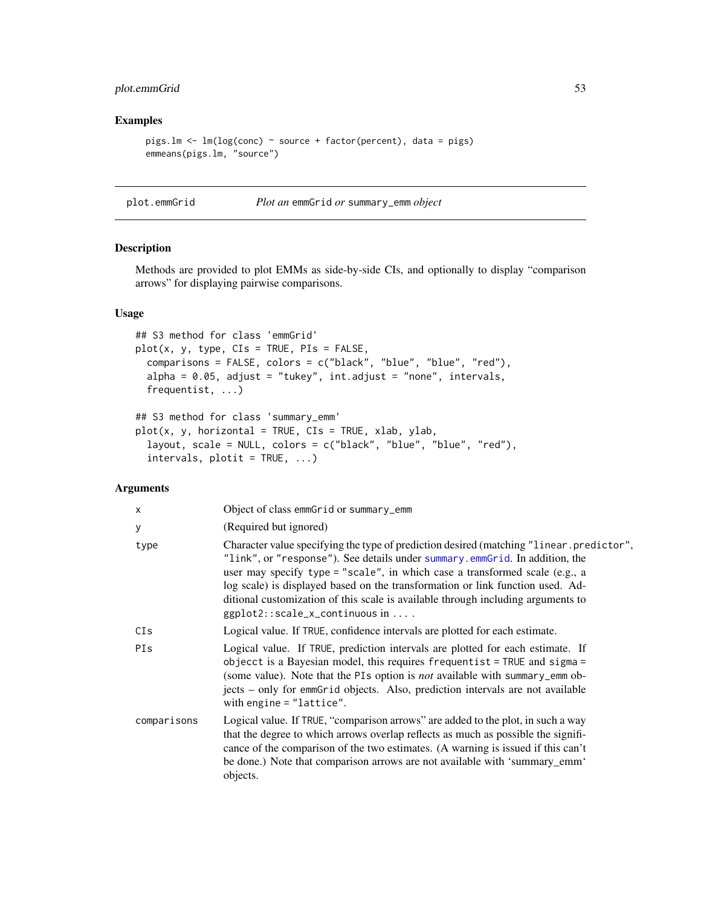# plot.emmGrid 53

# Examples

```
pigs.lm <- lm(log(conc) ~ source + factor(percent), data = pigs)
emmeans(pigs.lm, "source")
```
plot.emmGrid *Plot an* emmGrid *or* summary\_emm *object*

# Description

Methods are provided to plot EMMs as side-by-side CIs, and optionally to display "comparison arrows" for displaying pairwise comparisons.

### Usage

```
## S3 method for class 'emmGrid'
plot(x, y, type, CIs = TRUE, PIs = FALSE,comparisons = FALSE, colors = c("black", "blue", "blue", "red"),
  alpha = 0.05, adjust = "tukey", int.adjust = "none", intervals,
 frequentist, ...)
## S3 method for class 'summary_emm'
plot(x, y, horizontal = TRUE, CIs = TRUE, xlab, ylab,
```

```
layout, scale = NULL, colors = c("black", "blue", "blue", "red"),
intervals, plotit = TRUE, ...)
```
# Arguments

| $\mathsf{x}$ | Object of class emmGrid or summary_emm                                                                                                                                                                                                                                                                                                                                                                                                                             |
|--------------|--------------------------------------------------------------------------------------------------------------------------------------------------------------------------------------------------------------------------------------------------------------------------------------------------------------------------------------------------------------------------------------------------------------------------------------------------------------------|
| У            | (Required but ignored)                                                                                                                                                                                                                                                                                                                                                                                                                                             |
| type         | Character value specifying the type of prediction desired (matching "linear.predictor",<br>"link", or "response"). See details under summary.emmGrid. In addition, the<br>user may specify type = "scale", in which case a transformed scale (e.g., a<br>log scale) is displayed based on the transformation or link function used. Ad-<br>ditional customization of this scale is available through including arguments to<br>$ggplot2::scale_x_{continuous} in $ |
| CIs          | Logical value. If TRUE, confidence intervals are plotted for each estimate.                                                                                                                                                                                                                                                                                                                                                                                        |
| PIS          | Logical value. If TRUE, prediction intervals are plotted for each estimate. If<br>objecct is a Bayesian model, this requires frequentist = TRUE and sigma =<br>(some value). Note that the PIs option is <i>not</i> available with summary_emm ob-<br>jects – only for emmGrid objects. Also, prediction intervals are not available<br>with engine $=$ "lattice".                                                                                                 |
| comparisons  | Logical value. If TRUE, "comparison arrows" are added to the plot, in such a way<br>that the degree to which arrows overlap reflects as much as possible the signifi-<br>cance of the comparison of the two estimates. (A warning is issued if this can't<br>be done.) Note that comparison arrows are not available with 'summary_emm'<br>objects.                                                                                                                |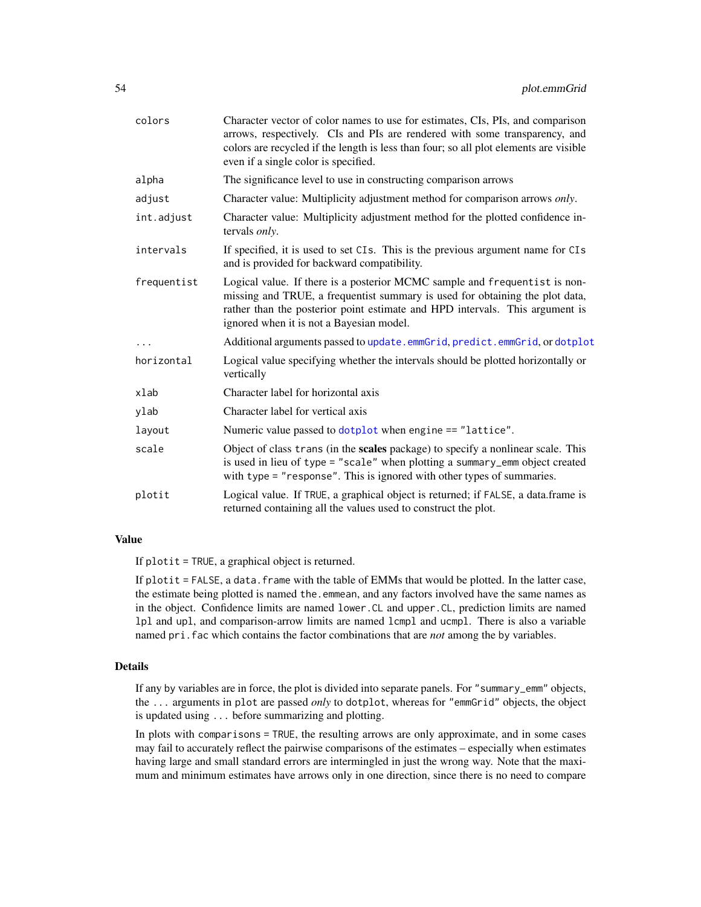| colors      | Character vector of color names to use for estimates, CIs, PIs, and comparison<br>arrows, respectively. CIs and PIs are rendered with some transparency, and<br>colors are recycled if the length is less than four; so all plot elements are visible<br>even if a single color is specified. |
|-------------|-----------------------------------------------------------------------------------------------------------------------------------------------------------------------------------------------------------------------------------------------------------------------------------------------|
| alpha       | The significance level to use in constructing comparison arrows                                                                                                                                                                                                                               |
| adjust      | Character value: Multiplicity adjustment method for comparison arrows only.                                                                                                                                                                                                                   |
| int.adjust  | Character value: Multiplicity adjustment method for the plotted confidence in-<br>tervals only.                                                                                                                                                                                               |
| intervals   | If specified, it is used to set CIs. This is the previous argument name for CIs<br>and is provided for backward compatibility.                                                                                                                                                                |
| frequentist | Logical value. If there is a posterior MCMC sample and frequentist is non-<br>missing and TRUE, a frequentist summary is used for obtaining the plot data,<br>rather than the posterior point estimate and HPD intervals. This argument is<br>ignored when it is not a Bayesian model.        |
|             | Additional arguments passed to update.emmGrid, predict.emmGrid, or dotplot                                                                                                                                                                                                                    |
| horizontal  | Logical value specifying whether the intervals should be plotted horizontally or<br>vertically                                                                                                                                                                                                |
| xlab        | Character label for horizontal axis                                                                                                                                                                                                                                                           |
| ylab        | Character label for vertical axis                                                                                                                                                                                                                                                             |
| layout      | Numeric value passed to dotplot when engine == "lattice".                                                                                                                                                                                                                                     |
| scale       | Object of class trans (in the scales package) to specify a nonlinear scale. This<br>is used in lieu of type = "scale" when plotting a summary_emm object created<br>with type = "response". This is ignored with other types of summaries.                                                    |
| plotit      | Logical value. If TRUE, a graphical object is returned; if FALSE, a data.frame is<br>returned containing all the values used to construct the plot.                                                                                                                                           |

# Value

If plotit = TRUE, a graphical object is returned.

If  $plotit = FALSE$ , a data. frame with the table of EMMs that would be plotted. In the latter case, the estimate being plotted is named the emmean, and any factors involved have the same names as in the object. Confidence limits are named lower.CL and upper.CL, prediction limits are named lpl and upl, and comparison-arrow limits are named lcmpl and ucmpl. There is also a variable named pri.fac which contains the factor combinations that are *not* among the by variables.

### Details

If any by variables are in force, the plot is divided into separate panels. For "summary\_emm" objects, the ... arguments in plot are passed *only* to dotplot, whereas for "emmGrid" objects, the object is updated using ... before summarizing and plotting.

In plots with comparisons = TRUE, the resulting arrows are only approximate, and in some cases may fail to accurately reflect the pairwise comparisons of the estimates – especially when estimates having large and small standard errors are intermingled in just the wrong way. Note that the maximum and minimum estimates have arrows only in one direction, since there is no need to compare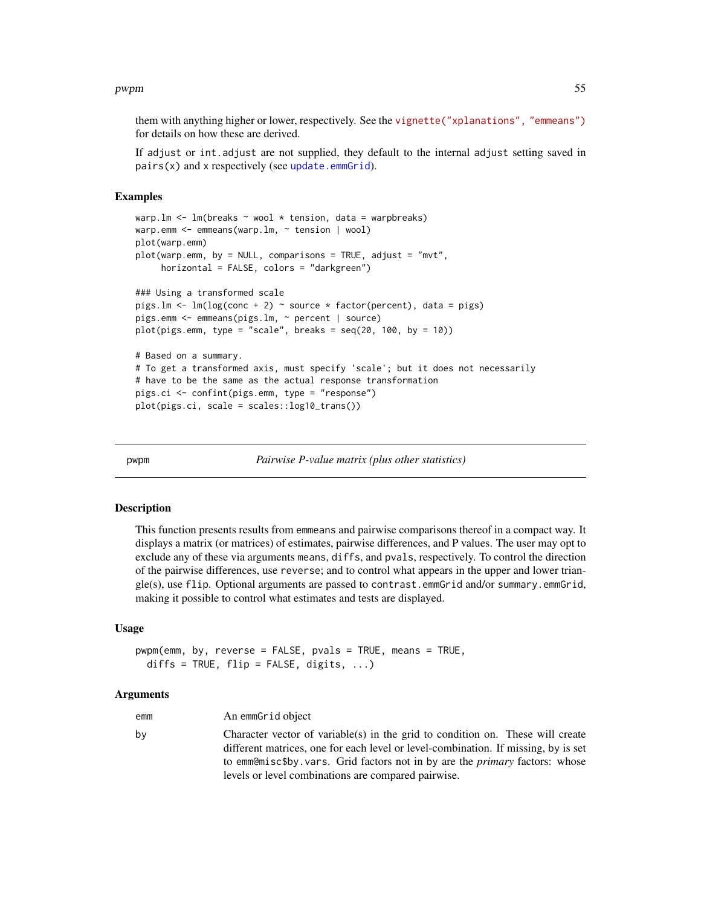### pwpm 55

them with anything higher or lower, respectively. See the [vignette\("xplanations", "emmeans"\)](../doc/xplanations.html#arrows) for details on how these are derived.

If adjust or int.adjust are not supplied, they default to the internal adjust setting saved in  $pairs(x)$  and x respectively (see [update.emmGrid](#page-77-0)).

### Examples

```
warp.lm \leq lm(breaks \sim wool \star tension, data = warpbreaks)
warp.emm <- emmeans(warp.lm, ~ tension | wool)
plot(warp.emm)
plot(warp.emm, by = NULL, comparisons = TRUE, adjust = "mvt",
     horizontal = FALSE, colors = "darkgreen")
### Using a transformed scale
pigs.lm <- lm(log(conc + 2) ~ source * factor(percent), data = pigs)
pigs.emm <- emmeans(pigs.lm, ~ percent | source)
plot(pigs.emm, type = "scale", breaks = seq(20, 100, by = 10))# Based on a summary.
# To get a transformed axis, must specify 'scale'; but it does not necessarily
# have to be the same as the actual response transformation
pigs.ci <- confint(pigs.emm, type = "response")
plot(pigs.ci, scale = scales::log10_trans())
```
<span id="page-54-0"></span>pwpm *Pairwise P-value matrix (plus other statistics)*

# Description

This function presents results from emmeans and pairwise comparisons thereof in a compact way. It displays a matrix (or matrices) of estimates, pairwise differences, and P values. The user may opt to exclude any of these via arguments means, diffs, and pvals, respectively. To control the direction of the pairwise differences, use reverse; and to control what appears in the upper and lower triangle(s), use flip. Optional arguments are passed to contrast.emmGrid and/or summary.emmGrid, making it possible to control what estimates and tests are displayed.

# Usage

```
pwpm(emm, by, reverse = FALSE, pvals = TRUE, means = TRUE,
  diffs = TRUE, flip = FALSE, digits, \ldots)
```
#### Arguments

| emm | An emmGrid object                                                                                                                                                                                                                                                                                                 |
|-----|-------------------------------------------------------------------------------------------------------------------------------------------------------------------------------------------------------------------------------------------------------------------------------------------------------------------|
| bv  | Character vector of variable(s) in the grid to condition on. These will create<br>different matrices, one for each level or level-combination. If missing, by is set<br>to emm@misc\$by.vars. Grid factors not in by are the <i>primary</i> factors: whose<br>levels or level combinations are compared pairwise. |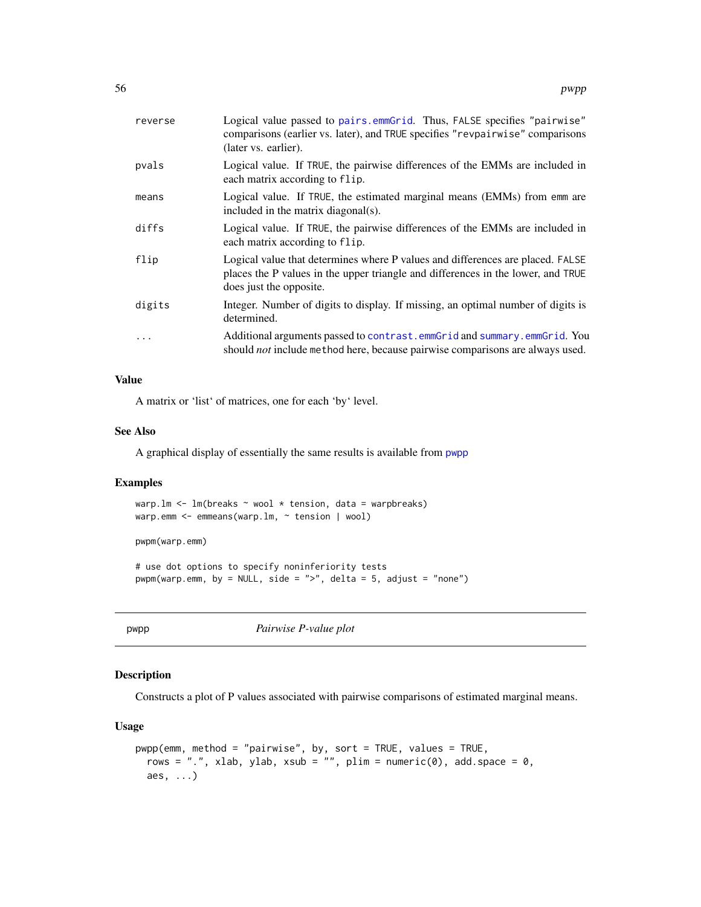| reverse   | Logical value passed to pairs.emmGrid. Thus, FALSE specifies "pairwise"<br>comparisons (earlier vs. later), and TRUE specifies "revpairwise" comparisons<br>(later vs. earlier).              |
|-----------|-----------------------------------------------------------------------------------------------------------------------------------------------------------------------------------------------|
| pvals     | Logical value. If TRUE, the pairwise differences of the EMMs are included in<br>each matrix according to flip.                                                                                |
| means     | Logical value. If TRUE, the estimated marginal means (EMMs) from emm are<br>included in the matrix diagonal(s).                                                                               |
| diffs     | Logical value. If TRUE, the pairwise differences of the EMMs are included in<br>each matrix according to flip.                                                                                |
| flip      | Logical value that determines where P values and differences are placed. FALSE<br>places the P values in the upper triangle and differences in the lower, and TRUE<br>does just the opposite. |
| digits    | Integer. Number of digits to display. If missing, an optimal number of digits is<br>determined.                                                                                               |
| $\ddotsc$ | Additional arguments passed to contrast.emmGrid and summary.emmGrid. You<br>should <i>not</i> include method here, because pairwise comparisons are always used.                              |

# Value

A matrix or 'list' of matrices, one for each 'by' level.

### See Also

A graphical display of essentially the same results is available from [pwpp](#page-55-0)

### Examples

warp.lm <- lm(breaks ~ wool \* tension, data = warpbreaks) warp.emm <- emmeans(warp.lm, ~ tension | wool)

pwpm(warp.emm)

# use dot options to specify noninferiority tests pwpm(warp.emm, by = NULL, side = ">", delta = 5, adjust = "none")

<span id="page-55-0"></span>pwpp *Pairwise P-value plot*

# Description

Constructs a plot of P values associated with pairwise comparisons of estimated marginal means.

# Usage

```
pwpp(emm, method = "pairwise", by, sort = TRUE, values = TRUE,
 rows = ".", xlab, ylab, xsub = "", plim = numeric(0), add.space = 0,
 aes, ...)
```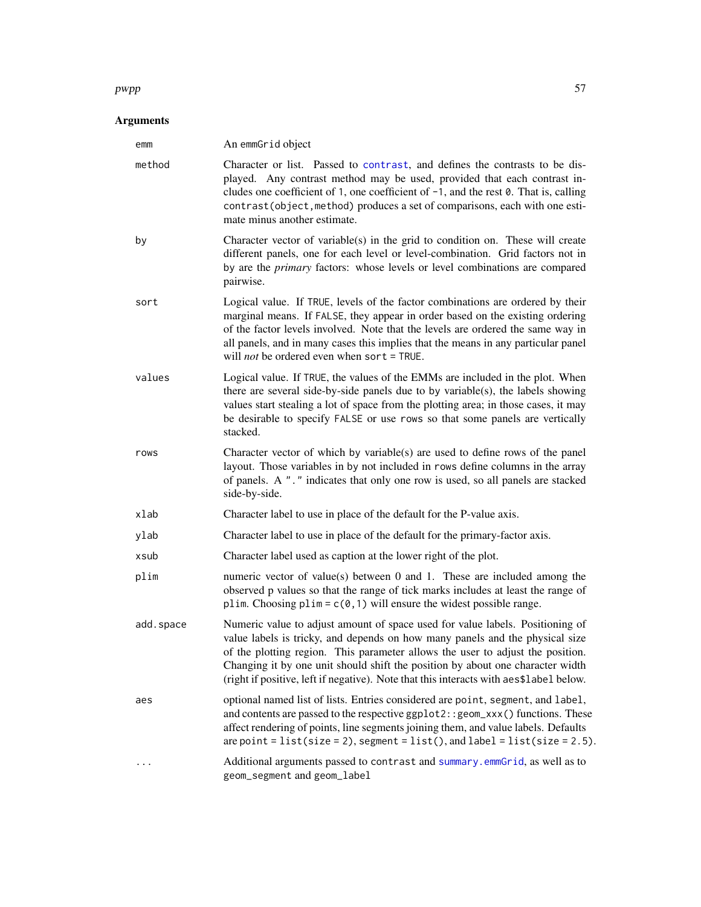### $pwpp$  57

# Arguments

| emm       | An emmGrid object                                                                                                                                                                                                                                                                                                                                                                                                           |
|-----------|-----------------------------------------------------------------------------------------------------------------------------------------------------------------------------------------------------------------------------------------------------------------------------------------------------------------------------------------------------------------------------------------------------------------------------|
| method    | Character or list. Passed to contrast, and defines the contrasts to be dis-<br>played. Any contrast method may be used, provided that each contrast in-<br>cludes one coefficient of 1, one coefficient of $-1$ , and the rest 0. That is, calling<br>contrast(object, method) produces a set of comparisons, each with one esti-<br>mate minus another estimate.                                                           |
| by        | Character vector of variable(s) in the grid to condition on. These will create<br>different panels, one for each level or level-combination. Grid factors not in<br>by are the primary factors: whose levels or level combinations are compared<br>pairwise.                                                                                                                                                                |
| sort      | Logical value. If TRUE, levels of the factor combinations are ordered by their<br>marginal means. If FALSE, they appear in order based on the existing ordering<br>of the factor levels involved. Note that the levels are ordered the same way in<br>all panels, and in many cases this implies that the means in any particular panel<br>will <i>not</i> be ordered even when sort = TRUE.                                |
| values    | Logical value. If TRUE, the values of the EMMs are included in the plot. When<br>there are several side-by-side panels due to by variable(s), the labels showing<br>values start stealing a lot of space from the plotting area; in those cases, it may<br>be desirable to specify FALSE or use rows so that some panels are vertically<br>stacked.                                                                         |
| rows      | Character vector of which by variable(s) are used to define rows of the panel<br>layout. Those variables in by not included in rows define columns in the array<br>of panels. A "." indicates that only one row is used, so all panels are stacked<br>side-by-side.                                                                                                                                                         |
| xlab      | Character label to use in place of the default for the P-value axis.                                                                                                                                                                                                                                                                                                                                                        |
| ylab      | Character label to use in place of the default for the primary-factor axis.                                                                                                                                                                                                                                                                                                                                                 |
| xsub      | Character label used as caption at the lower right of the plot.                                                                                                                                                                                                                                                                                                                                                             |
| plim      | numeric vector of value(s) between 0 and 1. These are included among the<br>observed p values so that the range of tick marks includes at least the range of<br>plim. Choosing plim = $c(0, 1)$ will ensure the widest possible range.                                                                                                                                                                                      |
| add.space | Numeric value to adjust amount of space used for value labels. Positioning of<br>value labels is tricky, and depends on how many panels and the physical size<br>of the plotting region. This parameter allows the user to adjust the position.<br>Changing it by one unit should shift the position by about one character width<br>(right if positive, left if negative). Note that this interacts with aes\$label below. |
| aes       | optional named list of lists. Entries considered are point, segment, and label,<br>and contents are passed to the respective ggplot2:: geom_xxx() functions. These<br>affect rendering of points, line segments joining them, and value labels. Defaults<br>are point = list(size = 2), segment = list(), and label = list(size = 2.5).                                                                                     |
|           | Additional arguments passed to contrast and summary. emmGrid, as well as to<br>geom_segment and geom_label                                                                                                                                                                                                                                                                                                                  |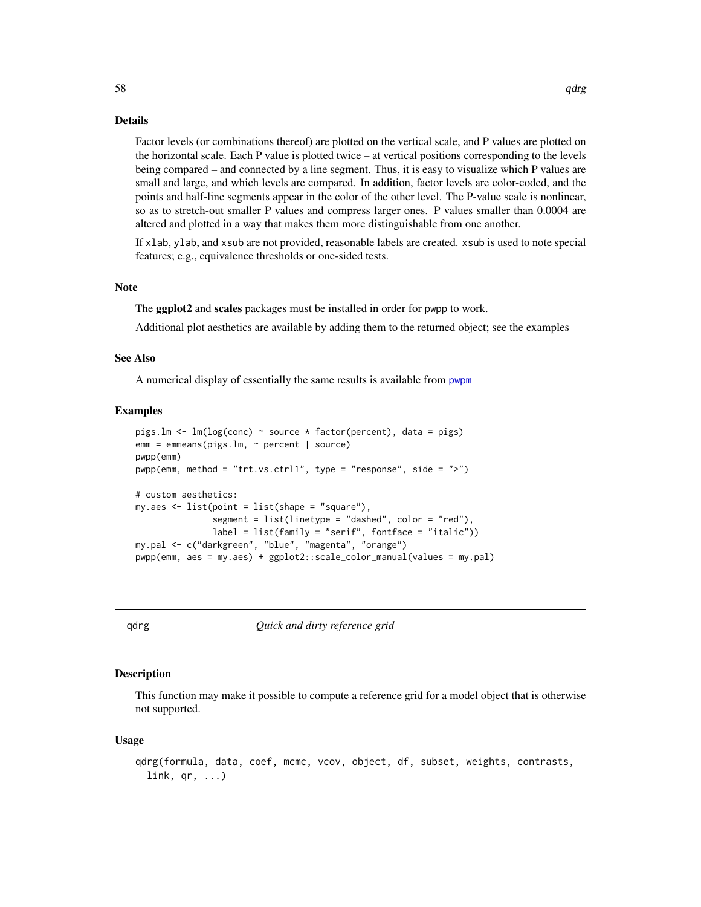Factor levels (or combinations thereof) are plotted on the vertical scale, and P values are plotted on the horizontal scale. Each P value is plotted twice – at vertical positions corresponding to the levels being compared – and connected by a line segment. Thus, it is easy to visualize which P values are small and large, and which levels are compared. In addition, factor levels are color-coded, and the points and half-line segments appear in the color of the other level. The P-value scale is nonlinear, so as to stretch-out smaller P values and compress larger ones. P values smaller than 0.0004 are altered and plotted in a way that makes them more distinguishable from one another.

If xlab, ylab, and xsub are not provided, reasonable labels are created. xsub is used to note special features; e.g., equivalence thresholds or one-sided tests.

#### Note

The **ggplot2** and scales packages must be installed in order for pwpp to work.

Additional plot aesthetics are available by adding them to the returned object; see the examples

### See Also

A numerical display of essentially the same results is available from [pwpm](#page-54-0)

#### Examples

```
pigs.lm <- lm(log(conc) ~ source * factor(percent), data = pigs)
e^{m m} = emmeans(pigs.lm, \sim percent | source)
pwpp(emm)
pwp(\text{emm}, \text{method} = "trt.vs.ctr11", type = "response", side = ">")# custom aesthetics:
my.aes <- list(point = list(shape = "square"),
               segment = list(linetype = "dashed", color = "red"),
               label = list(family = "serif", fontface = "italic"))
my.pal <- c("darkgreen", "blue", "magenta", "orange")
pwpp(emm, aes = my.aes) + ggplot2::scale_color_manual(values = my.pal)
```
<span id="page-57-0"></span>

qdrg *Quick and dirty reference grid*

# Description

This function may make it possible to compute a reference grid for a model object that is otherwise not supported.

#### Usage

```
qdrg(formula, data, coef, mcmc, vcov, object, df, subset, weights, contrasts,
 link, qr, ...)
```
 $58$  qdrg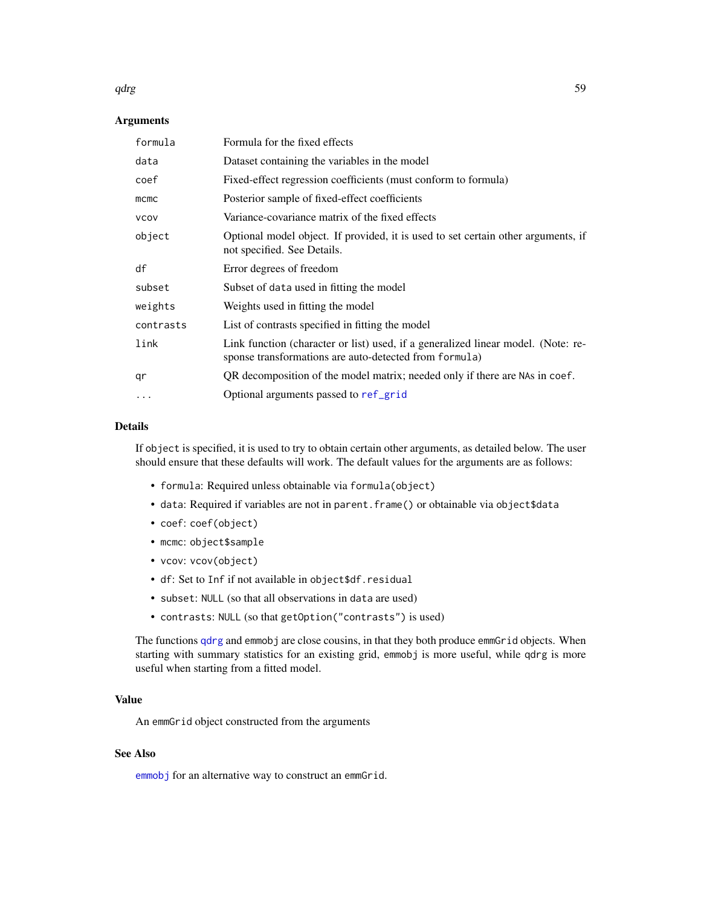# qdrg 59 September 2006 September 2006 September 2006 September 2006 September 2006 September 2006 September 20

# Arguments

| formula     | Formula for the fixed effects                                                                                                               |
|-------------|---------------------------------------------------------------------------------------------------------------------------------------------|
| data        | Dataset containing the variables in the model                                                                                               |
| coef        | Fixed-effect regression coefficients (must conform to formula)                                                                              |
| mcmc        | Posterior sample of fixed-effect coefficients                                                                                               |
| <b>VCOV</b> | Variance-covariance matrix of the fixed effects                                                                                             |
| object      | Optional model object. If provided, it is used to set certain other arguments, if<br>not specified. See Details.                            |
| df          | Error degrees of freedom                                                                                                                    |
| subset      | Subset of data used in fitting the model                                                                                                    |
| weights     | Weights used in fitting the model                                                                                                           |
| contrasts   | List of contrasts specified in fitting the model                                                                                            |
| link        | Link function (character or list) used, if a generalized linear model. (Note: re-<br>sponse transformations are auto-detected from formula) |
| qr          | QR decomposition of the model matrix; needed only if there are NAs in coef.                                                                 |
| .           | Optional arguments passed to ref_grid                                                                                                       |

### Details

If object is specified, it is used to try to obtain certain other arguments, as detailed below. The user should ensure that these defaults will work. The default values for the arguments are as follows:

- formula: Required unless obtainable via formula(object)
- data: Required if variables are not in parent.frame() or obtainable via object\$data
- coef: coef(object)
- mcmc: object\$sample
- vcov: vcov(object)
- df: Set to Inf if not available in object\$df.residual
- subset: NULL (so that all observations in data are used)
- contrasts: NULL (so that getOption("contrasts") is used)

The functions [qdrg](#page-57-0) and emmobj are close cousins, in that they both produce emmGrid objects. When starting with summary statistics for an existing grid, emmobj is more useful, while qdrg is more useful when starting from a fitted model.

# Value

An emmGrid object constructed from the arguments

# See Also

[emmobj](#page-28-0) for an alternative way to construct an emmGrid.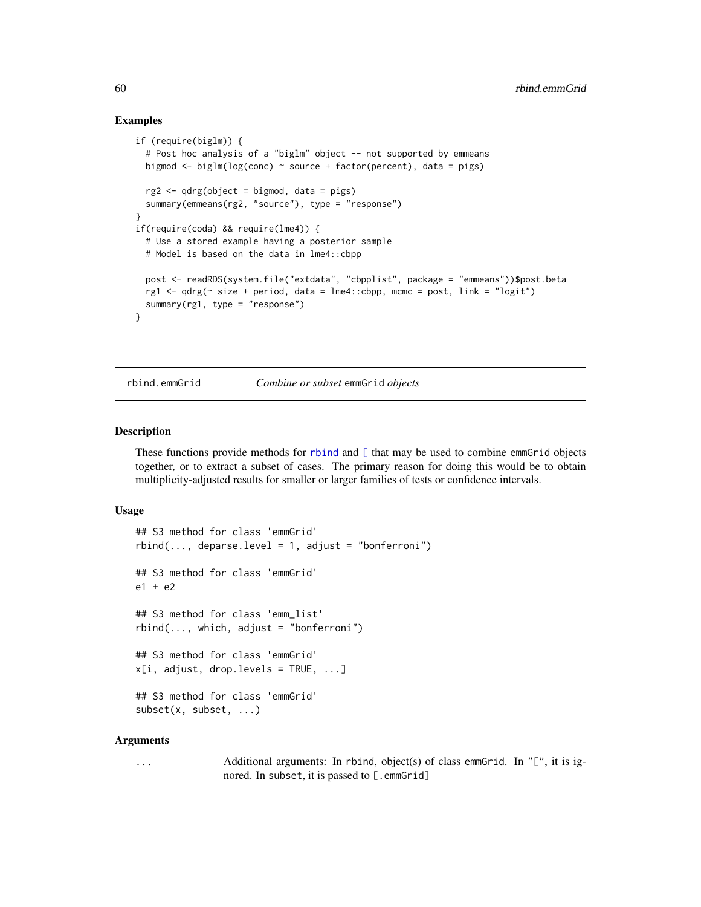### Examples

```
if (require(biglm)) {
 # Post hoc analysis of a "biglm" object -- not supported by emmeans
 bigmod \leq biglm(log(conc) \sim source + factor(percent), data = pigs)
 rg2 <- qdrg(object = bigmod, data = pigs)
 summary(emmeans(rg2, "source"), type = "response")
}
if(require(coda) && require(lme4)) {
 # Use a stored example having a posterior sample
 # Model is based on the data in lme4::cbpp
 post <- readRDS(system.file("extdata", "cbpplist", package = "emmeans"))$post.beta
 rg1 <- qdrg(\sim size + period, data = lme4::cbpp, mcmc = post, link = "logit")
 summary(rg1, type = "response")
}
```
rbind.emmGrid *Combine or subset* emmGrid *objects*

#### Description

These functions provide methods for [rbind](#page-0-0) and [\[](#page-0-0) that may be used to combine emmGrid objects together, or to extract a subset of cases. The primary reason for doing this would be to obtain multiplicity-adjusted results for smaller or larger families of tests or confidence intervals.

### Usage

```
## S3 method for class 'emmGrid'
rbind(..., \text{ deparse. level} = 1, \text{ adjust} = "bonferroni")## S3 method for class 'emmGrid'
e1 + e2## S3 method for class 'emm_list'
rbind(..., which, adjust = "bonferroni")## S3 method for class 'emmGrid'
x[i, addjust, drop.levels = TRUE, ...]## S3 method for class 'emmGrid'
subset(x, subset, ...)
```
#### Arguments

... Additional arguments: In rbind, object(s) of class emmGrid. In "[", it is ignored. In subset, it is passed to [.emmGrid]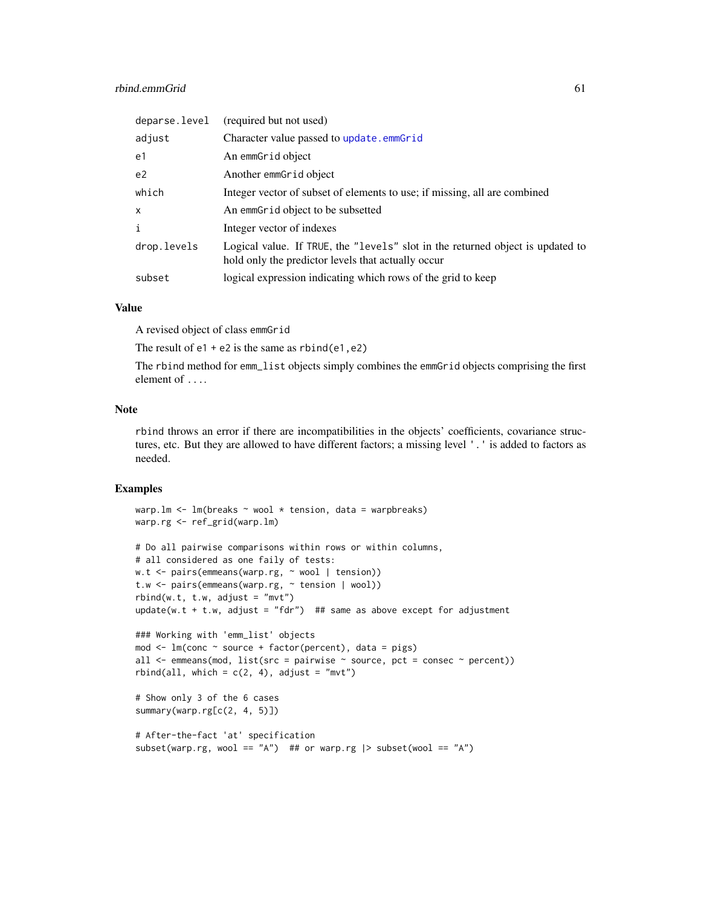# rbind.emmGrid 61

| deparse.level | (required but not used)                                                                                                              |
|---------------|--------------------------------------------------------------------------------------------------------------------------------------|
| adjust        | Character value passed to update.emmGrid                                                                                             |
| e1            | An emmGrid object                                                                                                                    |
| e2            | Another emmGrid object                                                                                                               |
| which         | Integer vector of subset of elements to use; if missing, all are combined                                                            |
| $\times$      | An emmGrid object to be subsetted                                                                                                    |
| $\mathbf{i}$  | Integer vector of indexes                                                                                                            |
| drop.levels   | Logical value. If TRUE, the "levels" slot in the returned object is updated to<br>hold only the predictor levels that actually occur |
| subset        | logical expression indicating which rows of the grid to keep                                                                         |

### Value

A revised object of class emmGrid

The result of  $e1 + e2$  is the same as  $rbind(e1, e2)$ 

The rbind method for emm\_list objects simply combines the emmGrid objects comprising the first element of ....

# Note

rbind throws an error if there are incompatibilities in the objects' coefficients, covariance structures, etc. But they are allowed to have different factors; a missing level '.' is added to factors as needed.

### Examples

```
warp.lm <- lm(breaks ~ wool * tension, data = warpbreaks)
warp.rg <- ref_grid(warp.lm)
# Do all pairwise comparisons within rows or within columns,
# all considered as one faily of tests:
w.t <- pairs(emmeans(warp.rg, ~ wool | tension))
t.w <- pairs(emmeans(warp.rg, ~ tension | wool))
rbind(w.t, t.w, adjust = "mvt")update(w.t + t.w, adjust = "fdr") ## same as above except for adjustment
### Working with 'emm_list' objects
mod <- lm(conc ~ source + factor(percent), data = pigs)
all \leq emmeans(mod, list(src = pairwise \sim source, pct = consec \sim percent))
rbind(all, which = c(2, 4), adjust = "mvt")# Show only 3 of the 6 cases
summary(warp.rg[c(2, 4, 5)])
# After-the-fact 'at' specification
subset(warp.rg, wool == "A") ## or warp.rg |> subset(wool == "A")
```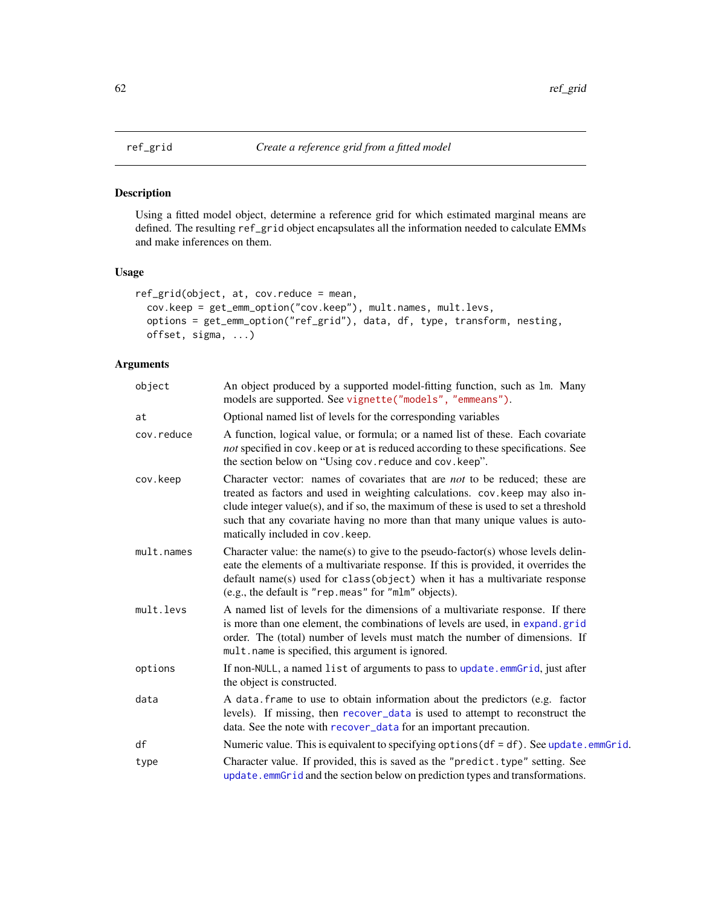<span id="page-61-0"></span>

Using a fitted model object, determine a reference grid for which estimated marginal means are defined. The resulting ref\_grid object encapsulates all the information needed to calculate EMMs and make inferences on them.

# Usage

```
ref_grid(object, at, cov.reduce = mean,
 cov.keep = get_emm_option("cov.keep"), mult.names, mult.levs,
 options = get_emm_option("ref_grid"), data, df, type, transform, nesting,
 offset, sigma, ...)
```
# Arguments

| object     | An object produced by a supported model-fitting function, such as 1m. Many<br>models are supported. See vignette("models", "emmeans").                                                                                                                                                                                                                                 |
|------------|------------------------------------------------------------------------------------------------------------------------------------------------------------------------------------------------------------------------------------------------------------------------------------------------------------------------------------------------------------------------|
| at         | Optional named list of levels for the corresponding variables                                                                                                                                                                                                                                                                                                          |
| cov.reduce | A function, logical value, or formula; or a named list of these. Each covariate<br>not specified in cov. keep or at is reduced according to these specifications. See<br>the section below on "Using cov. reduce and cov. keep".                                                                                                                                       |
| cov.keep   | Character vector: names of covariates that are not to be reduced; these are<br>treated as factors and used in weighting calculations. cov. keep may also in-<br>clude integer value(s), and if so, the maximum of these is used to set a threshold<br>such that any covariate having no more than that many unique values is auto-<br>matically included in cov. keep. |
| mult.names | Character value: the name(s) to give to the pseudo-factor(s) whose levels delin-<br>eate the elements of a multivariate response. If this is provided, it overrides the<br>$default name(s) used for class(object) when it has a multivariate response$<br>(e.g., the default is "rep. meas" for "mlm" objects).                                                       |
| mult.levs  | A named list of levels for the dimensions of a multivariate response. If there<br>is more than one element, the combinations of levels are used, in expand.grid<br>order. The (total) number of levels must match the number of dimensions. If<br>mult.name is specified, this argument is ignored.                                                                    |
| options    | If non-NULL, a named list of arguments to pass to update.emmGrid, just after<br>the object is constructed.                                                                                                                                                                                                                                                             |
| data       | A data. frame to use to obtain information about the predictors (e.g. factor<br>levels). If missing, then recover_data is used to attempt to reconstruct the<br>data. See the note with recover_data for an important precaution.                                                                                                                                      |
| df         | Numeric value. This is equivalent to specifying options(df = df). See update.emmGrid.                                                                                                                                                                                                                                                                                  |
| type       | Character value. If provided, this is saved as the "predict.type" setting. See<br>update.emmGrid and the section below on prediction types and transformations.                                                                                                                                                                                                        |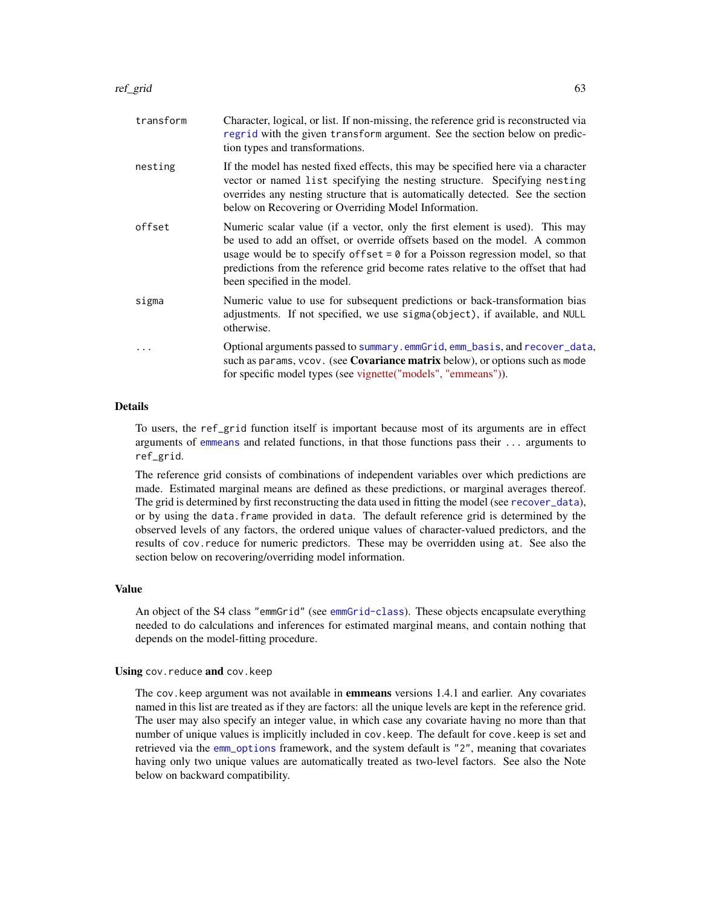| transform | Character, logical, or list. If non-missing, the reference grid is reconstructed via<br>regrid with the given transform argument. See the section below on predic-<br>tion types and transformations.                                                                                                                                                             |
|-----------|-------------------------------------------------------------------------------------------------------------------------------------------------------------------------------------------------------------------------------------------------------------------------------------------------------------------------------------------------------------------|
| nesting   | If the model has nested fixed effects, this may be specified here via a character<br>vector or named list specifying the nesting structure. Specifying nesting<br>overrides any nesting structure that is automatically detected. See the section<br>below on Recovering or Overriding Model Information.                                                         |
| offset    | Numeric scalar value (if a vector, only the first element is used). This may<br>be used to add an offset, or override offsets based on the model. A common<br>usage would be to specify of fset $= 0$ for a Poisson regression model, so that<br>predictions from the reference grid become rates relative to the offset that had<br>been specified in the model. |
| sigma     | Numeric value to use for subsequent predictions or back-transformation bias<br>adjustments. If not specified, we use sigma(object), if available, and NULL<br>otherwise.                                                                                                                                                                                          |
| $\ddots$  | Optional arguments passed to summary.emmGrid, emm_basis, and recover_data,<br>such as params, vcov. (see Covariance matrix below), or options such as mode<br>for specific model types (see vignette("models", "emmeans")).                                                                                                                                       |

### Details

To users, the ref\_grid function itself is important because most of its arguments are in effect arguments of [emmeans](#page-19-0) and related functions, in that those functions pass their ... arguments to ref\_grid.

The reference grid consists of combinations of independent variables over which predictions are made. Estimated marginal means are defined as these predictions, or marginal averages thereof. The grid is determined by first reconstructing the data used in fitting the model (see [recover\\_data](#page-35-0)), or by using the data.frame provided in data. The default reference grid is determined by the observed levels of any factors, the ordered unique values of character-valued predictors, and the results of cov.reduce for numeric predictors. These may be overridden using at. See also the section below on recovering/overriding model information.

### Value

An object of the S4 class "emmGrid" (see [emmGrid-class](#page-23-0)). These objects encapsulate everything needed to do calculations and inferences for estimated marginal means, and contain nothing that depends on the model-fitting procedure.

### Using cov.reduce and cov.keep

The cov. keep argument was not available in **emmeans** versions 1.4.1 and earlier. Any covariates named in this list are treated as if they are factors: all the unique levels are kept in the reference grid. The user may also specify an integer value, in which case any covariate having no more than that number of unique values is implicitly included in cov.keep. The default for cove.keep is set and retrieved via the [emm\\_options](#page-30-0) framework, and the system default is "2", meaning that covariates having only two unique values are automatically treated as two-level factors. See also the Note below on backward compatibility.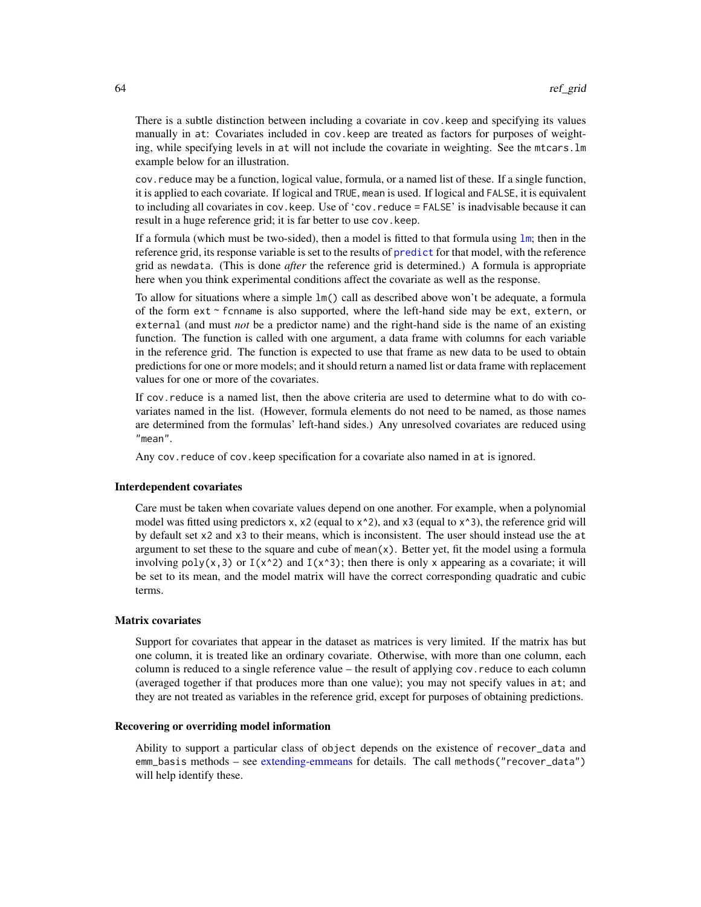There is a subtle distinction between including a covariate in cov.keep and specifying its values manually in at: Covariates included in cov.keep are treated as factors for purposes of weighting, while specifying levels in at will not include the covariate in weighting. See the mtcars.lm example below for an illustration.

cov.reduce may be a function, logical value, formula, or a named list of these. If a single function, it is applied to each covariate. If logical and TRUE, mean is used. If logical and FALSE, it is equivalent to including all covariates in cov.keep. Use of 'cov.reduce = FALSE' is inadvisable because it can result in a huge reference grid; it is far better to use cov.keep.

If a formula (which must be two-sided), then a model is fitted to that formula using  $\text{Im}$ ; then in the reference grid, its response variable is set to the results of [predict](#page-0-0) for that model, with the reference grid as newdata. (This is done *after* the reference grid is determined.) A formula is appropriate here when you think experimental conditions affect the covariate as well as the response.

To allow for situations where a simple lm() call as described above won't be adequate, a formula of the form  $ext$   $\sim$  fcnname is also supported, where the left-hand side may be ext, extern, or external (and must *not* be a predictor name) and the right-hand side is the name of an existing function. The function is called with one argument, a data frame with columns for each variable in the reference grid. The function is expected to use that frame as new data to be used to obtain predictions for one or more models; and it should return a named list or data frame with replacement values for one or more of the covariates.

If cov.reduce is a named list, then the above criteria are used to determine what to do with covariates named in the list. (However, formula elements do not need to be named, as those names are determined from the formulas' left-hand sides.) Any unresolved covariates are reduced using "mean".

Any cov.reduce of cov.keep specification for a covariate also named in at is ignored.

### Interdependent covariates

Care must be taken when covariate values depend on one another. For example, when a polynomial model was fitted using predictors x,  $x^2$  (equal to  $x^2$ ), and x3 (equal to  $x^3$ ), the reference grid will by default set x2 and x3 to their means, which is inconsistent. The user should instead use the at argument to set these to the square and cube of mean $(x)$ . Better yet, fit the model using a formula involving poly(x, 3) or  $I(x^2)$  and  $I(x^3)$ ; then there is only x appearing as a covariate; it will be set to its mean, and the model matrix will have the correct corresponding quadratic and cubic terms.

### Matrix covariates

Support for covariates that appear in the dataset as matrices is very limited. If the matrix has but one column, it is treated like an ordinary covariate. Otherwise, with more than one column, each column is reduced to a single reference value – the result of applying cov. reduce to each column (averaged together if that produces more than one value); you may not specify values in at; and they are not treated as variables in the reference grid, except for purposes of obtaining predictions.

### Recovering or overriding model information

Ability to support a particular class of object depends on the existence of recover\_data and emm\_basis methods – see [extending-emmeans](#page-35-1) for details. The call methods("recover\_data") will help identify these.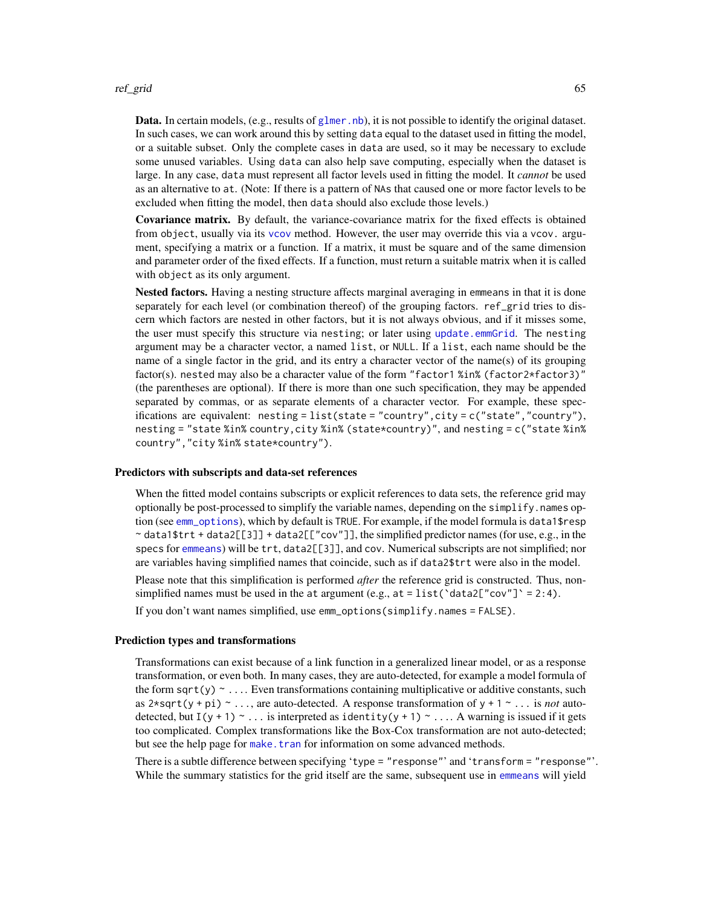### ref\_grid 65

**Data.** In certain models, (e.g., results of [glmer.nb](#page-0-0)), it is not possible to identify the original dataset. In such cases, we can work around this by setting data equal to the dataset used in fitting the model, or a suitable subset. Only the complete cases in data are used, so it may be necessary to exclude some unused variables. Using data can also help save computing, especially when the dataset is large. In any case, data must represent all factor levels used in fitting the model. It *cannot* be used as an alternative to at. (Note: If there is a pattern of NAs that caused one or more factor levels to be excluded when fitting the model, then data should also exclude those levels.)

Covariance matrix. By default, the variance-covariance matrix for the fixed effects is obtained from object, usually via its [vcov](#page-0-0) method. However, the user may override this via a vcov. argument, specifying a matrix or a function. If a matrix, it must be square and of the same dimension and parameter order of the fixed effects. If a function, must return a suitable matrix when it is called with object as its only argument.

Nested factors. Having a nesting structure affects marginal averaging in emmeans in that it is done separately for each level (or combination thereof) of the grouping factors. ref\_grid tries to discern which factors are nested in other factors, but it is not always obvious, and if it misses some, the user must specify this structure via nesting; or later using [update.emmGrid](#page-77-0). The nesting argument may be a character vector, a named list, or NULL. If a list, each name should be the name of a single factor in the grid, and its entry a character vector of the name(s) of its grouping factor(s). nested may also be a character value of the form "factor1 %in% (factor2\*factor3)" (the parentheses are optional). If there is more than one such specification, they may be appended separated by commas, or as separate elements of a character vector. For example, these specifications are equivalent: nesting = list(state = "country",city = c("state","country"), nesting = "state %in% country,city %in% (state\*country)", and nesting = c("state %in% country","city %in% state\*country").

### Predictors with subscripts and data-set references

When the fitted model contains subscripts or explicit references to data sets, the reference grid may optionally be post-processed to simplify the variable names, depending on the simplify. names option (see [emm\\_options](#page-30-0)), which by default is TRUE. For example, if the model formula is data1\$resp  $\sim$  data1\$trt + data2[[3]] + data2[["cov"]], the simplified predictor names (for use, e.g., in the specs for [emmeans](#page-19-0)) will be trt, data2[[3]], and cov. Numerical subscripts are not simplified; nor are variables having simplified names that coincide, such as if data2\$trt were also in the model.

Please note that this simplification is performed *after* the reference grid is constructed. Thus, nonsimplified names must be used in the at argument (e.g., at = list( $\text{data2}$ ["cov"] = 2:4).

If you don't want names simplified, use emm\_options(simplify.names = FALSE).

#### Prediction types and transformations

Transformations can exist because of a link function in a generalized linear model, or as a response transformation, or even both. In many cases, they are auto-detected, for example a model formula of the form sqrt(y)  $\sim \ldots$  Even transformations containing multiplicative or additive constants, such as  $2 \star \sqrt{(y + pi)} \sim \ldots$ , are auto-detected. A response transformation of  $y + 1 \sim \ldots$  is *not* autodetected, but I(y + 1)  $\sim$  ... is interpreted as identity(y + 1)  $\sim$  ... A warning is issued if it gets too complicated. Complex transformations like the Box-Cox transformation are not auto-detected; but see the help page for [make.tran](#page-45-0) for information on some advanced methods.

There is a subtle difference between specifying 'type = "response"' and 'transform = "response"'. While the summary statistics for the grid itself are the same, subsequent use in [emmeans](#page-19-0) will yield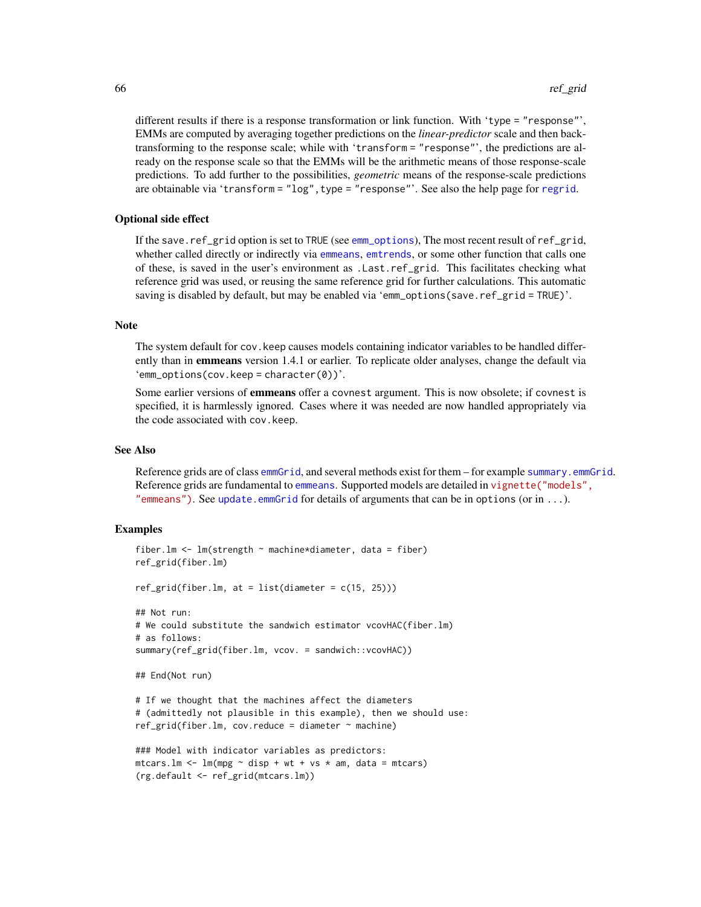different results if there is a response transformation or link function. With 'type = "response"', EMMs are computed by averaging together predictions on the *linear-predictor* scale and then backtransforming to the response scale; while with 'transform = "response"', the predictions are already on the response scale so that the EMMs will be the arithmetic means of those response-scale predictions. To add further to the possibilities, *geometric* means of the response-scale predictions are obtainable via 'transform = "log", type = "response"'. See also the help page for [regrid](#page-66-0).

### Optional side effect

If the save.ref\_grid option is set to TRUE (see [emm\\_options](#page-30-0)), The most recent result of ref\_grid, whether called directly or indirectly via [emmeans](#page-19-0), [emtrends](#page-33-0), or some other function that calls one of these, is saved in the user's environment as .Last.ref\_grid. This facilitates checking what reference grid was used, or reusing the same reference grid for further calculations. This automatic saving is disabled by default, but may be enabled via 'emm\_options(save.ref\_grid = TRUE)'.

### Note

The system default for cov.keep causes models containing indicator variables to be handled differently than in **emmeans** version 1.4.1 or earlier. To replicate older analyses, change the default via  $'emm\_options(cov.keep = character(0))'.$ 

Some earlier versions of **emmeans** offer a covnest argument. This is now obsolete; if covnest is specified, it is harmlessly ignored. Cases where it was needed are now handled appropriately via the code associated with cov.keep.

#### See Also

Reference grids are of class [emmGrid](#page-23-0), and several methods exist for them – for example summary. emmGrid. Reference grids are fundamental to [emmeans](#page-19-0). Supported models are detailed in [vignette\("models"](../doc/models.html), ["emmeans"\)](../doc/models.html). See update.emm $Grid$  for details of arguments that can be in options (or in ...).

### Examples

```
fiber.lm \leq lm(strength \sim machine*diameter, data = fiber)
ref_grid(fiber.lm)
ref\_grid(fiber.lm, at = list(diameter = c(15, 25)))## Not run:
# We could substitute the sandwich estimator vcovHAC(fiber.lm)
# as follows:
summary(ref_grid(fiber.lm, vcov. = sandwich::vcovHAC))
## End(Not run)
# If we thought that the machines affect the diameters
# (admittedly not plausible in this example), then we should use:
ref\_grid(fiber.lm, cov.readuce = diameter ~ machine)### Model with indicator variables as predictors:
mtcars.lm <- lm(mpg \sim disp + wt + vs * am, data = mtcars)(rg.default <- ref_grid(mtcars.lm))
```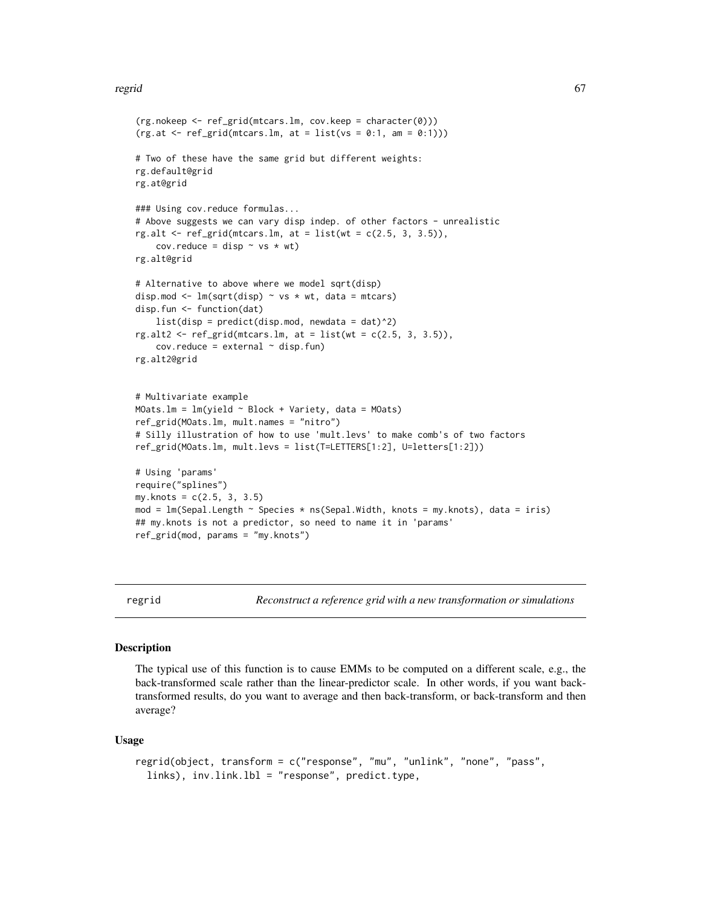### regrid 67

```
(rg.nokeep <- ref_grid(mtcars.lm, cov.keep = character(0)))
(rg.at < -ref\_grid(mtcars.lm, at = list(vs = 0:1, am = 0:1)))# Two of these have the same grid but different weights:
rg.default@grid
rg.at@grid
### Using cov.reduce formulas...
# Above suggests we can vary disp indep. of other factors - unrealistic
rg.alt \leq ref_grid(mtcars.lm, at = list(wt = c(2.5, 3, 3.5)),
    cov.readuce = disp \sim vs \star wt)rg.alt@grid
# Alternative to above where we model sqrt(disp)
disp.mod \leq lm(sqrt(disp) \sim vs \star wt, data = mtcars)
disp.fun <- function(dat)
    list(disp = predict(disp.mod, newdata = dat)^2)rg.alt2 \leftarrow ref\_grid(mtcars.lm, at = list(wt = c(2.5, 3, 3.5)),cov. reduce = external \sim disp. fun)
rg.alt2@grid
# Multivariate example
MOats.lm = lm(yield ~ Block + Variety, data = MOats)ref_grid(MOats.lm, mult.names = "nitro")
# Silly illustration of how to use 'mult.levs' to make comb's of two factors
ref_grid(MOats.lm, mult.levs = list(T=LETTERS[1:2], U=letters[1:2]))
# Using 'params'
require("splines")
my.knots = c(2.5, 3, 3.5)mod = lm(Sepal.Length ~ Species * ns(Sepal.Width, knots = my.knots), data = iris)
## my.knots is not a predictor, so need to name it in 'params'
ref_grid(mod, params = "my.knots")
```
regrid *Reconstruct a reference grid with a new transformation or simulations*

# Description

The typical use of this function is to cause EMMs to be computed on a different scale, e.g., the back-transformed scale rather than the linear-predictor scale. In other words, if you want backtransformed results, do you want to average and then back-transform, or back-transform and then average?

#### Usage

```
regrid(object, transform = c("response", "mu", "unlink", "none", "pass",
  links), inv.link.lbl = "response", predict.type,
```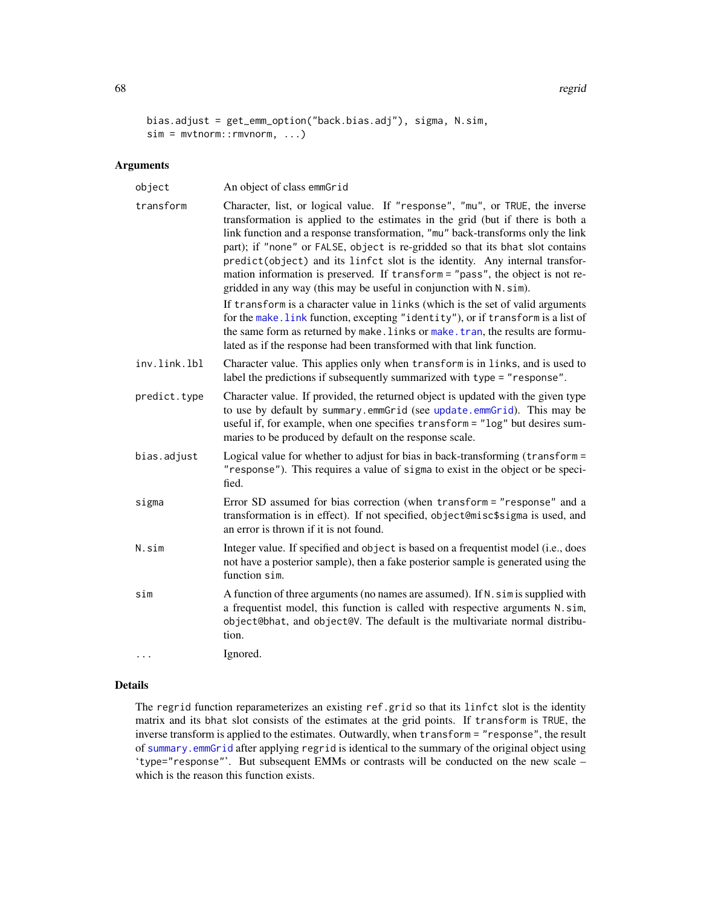68 regrid

```
bias.adjust = get_emm_option("back.bias.adj"), sigma, N.sim,
sim = mvtnorm::rmvnorm, ...)
```
### Arguments

| object       | An object of class emmGrid                                                                                                                                                                                                                                                                                                                                                                                                                                                                                                                                                                                                                                                                                                                                                                                                                                                                                    |
|--------------|---------------------------------------------------------------------------------------------------------------------------------------------------------------------------------------------------------------------------------------------------------------------------------------------------------------------------------------------------------------------------------------------------------------------------------------------------------------------------------------------------------------------------------------------------------------------------------------------------------------------------------------------------------------------------------------------------------------------------------------------------------------------------------------------------------------------------------------------------------------------------------------------------------------|
| transform    | Character, list, or logical value. If "response", "mu", or TRUE, the inverse<br>transformation is applied to the estimates in the grid (but if there is both a<br>link function and a response transformation, "mu" back-transforms only the link<br>part); if "none" or FALSE, object is re-gridded so that its bhat slot contains<br>predict(object) and its linfct slot is the identity. Any internal transfor-<br>mation information is preserved. If transform = "pass", the object is not re-<br>gridded in any way (this may be useful in conjunction with N. sim).<br>If transform is a character value in links (which is the set of valid arguments<br>for the make. link function, excepting "identity"), or if transform is a list of<br>the same form as returned by make. links or make. tran, the results are formu-<br>lated as if the response had been transformed with that link function. |
| inv.link.lbl | Character value. This applies only when transform is in links, and is used to<br>label the predictions if subsequently summarized with type = "response".                                                                                                                                                                                                                                                                                                                                                                                                                                                                                                                                                                                                                                                                                                                                                     |
| predict.type | Character value. If provided, the returned object is updated with the given type<br>to use by default by summary.emmGrid (see update.emmGrid). This may be<br>useful if, for example, when one specifies transform = "log" but desires sum-<br>maries to be produced by default on the response scale.                                                                                                                                                                                                                                                                                                                                                                                                                                                                                                                                                                                                        |
| bias.adjust  | Logical value for whether to adjust for bias in back-transforming (transform =<br>"response"). This requires a value of sigma to exist in the object or be speci-<br>fied.                                                                                                                                                                                                                                                                                                                                                                                                                                                                                                                                                                                                                                                                                                                                    |
| sigma        | Error SD assumed for bias correction (when transform = "response" and a<br>transformation is in effect). If not specified, object@misc\$sigma is used, and<br>an error is thrown if it is not found.                                                                                                                                                                                                                                                                                                                                                                                                                                                                                                                                                                                                                                                                                                          |
| N.sim        | Integer value. If specified and object is based on a frequentist model (i.e., does<br>not have a posterior sample), then a fake posterior sample is generated using the<br>function sim.                                                                                                                                                                                                                                                                                                                                                                                                                                                                                                                                                                                                                                                                                                                      |
| sim          | A function of three arguments (no names are assumed). If N. sim is supplied with<br>a frequentist model, this function is called with respective arguments N. sim,<br>object@bhat, and object@V. The default is the multivariate normal distribu-<br>tion.                                                                                                                                                                                                                                                                                                                                                                                                                                                                                                                                                                                                                                                    |
|              | Ignored.                                                                                                                                                                                                                                                                                                                                                                                                                                                                                                                                                                                                                                                                                                                                                                                                                                                                                                      |

# Details

The regrid function reparameterizes an existing ref.grid so that its linfct slot is the identity matrix and its bhat slot consists of the estimates at the grid points. If transform is TRUE, the inverse transform is applied to the estimates. Outwardly, when transform = "response", the result of [summary.emmGrid](#page-69-0) after applying regrid is identical to the summary of the original object using 'type="response"'. But subsequent EMMs or contrasts will be conducted on the new scale – which is the reason this function exists.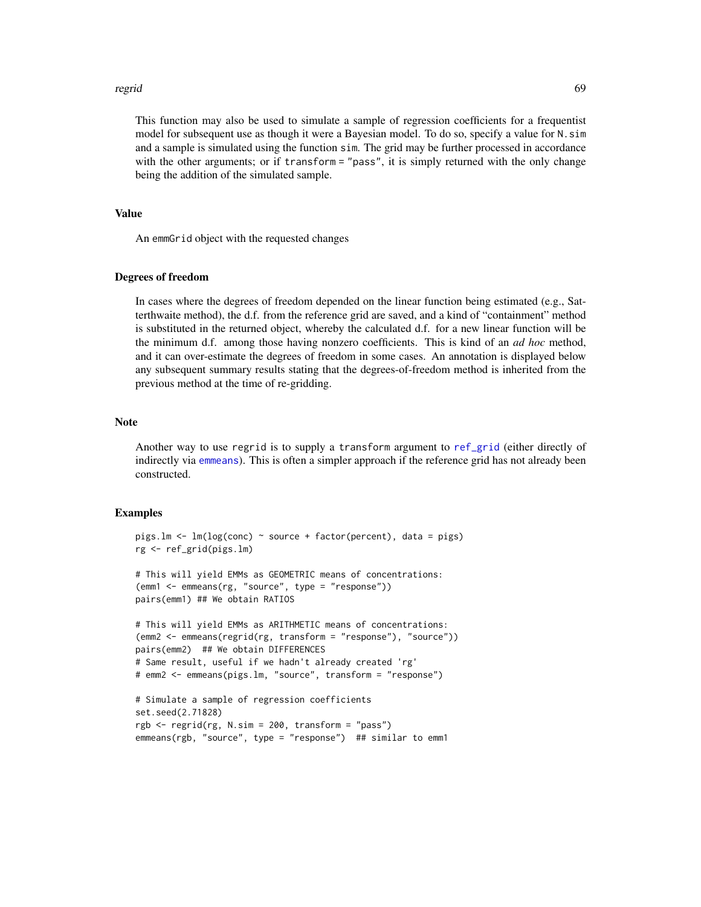### regrid 69 and 200 million and 200 million and 200 million and 200 million and 200 million and 200 million and 200 million and 200 million and 200 million and 200 million and 200 million and 200 million and 200 million and

This function may also be used to simulate a sample of regression coefficients for a frequentist model for subsequent use as though it were a Bayesian model. To do so, specify a value for N.sim and a sample is simulated using the function sim. The grid may be further processed in accordance with the other arguments; or if transform = "pass", it is simply returned with the only change being the addition of the simulated sample.

# Value

An emmGrid object with the requested changes

### Degrees of freedom

In cases where the degrees of freedom depended on the linear function being estimated (e.g., Satterthwaite method), the d.f. from the reference grid are saved, and a kind of "containment" method is substituted in the returned object, whereby the calculated d.f. for a new linear function will be the minimum d.f. among those having nonzero coefficients. This is kind of an *ad hoc* method, and it can over-estimate the degrees of freedom in some cases. An annotation is displayed below any subsequent summary results stating that the degrees-of-freedom method is inherited from the previous method at the time of re-gridding.

### Note

Another way to use regrid is to supply a transform argument to [ref\\_grid](#page-61-0) (either directly of indirectly via [emmeans](#page-19-0)). This is often a simpler approach if the reference grid has not already been constructed.

### Examples

```
pigs.lm <- lm(log(conc) ~ source + factor(percent), data = pigs)
rg <- ref_grid(pigs.lm)
# This will yield EMMs as GEOMETRIC means of concentrations:
(emm1 <- emmeans(rg, "source", type = "response"))
pairs(emm1) ## We obtain RATIOS
# This will yield EMMs as ARITHMETIC means of concentrations:
(emm2 <- emmeans(regrid(rg, transform = "response"), "source"))
pairs(emm2) ## We obtain DIFFERENCES
# Same result, useful if we hadn't already created 'rg'
# emm2 <- emmeans(pigs.lm, "source", transform = "response")
# Simulate a sample of regression coefficients
set.seed(2.71828)
rgb <- regrid(rg, N.sim = 200, transform = "pass")
emmeans(rgb, "source", type = "response") ## similar to emm1
```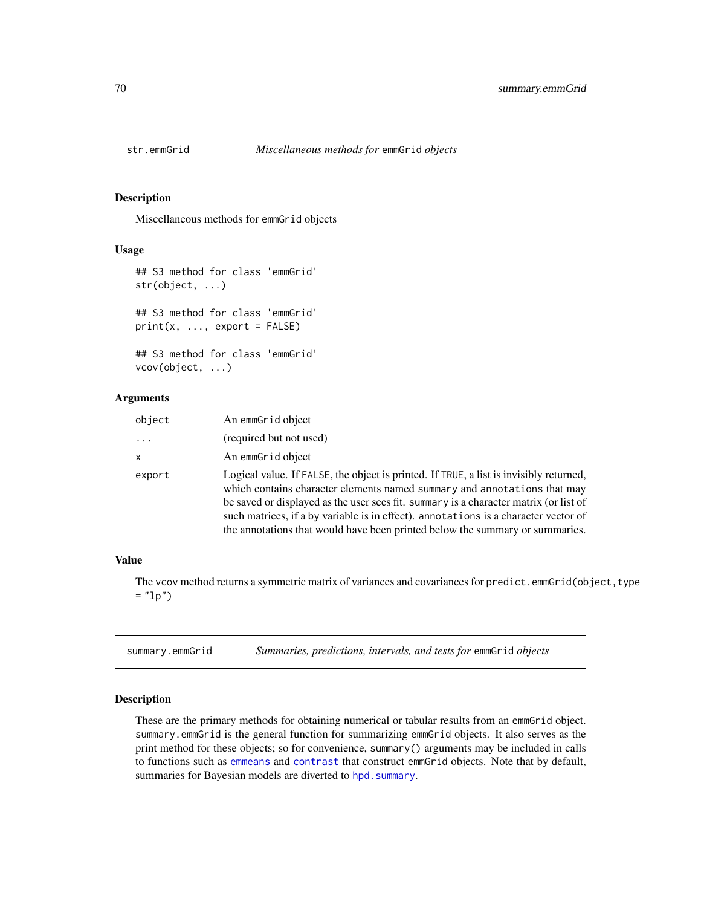Miscellaneous methods for emmGrid objects

# Usage

```
## S3 method for class 'emmGrid'
str(object, ...)
## S3 method for class 'emmGrid'
print(x, ..., export = FALSE)## S3 method for class 'emmGrid'
vcov(object, ...)
```
# Arguments

| object   | An emmGrid object                                                                                                                                                            |
|----------|------------------------------------------------------------------------------------------------------------------------------------------------------------------------------|
| $\cdots$ | (required but not used)                                                                                                                                                      |
| x        | An emmGrid object                                                                                                                                                            |
| export   | Logical value. If FALSE, the object is printed. If TRUE, a list is invisibly returned,<br>which contains character elements named summary and annotations that may           |
|          | be saved or displayed as the user sees fit. summary is a character matrix (or list of<br>such matrices, if a by variable is in effect), annotations is a character vector of |
|          | the annotations that would have been printed below the summary or summaries.                                                                                                 |

# Value

The vcov method returns a symmetric matrix of variances and covariances for predict.emmGrid(object, type  $=$  " $1p$ ")

<span id="page-69-0"></span>summary.emmGrid *Summaries, predictions, intervals, and tests for* emmGrid *objects*

# <span id="page-69-1"></span>Description

These are the primary methods for obtaining numerical or tabular results from an emmGrid object. summary.emmGrid is the general function for summarizing emmGrid objects. It also serves as the print method for these objects; so for convenience, summary() arguments may be included in calls to functions such as [emmeans](#page-19-0) and [contrast](#page-10-0) that construct emmGrid objects. Note that by default, summaries for Bayesian models are diverted to hpd. summary.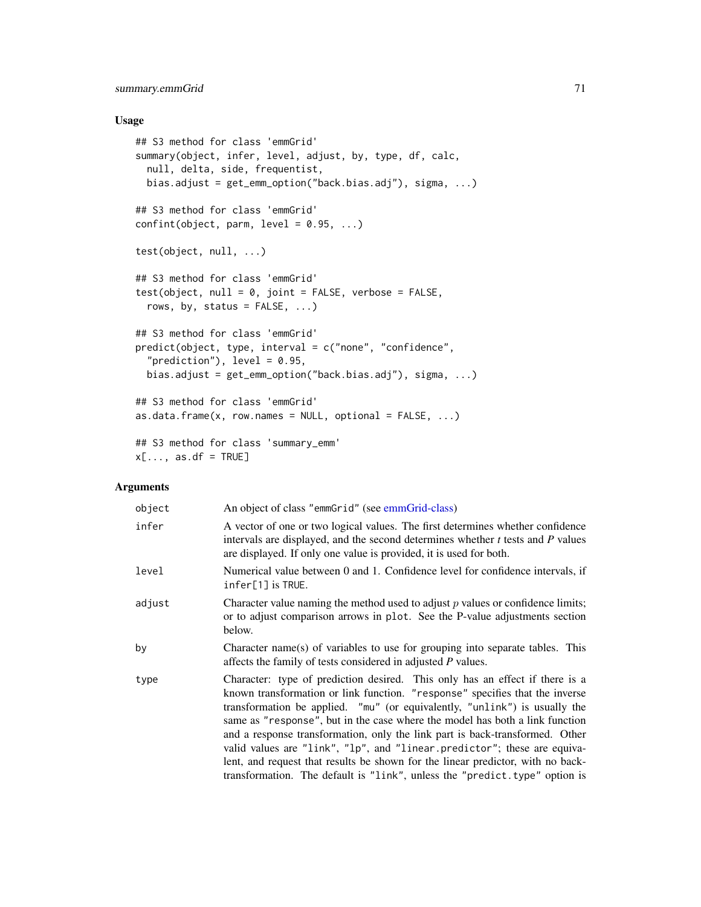# summary.emmGrid 71

### Usage

```
## S3 method for class 'emmGrid'
summary(object, infer, level, adjust, by, type, df, calc,
 null, delta, side, frequentist,
 bias.adjust = get_emm_option("back.bias.adj"), sigma, ...)
## S3 method for class 'emmGrid'
confint(object, parm, level = 0.95, ...)test(object, null, ...)
## S3 method for class 'emmGrid'
test(object, null = 0, joint = FALSE, verbose = FALSE,rows, by, status = FALSE, ...)## S3 method for class 'emmGrid'
predict(object, type, interval = c("none", "confidence",
  "prediction"), level = 0.95,
 bias.adjust = get_emm_option("back.bias.adj"), sigma, ...)
## S3 method for class 'emmGrid'
as.data.frame(x, row.names = NULL, optional = FALSE, ...)
## S3 method for class 'summary_emm'
x[\ldots, as.df = TRUE]
```
#### Arguments

| object | An object of class "emmGrid" (see emmGrid-class)                                                                                                                                                                                                                                                                                                                                                                                                                                                                                                                                                                                                        |
|--------|---------------------------------------------------------------------------------------------------------------------------------------------------------------------------------------------------------------------------------------------------------------------------------------------------------------------------------------------------------------------------------------------------------------------------------------------------------------------------------------------------------------------------------------------------------------------------------------------------------------------------------------------------------|
| infer  | A vector of one or two logical values. The first determines whether confidence<br>intervals are displayed, and the second determines whether $t$ tests and $P$ values<br>are displayed. If only one value is provided, it is used for both.                                                                                                                                                                                                                                                                                                                                                                                                             |
| level  | Numerical value between 0 and 1. Confidence level for confidence intervals, if<br>$infer[1]$ is TRUE.                                                                                                                                                                                                                                                                                                                                                                                                                                                                                                                                                   |
| adjust | Character value naming the method used to adjust $p$ values or confidence limits;<br>or to adjust comparison arrows in plot. See the P-value adjustments section<br>below.                                                                                                                                                                                                                                                                                                                                                                                                                                                                              |
| by     | Character name(s) of variables to use for grouping into separate tables. This<br>affects the family of tests considered in adjusted P values.                                                                                                                                                                                                                                                                                                                                                                                                                                                                                                           |
| type   | Character: type of prediction desired. This only has an effect if there is a<br>known transformation or link function. "response" specifies that the inverse<br>transformation be applied. "mu" (or equivalently, "unlink") is usually the<br>same as "response", but in the case where the model has both a link function<br>and a response transformation, only the link part is back-transformed. Other<br>valid values are "link", "lp", and "linear.predictor"; these are equiva-<br>lent, and request that results be shown for the linear predictor, with no back-<br>transformation. The default is "link", unless the "predict.type" option is |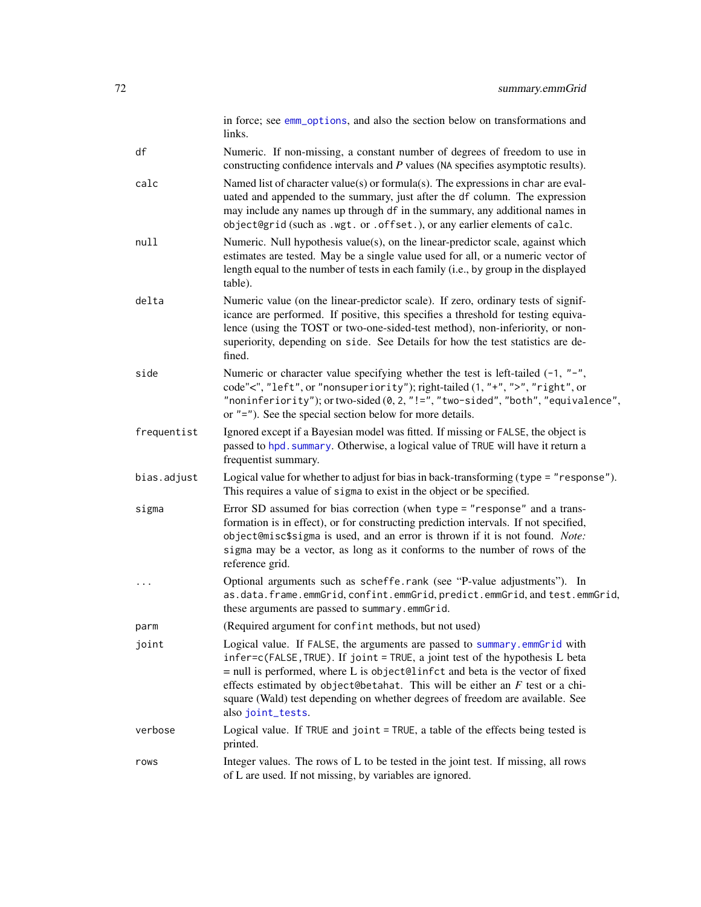in force; see [emm\\_options](#page-30-0), and also the section below on transformations and links.

df Numeric. If non-missing, a constant number of degrees of freedom to use in constructing confidence intervals and *P* values (NA specifies asymptotic results).

- calc Named list of character value(s) or formula(s). The expressions in char are evaluated and appended to the summary, just after the df column. The expression may include any names up through df in the summary, any additional names in object@grid (such as .wgt. or .offset.), or any earlier elements of calc.
- null Numeric. Null hypothesis value(s), on the linear-predictor scale, against which estimates are tested. May be a single value used for all, or a numeric vector of length equal to the number of tests in each family (i.e., by group in the displayed table).
- delta Numeric value (on the linear-predictor scale). If zero, ordinary tests of significance are performed. If positive, this specifies a threshold for testing equivalence (using the TOST or two-one-sided-test method), non-inferiority, or nonsuperiority, depending on side. See Details for how the test statistics are defined.
- side Numeric or character value specifying whether the test is left-tailed  $(-1, "-"$ , code"<", "left", or "nonsuperiority"); right-tailed (1, "+", ">", "right", or "noninferiority"); or two-sided  $(0, 2, "!="", "two-sided", "both", "equivalence",$ or "="). See the special section below for more details.
- frequentist Ignored except if a Bayesian model was fitted. If missing or FALSE, the object is passed to hpd. summary. Otherwise, a logical value of TRUE will have it return a frequentist summary.
- bias.adjust Logical value for whether to adjust for bias in back-transforming (type = "response"). This requires a value of sigma to exist in the object or be specified.
- sigma Error SD assumed for bias correction (when type = "response" and a transformation is in effect), or for constructing prediction intervals. If not specified, object@misc\$sigma is used, and an error is thrown if it is not found. *Note:* sigma may be a vector, as long as it conforms to the number of rows of the reference grid.
- ... Optional arguments such as scheffe.rank (see "P-value adjustments"). In as.data.frame.emmGrid, confint.emmGrid, predict.emmGrid, and test.emmGrid, these arguments are passed to summary.emmGrid.

parm (Required argument for confint methods, but not used)

- joint Logical value. If FALSE, the arguments are passed to [summary.emmGrid](#page-69-0) with infer=c(FALSE,TRUE). If joint = TRUE, a joint test of the hypothesis L beta  $=$  null is performed, where L is object@linfct and beta is the vector of fixed effects estimated by object@betahat. This will be either an *F* test or a chisquare (Wald) test depending on whether degrees of freedom are available. See also [joint\\_tests](#page-42-0).
- verbose Logical value. If TRUE and joint = TRUE, a table of the effects being tested is printed.
- rows Integer values. The rows of L to be tested in the joint test. If missing, all rows of L are used. If not missing, by variables are ignored.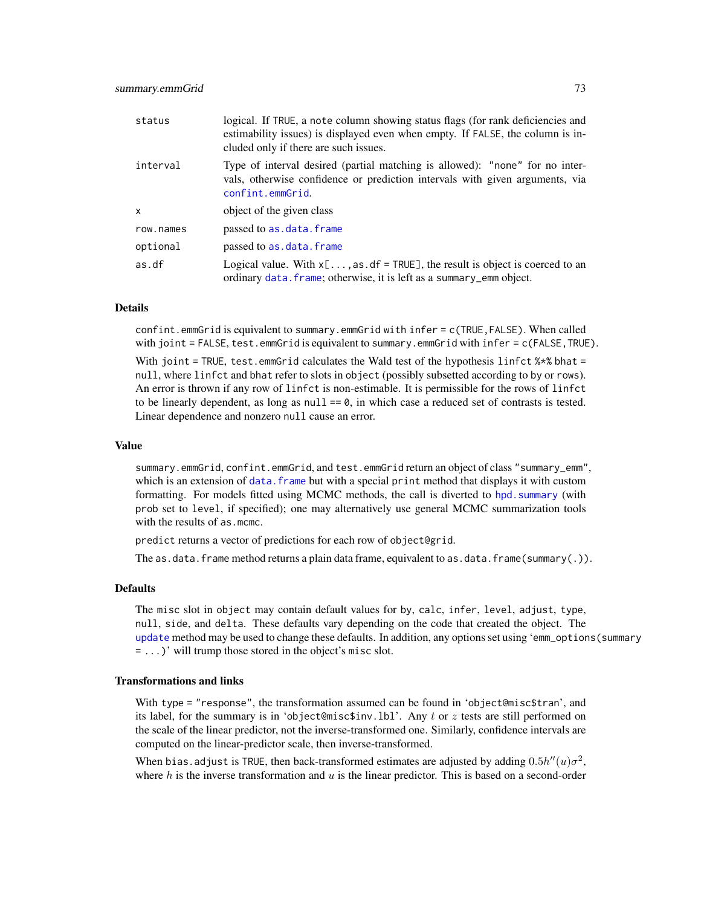<span id="page-72-0"></span>

| status       | logical. If TRUE, a note column showing status flags (for rank deficiencies and<br>estimability issues) is displayed even when empty. If FALSE, the column is in-<br>cluded only if there are such issues. |
|--------------|------------------------------------------------------------------------------------------------------------------------------------------------------------------------------------------------------------|
| interval     | Type of interval desired (partial matching is allowed): "none" for no inter-<br>vals, otherwise confidence or prediction intervals with given arguments, via<br>confint.emmGrid.                           |
| $\mathsf{x}$ | object of the given class                                                                                                                                                                                  |
| row.names    | passed to as.data.frame                                                                                                                                                                                    |
| optional     | passed to as.data.frame                                                                                                                                                                                    |
| as.df        | Logical value. With $x[\dots, as \cdot df = TRUE]$ , the result is object is coerced to an<br>ordinary data. frame; otherwise, it is left as a summary_emm object.                                         |

## Details

confint.emmGrid is equivalent to summary.emmGrid with infer = c(TRUE,FALSE). When called with joint = FALSE, test.emmGrid is equivalent to summary.emmGrid with infer = c(FALSE, TRUE).

With joint = TRUE, test.emmGrid calculates the Wald test of the hypothesis linfct  $%x$  bhat = null, where linfct and bhat refer to slots in object (possibly subsetted according to by or rows). An error is thrown if any row of linfct is non-estimable. It is permissible for the rows of linfct to be linearly dependent, as long as  $null == 0$ , in which case a reduced set of contrasts is tested. Linear dependence and nonzero null cause an error.

## Value

summary.emmGrid, confint.emmGrid, and test.emmGrid return an object of class "summary\_emm", which is an extension of data. frame but with a special print method that displays it with custom formatting. For models fitted using MCMC methods, the call is diverted to [hpd.summary](#page-41-0) (with prob set to level, if specified); one may alternatively use general MCMC summarization tools with the results of as.mcmc.

predict returns a vector of predictions for each row of object@grid.

The as.data.frame method returns a plain data frame, equivalent to as.data.frame(summary(.)).

#### Defaults

The misc slot in object may contain default values for by, calc, infer, level, adjust, type, null, side, and delta. These defaults vary depending on the code that created the object. The [update](#page-0-0) method may be used to change these defaults. In addition, any options set using 'emm\_options(summary = ...)' will trump those stored in the object's misc slot.

## Transformations and links

With type = "response", the transformation assumed can be found in 'object@misc\$tran', and its label, for the summary is in 'object@misc\$inv.lbl'. Any t or z tests are still performed on the scale of the linear predictor, not the inverse-transformed one. Similarly, confidence intervals are computed on the linear-predictor scale, then inverse-transformed.

When bias.adjust is TRUE, then back-transformed estimates are adjusted by adding  $0.5h''(u)\sigma^2$ , where  $h$  is the inverse transformation and  $u$  is the linear predictor. This is based on a second-order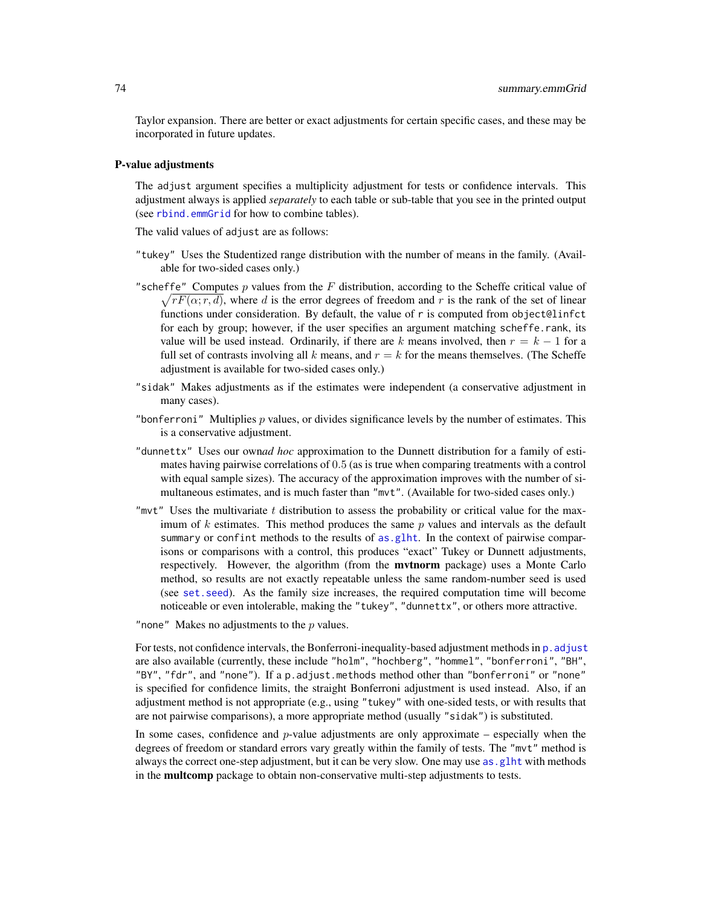<span id="page-73-0"></span>Taylor expansion. There are better or exact adjustments for certain specific cases, and these may be incorporated in future updates.

## P-value adjustments

The adjust argument specifies a multiplicity adjustment for tests or confidence intervals. This adjustment always is applied *separately* to each table or sub-table that you see in the printed output (see [rbind.emmGrid](#page-59-0) for how to combine tables).

The valid values of adjust are as follows:

- "tukey" Uses the Studentized range distribution with the number of means in the family. (Available for two-sided cases only.)
- "scheffe" Computes  $p$  values from the  $F$  distribution, according to the Scheffe critical value of  $\sqrt{rF(\alpha; r, d)}$ , where d is the error degrees of freedom and r is the rank of the set of linear functions under consideration. By default, the value of r is computed from object@linfct for each by group; however, if the user specifies an argument matching scheffe.rank, its value will be used instead. Ordinarily, if there are k means involved, then  $r = k - 1$  for a full set of contrasts involving all k means, and  $r = k$  for the means themselves. (The Scheffe adjustment is available for two-sided cases only.)
- "sidak" Makes adjustments as if the estimates were independent (a conservative adjustment in many cases).
- "bonferroni" Multiplies  $p$  values, or divides significance levels by the number of estimates. This is a conservative adjustment.
- "dunnettx" Uses our own*ad hoc* approximation to the Dunnett distribution for a family of estimates having pairwise correlations of 0.5 (as is true when comparing treatments with a control with equal sample sizes). The accuracy of the approximation improves with the number of simultaneous estimates, and is much faster than "mvt". (Available for two-sided cases only.)
- "mvt" Uses the multivariate t distribution to assess the probability or critical value for the maximum of  $k$  estimates. This method produces the same  $p$  values and intervals as the default summary or confint methods to the results of [as.glht](#page-18-0). In the context of pairwise comparisons or comparisons with a control, this produces "exact" Tukey or Dunnett adjustments, respectively. However, the algorithm (from the mvtnorm package) uses a Monte Carlo method, so results are not exactly repeatable unless the same random-number seed is used (see [set.seed](#page-0-0)). As the family size increases, the required computation time will become noticeable or even intolerable, making the "tukey", "dunnettx", or others more attractive.

"none" Makes no adjustments to the  $p$  values.

For tests, not confidence intervals, the Bonferroni-inequality-based adjustment methods in  $p$ . adjust are also available (currently, these include "holm", "hochberg", "hommel", "bonferroni", "BH", "BY", "fdr", and "none"). If a p.adjust.methods method other than "bonferroni" or "none" is specified for confidence limits, the straight Bonferroni adjustment is used instead. Also, if an adjustment method is not appropriate (e.g., using "tukey" with one-sided tests, or with results that are not pairwise comparisons), a more appropriate method (usually "sidak") is substituted.

In some cases, confidence and  $p$ -value adjustments are only approximate – especially when the degrees of freedom or standard errors vary greatly within the family of tests. The "mvt" method is always the correct one-step adjustment, but it can be very slow. One may use [as.glht](#page-18-0) with methods in the multcomp package to obtain non-conservative multi-step adjustments to tests.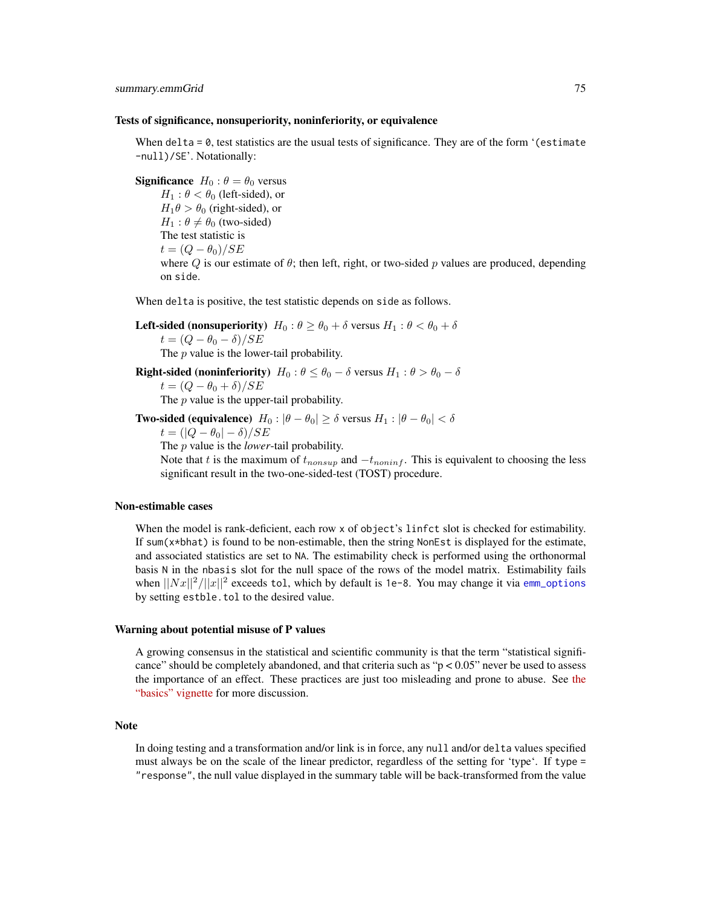#### <span id="page-74-0"></span>Tests of significance, nonsuperiority, noninferiority, or equivalence

When delta  $= 0$ , test statistics are the usual tests of significance. They are of the form '(estimate -null)/SE'. Notationally:

**Significance**  $H_0: \theta = \theta_0$  versus  $H_1$ :  $\theta < \theta_0$  (left-sided), or  $H_1 \theta > \theta_0$  (right-sided), or  $H_1$ :  $\theta \neq \theta_0$  (two-sided) The test statistic is  $t = (Q - \theta_0)/SE$ where Q is our estimate of  $\theta$ ; then left, right, or two-sided p values are produced, depending on side.

When delta is positive, the test statistic depends on side as follows.

**Left-sided (nonsuperiority)**  $H_0: \theta \ge \theta_0 + \delta$  versus  $H_1: \theta < \theta_0 + \delta$  $t = (Q - \theta_0 - \delta)/SE$ The  $p$  value is the lower-tail probability.

**Right-sided (noninferiority)**  $H_0: \theta \leq \theta_0 - \delta$  versus  $H_1: \theta > \theta_0 - \delta$ 

 $t = (Q - \theta_0 + \delta)/SE$ 

The  $p$  value is the upper-tail probability.

**Two-sided (equivalence)**  $H_0: |\theta - \theta_0| \ge \delta$  versus  $H_1: |\theta - \theta_0| < \delta$ 

$$
t = (|Q - \theta_0| - \delta) / SE
$$

The p value is the *lower*-tail probability.

Note that t is the maximum of  $t_{nonsup}$  and  $-t_{noninf}$ . This is equivalent to choosing the less significant result in the two-one-sided-test (TOST) procedure.

#### Non-estimable cases

When the model is rank-deficient, each row x of object's linfct slot is checked for estimability. If sum(x\*bhat) is found to be non-estimable, then the string NonEst is displayed for the estimate, and associated statistics are set to NA. The estimability check is performed using the orthonormal basis N in the nbasis slot for the null space of the rows of the model matrix. Estimability fails when  $\frac{||Nx||^2}{||x||^2}$  exceeds tol, which by default is 1e-8. You may change it via [emm\\_options](#page-30-0) by setting estble.tol to the desired value.

#### Warning about potential misuse of P values

A growing consensus in the statistical and scientific community is that the term "statistical significance" should be completely abandoned, and that criteria such as " $p < 0.05$ " never be used to assess the importance of an effect. These practices are just too misleading and prone to abuse. See [the](../doc/basics.html#pvalues) ["basics" vignette](../doc/basics.html#pvalues) for more discussion.

## **Note**

In doing testing and a transformation and/or link is in force, any null and/or delta values specified must always be on the scale of the linear predictor, regardless of the setting for 'type'. If type = "response", the null value displayed in the summary table will be back-transformed from the value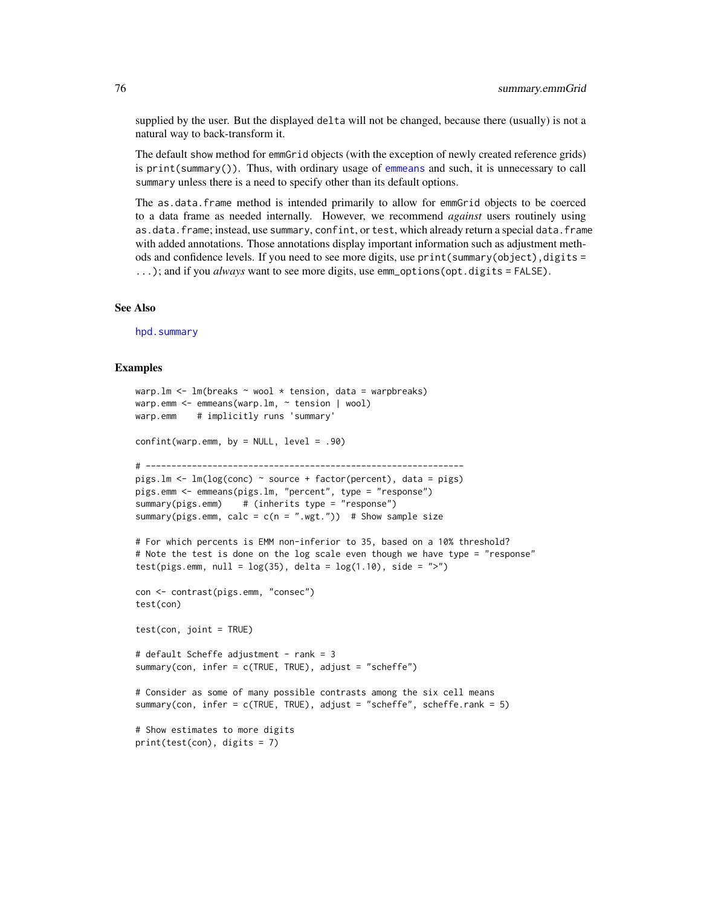supplied by the user. But the displayed delta will not be changed, because there (usually) is not a natural way to back-transform it.

The default show method for emmGrid objects (with the exception of newly created reference grids) is print(summary()). Thus, with ordinary usage of [emmeans](#page-19-0) and such, it is unnecessary to call summary unless there is a need to specify other than its default options.

The as.data.frame method is intended primarily to allow for emmGrid objects to be coerced to a data frame as needed internally. However, we recommend *against* users routinely using as.data.frame; instead, use summary, confint, or test, which already return a special data.frame with added annotations. Those annotations display important information such as adjustment methods and confidence levels. If you need to see more digits, use print(summary(object),digits = ...); and if you *always* want to see more digits, use emm\_options(opt.digits = FALSE).

#### See Also

[hpd.summary](#page-41-0)

```
warp.lm <- lm(breaks ~ wool * tension, data = warpbreaks)
warp.emm <- emmeans(warp.lm, ~ tension | wool)
warp.emm # implicitly runs 'summary'
confint(warp.emm, by = NULL, level = .90)
# --------------------------------------------------------------
pigs.lm <- lm(log(conc) ~ source + factor(percent), data = pigs)
pigs.emm <- emmeans(pigs.lm, "percent", type = "response")
summary(pigs.emm) # (inherits type = "response")
summary(pigs.emm, calc = c(n = " . wgt." ) # Show sample size
# For which percents is EMM non-inferior to 35, based on a 10% threshold?
# Note the test is done on the log scale even though we have type = "response"
test(pigs.emm, null = log(35), delta = log(1.10), side = ">")
con <- contrast(pigs.emm, "consec")
test(con)
test(con, joint = TRUE)
# default Scheffe adjustment - rank = 3
summary(con, infer = c(TRUE, TRUE), adjust = "scheffe")
# Consider as some of many possible contrasts among the six cell means
summary(con, infer = c(TRUE, TRUE), adjust = "scheffe", scheffe.rank = 5)
# Show estimates to more digits
print(test(con), digits = 7)
```
<span id="page-75-0"></span>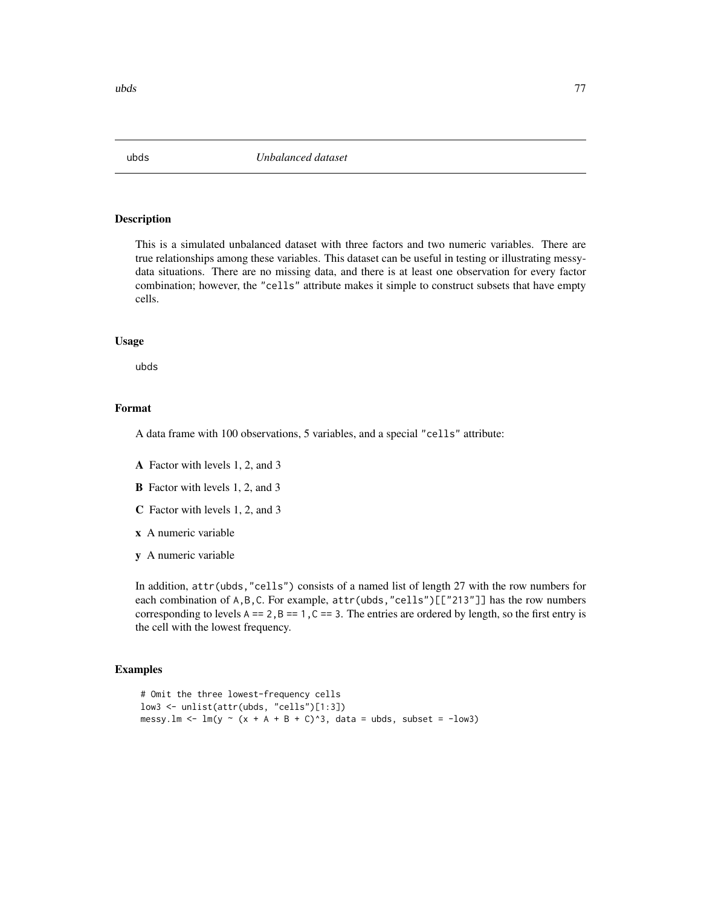<span id="page-76-0"></span>

## Description

This is a simulated unbalanced dataset with three factors and two numeric variables. There are true relationships among these variables. This dataset can be useful in testing or illustrating messydata situations. There are no missing data, and there is at least one observation for every factor combination; however, the "cells" attribute makes it simple to construct subsets that have empty cells.

#### Usage

ubds

## Format

A data frame with 100 observations, 5 variables, and a special "cells" attribute:

- A Factor with levels 1, 2, and 3
- B Factor with levels 1, 2, and 3
- C Factor with levels 1, 2, and 3
- x A numeric variable
- y A numeric variable

In addition, attr(ubds,"cells") consists of a named list of length 27 with the row numbers for each combination of A, B, C. For example,  $attr(ubds, "cells")$ [["213"]] has the row numbers corresponding to levels  $A = 2$ ,  $B = 1$ ,  $C = 3$ . The entries are ordered by length, so the first entry is the cell with the lowest frequency.

```
# Omit the three lowest-frequency cells
low3 <- unlist(attr(ubds, "cells")[1:3])
messy.lm <- lm(y \sim (x + A + B + C)^3), data = ubds, subset = -low3)
```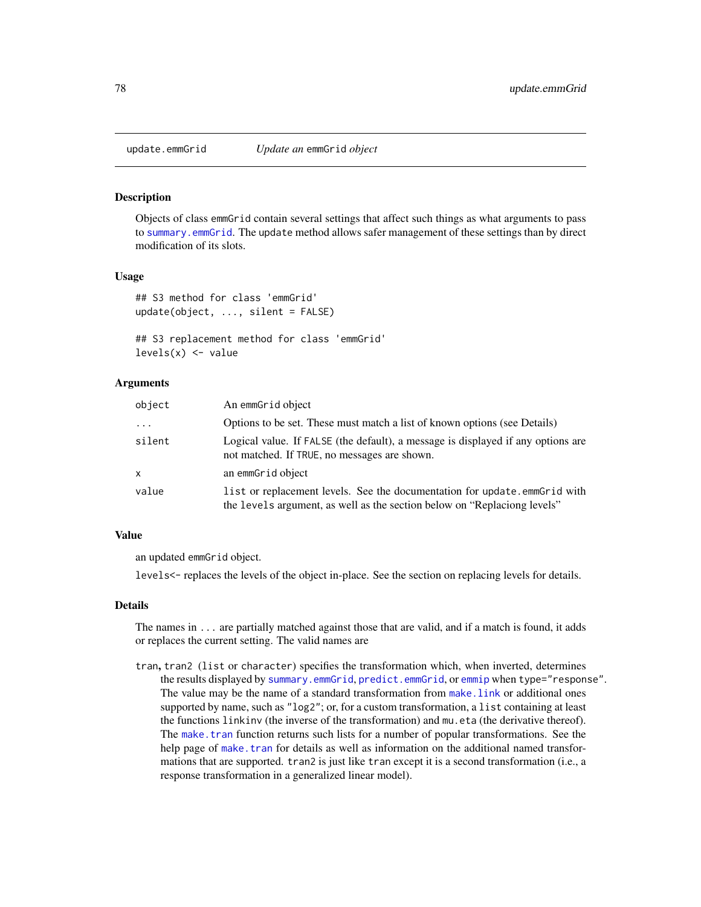<span id="page-77-0"></span>

#### Description

Objects of class emmGrid contain several settings that affect such things as what arguments to pass to [summary.emmGrid](#page-69-1). The update method allows safer management of these settings than by direct modification of its slots.

## Usage

```
## S3 method for class 'emmGrid'
update(object, ..., silent = FALSE)
```

```
## S3 replacement method for class 'emmGrid'
levels(x) <- value
```
## Arguments

| object              | An emmGrid object                                                                                                                                     |
|---------------------|-------------------------------------------------------------------------------------------------------------------------------------------------------|
| $\cdot \cdot \cdot$ | Options to be set. These must match a list of known options (see Details)                                                                             |
| silent              | Logical value. If FALSE (the default), a message is displayed if any options are<br>not matched. If TRUE, no messages are shown.                      |
| $\mathsf{x}$        | an emmGrid object                                                                                                                                     |
| value               | list or replacement levels. See the documentation for update.emmGrid with<br>the levels argument, as well as the section below on "Replaciong levels" |

# Value

an updated emmGrid object.

levels<- replaces the levels of the object in-place. See the section on replacing levels for details.

#### Details

The names in ... are partially matched against those that are valid, and if a match is found, it adds or replaces the current setting. The valid names are

tran, tran2 (list or character) specifies the transformation which, when inverted, determines the results displayed by [summary.emmGrid](#page-69-1), [predict.emmGrid](#page-69-0), or [emmip](#page-24-0) when type="response". The value may be the name of a standard transformation from make. link or additional ones supported by name, such as "log2"; or, for a custom transformation, a list containing at least the functions linkinv (the inverse of the transformation) and mu.eta (the derivative thereof). The make, tran function returns such lists for a number of popular transformations. See the help page of [make.tran](#page-45-0) for details as well as information on the additional named transformations that are supported. tran2 is just like tran except it is a second transformation (i.e., a response transformation in a generalized linear model).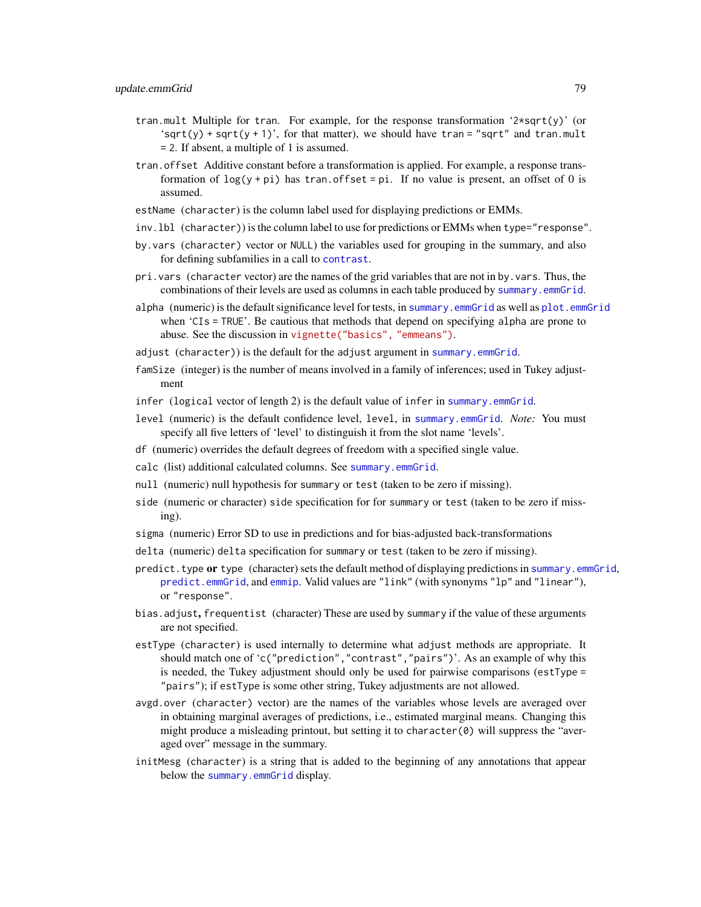- <span id="page-78-0"></span>tran.mult Multiple for tran. For example, for the response transformation '2\*sqrt(y)' (or 'sqrt(y) + sqrt(y + 1)', for that matter), we should have tran = "sqrt" and tran.mult = 2. If absent, a multiple of 1 is assumed.
- tran.offset Additive constant before a transformation is applied. For example, a response transformation of  $\log(y + \pi)$  has tran.offset = pi. If no value is present, an offset of 0 is assumed.
- estName (character) is the column label used for displaying predictions or EMMs.
- inv.lbl (character)) is the column label to use for predictions or EMMs when type="response".
- by.vars (character) vector or NULL) the variables used for grouping in the summary, and also for defining subfamilies in a call to [contrast](#page-10-0).
- pri.vars (character vector) are the names of the grid variables that are not in by.vars. Thus, the combinations of their levels are used as columns in each table produced by [summary.emmGrid](#page-69-1).
- alpha (numeric) is the default significance level for tests, in [summary.emmGrid](#page-69-1) as well as [plot.emmGrid](#page-52-0) when 'CIs = TRUE'. Be cautious that methods that depend on specifying alpha are prone to abuse. See the discussion in [vignette\("basics", "emmeans"\)](../doc/basics.html#pvalues).
- adjust (character)) is the default for the adjust argument in [summary.emmGrid](#page-69-1).
- famSize (integer) is the number of means involved in a family of inferences; used in Tukey adjustment
- infer (logical vector of length 2) is the default value of infer in [summary.emmGrid](#page-69-1).
- level (numeric) is the default confidence level, level, in [summary.emmGrid](#page-69-1). *Note:* You must specify all five letters of 'level' to distinguish it from the slot name 'levels'.
- df (numeric) overrides the default degrees of freedom with a specified single value.
- calc (list) additional calculated columns. See [summary.emmGrid](#page-69-1).
- null (numeric) null hypothesis for summary or test (taken to be zero if missing).
- side (numeric or character) side specification for for summary or test (taken to be zero if missing).
- sigma (numeric) Error SD to use in predictions and for bias-adjusted back-transformations
- delta (numeric) delta specification for summary or test (taken to be zero if missing).
- predict. type or type (character) sets the default method of displaying predictions in summary. emmGrid, [predict.emmGrid](#page-69-0), and [emmip](#page-24-0). Valid values are "link" (with synonyms "lp" and "linear"), or "response".
- bias.adjust, frequentist (character) These are used by summary if the value of these arguments are not specified.
- estType (character) is used internally to determine what adjust methods are appropriate. It should match one of 'c("prediction","contrast","pairs")'. As an example of why this is needed, the Tukey adjustment should only be used for pairwise comparisons (estType = "pairs"); if estType is some other string, Tukey adjustments are not allowed.
- avgd.over (character) vector) are the names of the variables whose levels are averaged over in obtaining marginal averages of predictions, i.e., estimated marginal means. Changing this might produce a misleading printout, but setting it to character(0) will suppress the "averaged over" message in the summary.
- initMesg (character) is a string that is added to the beginning of any annotations that appear below the [summary.emmGrid](#page-69-1) display.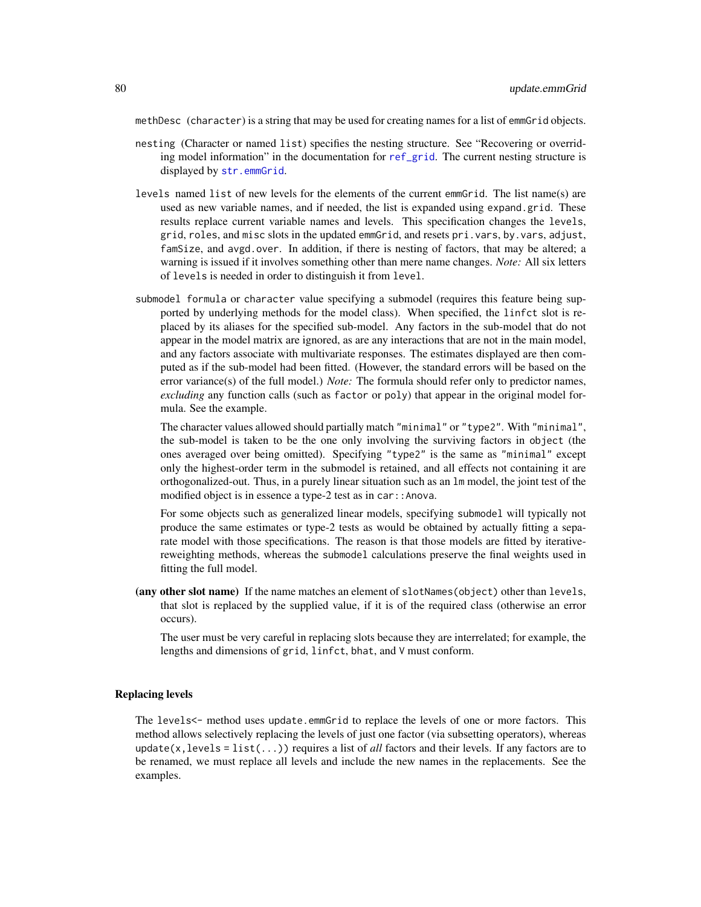<span id="page-79-0"></span>methDesc (character) is a string that may be used for creating names for a list of emmGrid objects.

- nesting (Character or named list) specifies the nesting structure. See "Recovering or overriding model information" in the documentation for [ref\\_grid](#page-61-0). The current nesting structure is displayed by [str.emmGrid](#page-69-2).
- levels named list of new levels for the elements of the current emmGrid. The list name(s) are used as new variable names, and if needed, the list is expanded using expand.grid. These results replace current variable names and levels. This specification changes the levels, grid, roles, and misc slots in the updated emmGrid, and resets pri.vars, by.vars, adjust, famSize, and avgd.over. In addition, if there is nesting of factors, that may be altered; a warning is issued if it involves something other than mere name changes. *Note:* All six letters of levels is needed in order to distinguish it from level.
- submodel formula or character value specifying a submodel (requires this feature being supported by underlying methods for the model class). When specified, the linfct slot is replaced by its aliases for the specified sub-model. Any factors in the sub-model that do not appear in the model matrix are ignored, as are any interactions that are not in the main model, and any factors associate with multivariate responses. The estimates displayed are then computed as if the sub-model had been fitted. (However, the standard errors will be based on the error variance(s) of the full model.) *Note:* The formula should refer only to predictor names, *excluding* any function calls (such as factor or poly) that appear in the original model formula. See the example.

The character values allowed should partially match "minimal" or "type2". With "minimal", the sub-model is taken to be the one only involving the surviving factors in object (the ones averaged over being omitted). Specifying "type2" is the same as "minimal" except only the highest-order term in the submodel is retained, and all effects not containing it are orthogonalized-out. Thus, in a purely linear situation such as an lm model, the joint test of the modified object is in essence a type-2 test as in car::Anova.

For some objects such as generalized linear models, specifying submodel will typically not produce the same estimates or type-2 tests as would be obtained by actually fitting a separate model with those specifications. The reason is that those models are fitted by iterativereweighting methods, whereas the submodel calculations preserve the final weights used in fitting the full model.

(any other slot name) If the name matches an element of slotNames(object) other than levels, that slot is replaced by the supplied value, if it is of the required class (otherwise an error occurs).

The user must be very careful in replacing slots because they are interrelated; for example, the lengths and dimensions of grid, linfct, bhat, and V must conform.

## Replacing levels

The levels<- method uses update.emmGrid to replace the levels of one or more factors. This method allows selectively replacing the levels of just one factor (via subsetting operators), whereas update(x, levels = list( $\dots$ )) requires a list of *all* factors and their levels. If any factors are to be renamed, we must replace all levels and include the new names in the replacements. See the examples.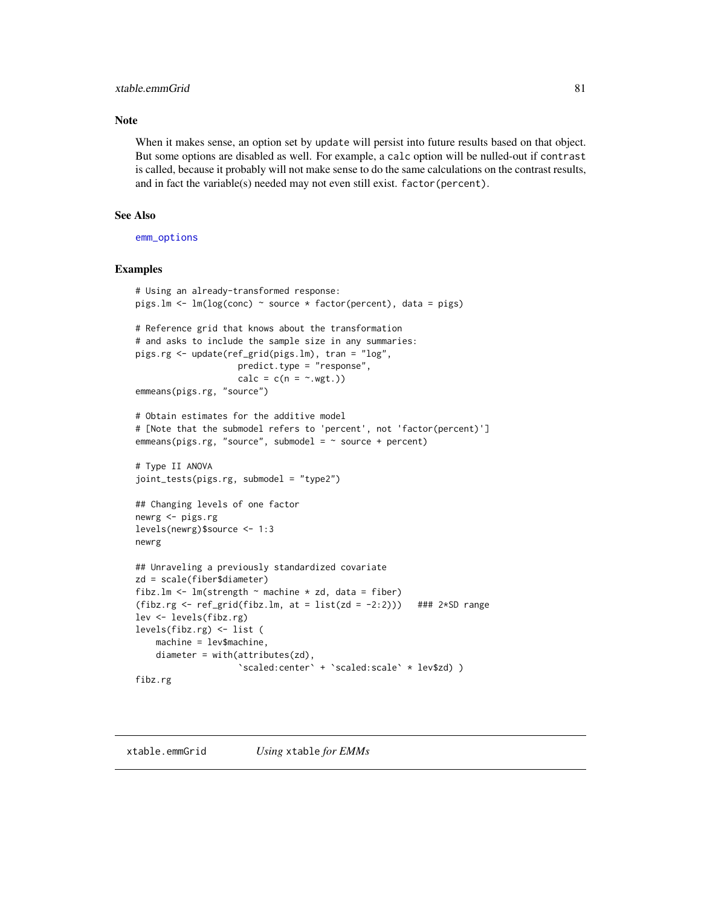## <span id="page-80-0"></span>xtable.emmGrid 81

## Note

When it makes sense, an option set by update will persist into future results based on that object. But some options are disabled as well. For example, a calc option will be nulled-out if contrast is called, because it probably will not make sense to do the same calculations on the contrast results, and in fact the variable(s) needed may not even still exist. factor(percent).

### See Also

[emm\\_options](#page-30-0)

```
# Using an already-transformed response:
pigs.lm <- lm(log(conc) ~ source * factor(percent), data = pigs)
# Reference grid that knows about the transformation
# and asks to include the sample size in any summaries:
pigs.rg <- update(ref_grid(pigs.lm), tran = "log",
                    predict.type = "response",
                    calc = c(n = ~, wgt.))emmeans(pigs.rg, "source")
# Obtain estimates for the additive model
# [Note that the submodel refers to 'percent', not 'factor(percent)']
emmeans(pigs.rg, "source", submodel = ~ source + percent)# Type II ANOVA
joint_tests(pigs.rg, submodel = "type2")
## Changing levels of one factor
newrg <- pigs.rg
levels(newrg)$source <- 1:3
newrg
## Unraveling a previously standardized covariate
zd = scale(fiber$diameter)
fibz.lm <- lm(strength \sim machine * zd, data = fiber)
(fibz.rg \leftarrow ref\_grid(fibz.lm, at = list(zd = -2:2))) ### 2*SD range
lev <- levels(fibz.rg)
levels(fibz.rg) <- list (
   machine = lev$machine,
   diameter = with(attributes(zd),
                    `scaled:center` + `scaled:scale` * lev$zd) )
fibz.rg
```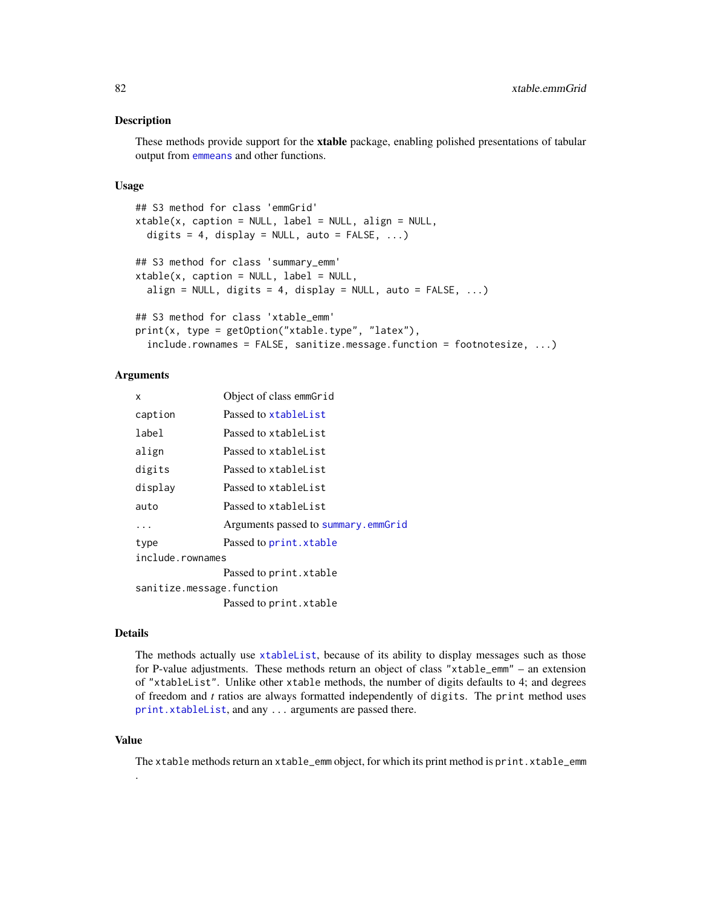### <span id="page-81-0"></span>Description

These methods provide support for the xtable package, enabling polished presentations of tabular output from [emmeans](#page-19-0) and other functions.

#### Usage

```
## S3 method for class 'emmGrid'
xtable(x, caption = NULL, label = NULL, align = NULL,
  digits = 4, display = NULL, auto = FALSE, ...)## S3 method for class 'summary_emm'
xtable(x, caption = NULL, label = NULL,align = NULL, digits = 4, display = NULL, auto = FALSE, ...)
## S3 method for class 'xtable_emm'
print(x, type = getOption("stable-type", "later"),include.rownames = FALSE, sanitize.message.function = footnotesize, ...)
```
## Arguments

| x                         | Object of class emmGrid             |  |
|---------------------------|-------------------------------------|--|
| caption                   | Passed to xtableList                |  |
| label                     | Passed to xtableList                |  |
| align                     | Passed to xtableList                |  |
| digits                    | Passed to xtableList                |  |
| display                   | Passed to xtableList                |  |
| auto                      | Passed to xtableList                |  |
| .                         | Arguments passed to summary.emmGrid |  |
| type                      | Passed to print. xtable             |  |
| include.rownames          |                                     |  |
|                           | Passed to print.xtable              |  |
| sanitize.message.function |                                     |  |
|                           | Passed to print. xtable             |  |

## Details

The methods actually use [xtableList](#page-0-0), because of its ability to display messages such as those for P-value adjustments. These methods return an object of class "xtable\_emm" – an extension of "xtableList". Unlike other xtable methods, the number of digits defaults to 4; and degrees of freedom and *t* ratios are always formatted independently of digits. The print method uses [print.xtableList](#page-0-0), and any ... arguments are passed there.

#### Value

.

The xtable methods return an xtable\_emm object, for which its print method is print.xtable\_emm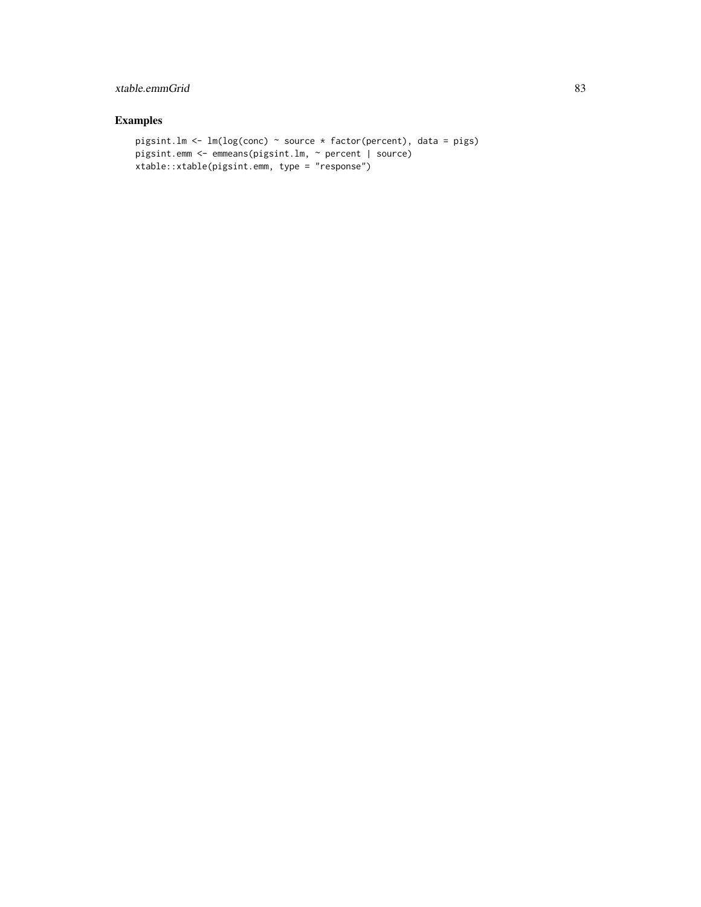# xtable.emmGrid 83

```
pigsint.lm <- lm(log(conc) ~ source * factor(percent), data = pigs)
pigsint.emm <- emmeans(pigsint.lm, ~ percent | source)
xtable::xtable(pigsint.emm, type = "response")
```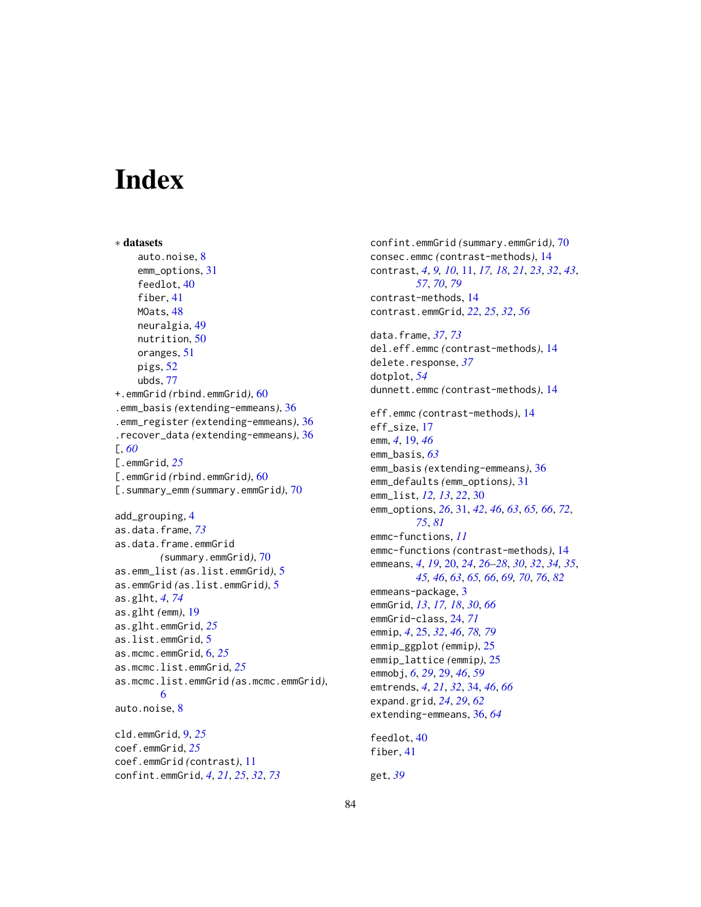# **Index**

```
∗ datasets
    auto.noise, 8
    emm_options, 31
    feedlot, 40
    fiber, 41
    MOats, 48
    neuralgia, 49
    nutrition, 50
    oranges, 51
    pigs, 52
    ubds, 77
+.emmGrid (rbind.emmGrid), 60
.emm_basis (extending-emmeans), 36
.emm_register (extending-emmeans), 36
.recover_data (extending-emmeans), 36
[, 60
[.emmGrid, 25
[.emmGrid (rbind.emmGrid), 60
[.summary_emm (summary.emmGrid), 70
add_grouping, 4
as.data.frame, 73
as.data.frame.emmGrid
        (summary.emmGrid), 70
as.emm_list (as.list.emmGrid), 5
as.emmGrid (as.list.emmGrid), 5
as.glht, 4, 74
as.glht (emm), 19
as.glht.emmGrid, 25
as.list.emmGrid, 5
as.mcmc.emmGrid, 6, 25
as.mcmc.list.emmGrid, 25
as.mcmc.list.emmGrid (as.mcmc.emmGrid),
        6
auto.noise, 8
cld.emmGrid, 9, 25
coef.emmGrid, 25
coef.emmGrid (contrast), 11
confint.emmGrid, 4, 21, 25, 32, 73
```
confint.emmGrid *(*summary.emmGrid*)*, [70](#page-69-3) consec.emmc *(*contrast-methods*)*, [14](#page-13-0) contrast, *[4](#page-3-0)*, *[9,](#page-8-0) [10](#page-9-0)*, [11,](#page-10-1) *[17,](#page-16-0) [18](#page-17-0)*, *[21](#page-20-0)*, *[23](#page-22-0)*, *[32](#page-31-0)*, *[43](#page-42-0)*, *[57](#page-56-0)*, *[70](#page-69-3)*, *[79](#page-78-0)* contrast-methods, [14](#page-13-0) contrast.emmGrid, *[22](#page-21-0)*, *[25](#page-24-1)*, *[32](#page-31-0)*, *[56](#page-55-0)* data.frame, *[37](#page-36-0)*, *[73](#page-72-0)* del.eff.emmc *(*contrast-methods*)*, [14](#page-13-0) delete.response, *[37](#page-36-0)* dotplot, *[54](#page-53-0)* dunnett.emmc *(*contrast-methods*)*, [14](#page-13-0) eff.emmc *(*contrast-methods*)*, [14](#page-13-0) eff\_size, [17](#page-16-0) emm, *[4](#page-3-0)*, [19,](#page-18-1) *[46](#page-45-1)* emm\_basis, *[63](#page-62-0)* emm\_basis *(*extending-emmeans*)*, [36](#page-35-0) emm\_defaults *(*emm\_options*)*, [31](#page-30-1) emm\_list, *[12,](#page-11-0) [13](#page-12-0)*, *[22](#page-21-0)*, [30](#page-29-0) emm\_options, *[26](#page-25-0)*, [31,](#page-30-1) *[42](#page-41-1)*, *[46](#page-45-1)*, *[63](#page-62-0)*, *[65,](#page-64-0) [66](#page-65-0)*, *[72](#page-71-0)*, *[75](#page-74-0)*, *[81](#page-80-0)* emmc-functions, *[11](#page-10-1)* emmc-functions *(*contrast-methods*)*, [14](#page-13-0) emmeans, *[4](#page-3-0)*, *[19](#page-18-1)*, [20,](#page-19-1) *[24](#page-23-0)*, *[26](#page-25-0)[–28](#page-27-0)*, *[30](#page-29-0)*, *[32](#page-31-0)*, *[34,](#page-33-0) [35](#page-34-0)*, *[45,](#page-44-0) [46](#page-45-1)*, *[63](#page-62-0)*, *[65,](#page-64-0) [66](#page-65-0)*, *[69,](#page-68-0) [70](#page-69-3)*, *[76](#page-75-0)*, *[82](#page-81-0)* emmeans-package, [3](#page-2-0) emmGrid, *[13](#page-12-0)*, *[17,](#page-16-0) [18](#page-17-0)*, *[30](#page-29-0)*, *[66](#page-65-0)* emmGrid-class, [24,](#page-23-0) *[71](#page-70-0)* emmip, *[4](#page-3-0)*, [25,](#page-24-1) *[32](#page-31-0)*, *[46](#page-45-1)*, *[78,](#page-77-0) [79](#page-78-0)* emmip\_ggplot *(*emmip*)*, [25](#page-24-1) emmip\_lattice *(*emmip*)*, [25](#page-24-1) emmobj, *[6](#page-5-0)*, *[29](#page-28-0)*, [29,](#page-28-0) *[46](#page-45-1)*, *[59](#page-58-0)* emtrends, *[4](#page-3-0)*, *[21](#page-20-0)*, *[32](#page-31-0)*, [34,](#page-33-0) *[46](#page-45-1)*, *[66](#page-65-0)* expand.grid, *[24](#page-23-0)*, *[29](#page-28-0)*, *[62](#page-61-1)* extending-emmeans, [36,](#page-35-0) *[64](#page-63-0)* feedlot, [40](#page-39-0) fiber, [41](#page-40-0) get, *[39](#page-38-0)*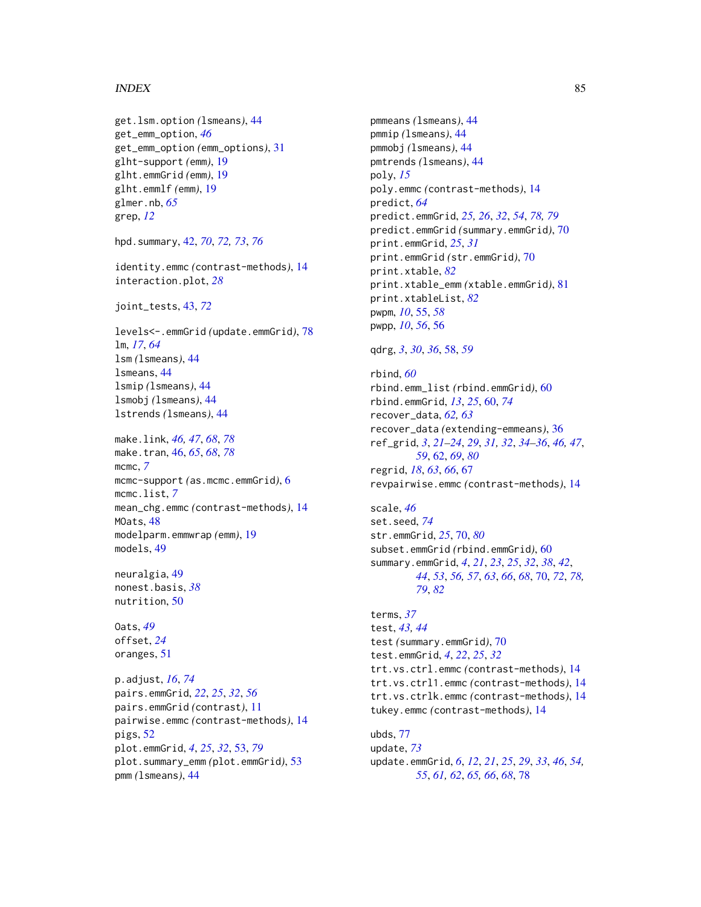## $INDEX$  85

```
get.lsm.option (lsmeans), 44
get_emm_option, 46
get_emm_option (emm_options), 31
glht-support (emm), 19
glht.emmGrid (emm), 19
glht.emmlf (emm), 19
glmer.nb, 65
grep, 12
```
hpd.summary, [42,](#page-41-1) *[70](#page-69-3)*, *[72,](#page-71-0) [73](#page-72-0)*, *[76](#page-75-0)*

identity.emmc *(*contrast-methods*)*, [14](#page-13-0) interaction.plot, *[28](#page-27-0)*

```
joint_tests, 43, 72
```
levels<-.emmGrid *(*update.emmGrid*)*, [78](#page-77-0) lm, *[17](#page-16-0)*, *[64](#page-63-0)* lsm *(*lsmeans*)*, [44](#page-43-0) lsmeans, [44](#page-43-0) lsmip *(*lsmeans*)*, [44](#page-43-0) lsmobj *(*lsmeans*)*, [44](#page-43-0) lstrends *(*lsmeans*)*, [44](#page-43-0)

make.link, *[46,](#page-45-1) [47](#page-46-0)*, *[68](#page-67-0)*, *[78](#page-77-0)* make.tran, [46,](#page-45-1) *[65](#page-64-0)*, *[68](#page-67-0)*, *[78](#page-77-0)* mcmc, *[7](#page-6-0)* mcmc-support *(*as.mcmc.emmGrid*)*, [6](#page-5-0) mcmc.list, *[7](#page-6-0)* mean\_chg.emmc *(*contrast-methods*)*, [14](#page-13-0) MOats, [48](#page-47-0) modelparm.emmwrap *(*emm*)*, [19](#page-18-1) models, [49](#page-48-0)

neuralgia, [49](#page-48-0) nonest.basis, *[38](#page-37-0)* nutrition, [50](#page-49-0)

Oats, *[49](#page-48-0)* offset, *[24](#page-23-0)* oranges, [51](#page-50-0)

p.adjust, *[16](#page-15-0)*, *[74](#page-73-0)* pairs.emmGrid, *[22](#page-21-0)*, *[25](#page-24-1)*, *[32](#page-31-0)*, *[56](#page-55-0)* pairs.emmGrid *(*contrast*)*, [11](#page-10-1) pairwise.emmc *(*contrast-methods*)*, [14](#page-13-0) pigs, [52](#page-51-0) plot.emmGrid, *[4](#page-3-0)*, *[25](#page-24-1)*, *[32](#page-31-0)*, [53,](#page-52-1) *[79](#page-78-0)* plot.summary\_emm *(*plot.emmGrid*)*, [53](#page-52-1) pmm *(*lsmeans*)*, [44](#page-43-0)

pmmeans *(*lsmeans*)*, [44](#page-43-0) pmmip *(*lsmeans*)*, [44](#page-43-0) pmmobj *(*lsmeans*)*, [44](#page-43-0) pmtrends *(*lsmeans*)*, [44](#page-43-0) poly, *[15](#page-14-0)* poly.emmc *(*contrast-methods*)*, [14](#page-13-0) predict, *[64](#page-63-0)* predict.emmGrid, *[25,](#page-24-1) [26](#page-25-0)*, *[32](#page-31-0)*, *[54](#page-53-0)*, *[78,](#page-77-0) [79](#page-78-0)* predict.emmGrid *(*summary.emmGrid*)*, [70](#page-69-3) print.emmGrid, *[25](#page-24-1)*, *[31](#page-30-1)* print.emmGrid *(*str.emmGrid*)*, [70](#page-69-3) print.xtable, *[82](#page-81-0)* print.xtable\_emm *(*xtable.emmGrid*)*, [81](#page-80-0) print.xtableList, *[82](#page-81-0)* pwpm, *[10](#page-9-0)*, [55,](#page-54-0) *[58](#page-57-0)* pwpp, *[10](#page-9-0)*, *[56](#page-55-0)*, [56](#page-55-0)

```
qdrg, 3, 30, 36, 58, 59
```
rbind, *[60](#page-59-1)* rbind.emm\_list *(*rbind.emmGrid*)*, [60](#page-59-1) rbind.emmGrid, *[13](#page-12-0)*, *[25](#page-24-1)*, [60,](#page-59-1) *[74](#page-73-0)* recover\_data, *[62,](#page-61-1) [63](#page-62-0)* recover\_data *(*extending-emmeans*)*, [36](#page-35-0) ref\_grid, *[3](#page-2-0)*, *[21](#page-20-0)[–24](#page-23-0)*, *[29](#page-28-0)*, *[31,](#page-30-1) [32](#page-31-0)*, *[34](#page-33-0)[–36](#page-35-0)*, *[46,](#page-45-1) [47](#page-46-0)*, *[59](#page-58-0)*, [62,](#page-61-1) *[69](#page-68-0)*, *[80](#page-79-0)* regrid, *[18](#page-17-0)*, *[63](#page-62-0)*, *[66](#page-65-0)*, [67](#page-66-0) revpairwise.emmc *(*contrast-methods*)*, [14](#page-13-0)

scale, *[46](#page-45-1)* set.seed, *[74](#page-73-0)* str.emmGrid, *[25](#page-24-1)*, [70,](#page-69-3) *[80](#page-79-0)* subset.emmGrid *(*rbind.emmGrid*)*, [60](#page-59-1) summary.emmGrid, *[4](#page-3-0)*, *[21](#page-20-0)*, *[23](#page-22-0)*, *[25](#page-24-1)*, *[32](#page-31-0)*, *[38](#page-37-0)*, *[42](#page-41-1)*, *[44](#page-43-0)*, *[53](#page-52-1)*, *[56,](#page-55-0) [57](#page-56-0)*, *[63](#page-62-0)*, *[66](#page-65-0)*, *[68](#page-67-0)*, [70,](#page-69-3) *[72](#page-71-0)*, *[78,](#page-77-0) [79](#page-78-0)*, *[82](#page-81-0)*

terms, *[37](#page-36-0)* test, *[43,](#page-42-0) [44](#page-43-0)* test *(*summary.emmGrid*)*, [70](#page-69-3) test.emmGrid, *[4](#page-3-0)*, *[22](#page-21-0)*, *[25](#page-24-1)*, *[32](#page-31-0)* trt.vs.ctrl.emmc *(*contrast-methods*)*, [14](#page-13-0) trt.vs.ctrl1.emmc *(*contrast-methods*)*, [14](#page-13-0) trt.vs.ctrlk.emmc *(*contrast-methods*)*, [14](#page-13-0) tukey.emmc *(*contrast-methods*)*, [14](#page-13-0) ubds, [77](#page-76-0)

update, *[73](#page-72-0)* update.emmGrid, *[6](#page-5-0)*, *[12](#page-11-0)*, *[21](#page-20-0)*, *[25](#page-24-1)*, *[29](#page-28-0)*, *[33](#page-32-0)*, *[46](#page-45-1)*, *[54,](#page-53-0) [55](#page-54-0)*, *[61,](#page-60-0) [62](#page-61-1)*, *[65,](#page-64-0) [66](#page-65-0)*, *[68](#page-67-0)*, [78](#page-77-0)